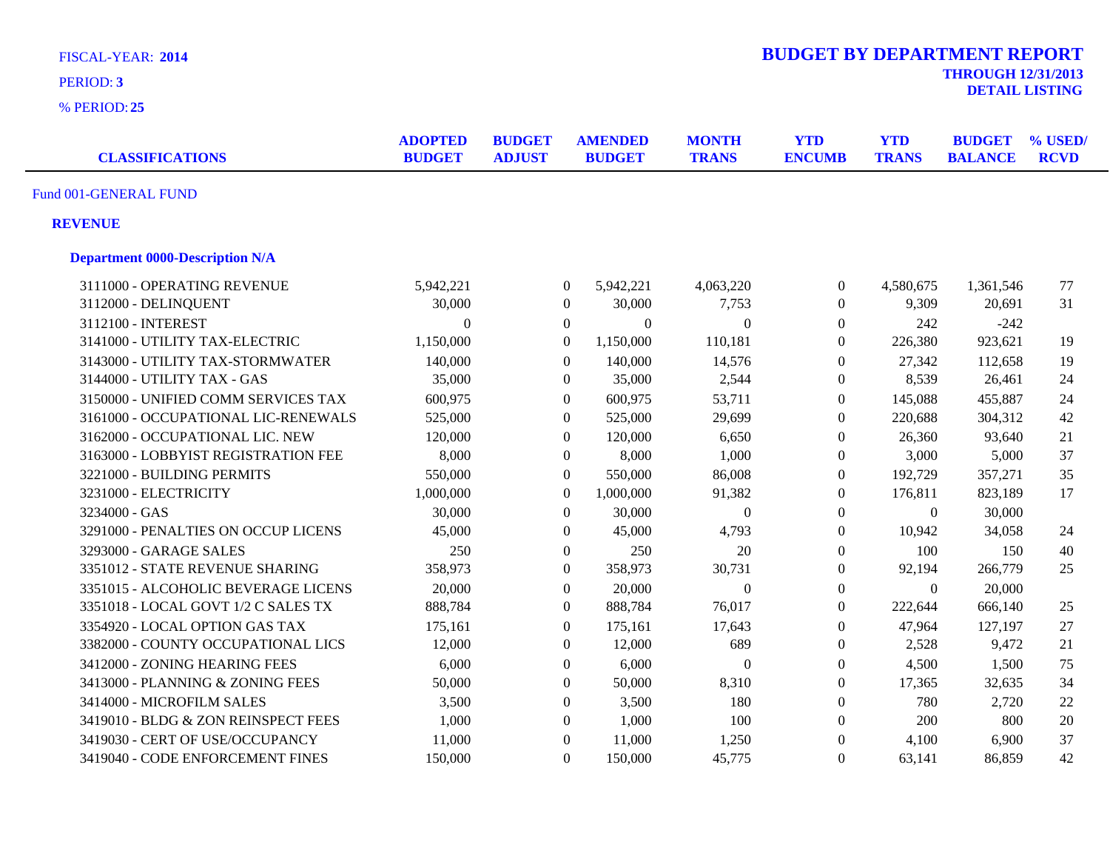| <b>FISCAL-YEAR: 2014</b><br>PERIOD: 3  |                                 |                                |                  |                                 |                              | <b>BUDGET BY DEPARTMENT REPORT</b> |                            | <b>THROUGH 12/31/2013</b>       | <b>DETAIL LISTING</b>  |
|----------------------------------------|---------------------------------|--------------------------------|------------------|---------------------------------|------------------------------|------------------------------------|----------------------------|---------------------------------|------------------------|
| % PERIOD: 25                           |                                 |                                |                  |                                 |                              |                                    |                            |                                 |                        |
| <b>CLASSIFICATIONS</b>                 | <b>ADOPTED</b><br><b>BUDGET</b> | <b>BUDGET</b><br><b>ADJUST</b> |                  | <b>AMENDED</b><br><b>BUDGET</b> | <b>MONTH</b><br><b>TRANS</b> | <b>YTD</b><br><b>ENCUMB</b>        | <b>YTD</b><br><b>TRANS</b> | <b>BUDGET</b><br><b>BALANCE</b> | % USED/<br><b>RCVD</b> |
| Fund 001-GENERAL FUND                  |                                 |                                |                  |                                 |                              |                                    |                            |                                 |                        |
| <b>REVENUE</b>                         |                                 |                                |                  |                                 |                              |                                    |                            |                                 |                        |
| <b>Department 0000-Description N/A</b> |                                 |                                |                  |                                 |                              |                                    |                            |                                 |                        |
| 3111000 - OPERATING REVENUE            | 5,942,221                       |                                | $\boldsymbol{0}$ | 5,942,221                       | 4,063,220                    | $\boldsymbol{0}$                   | 4,580,675                  | 1,361,546                       | 77                     |
| 3112000 - DELINQUENT                   | 30,000                          |                                | $\boldsymbol{0}$ | 30,000                          | 7,753                        | $\boldsymbol{0}$                   | 9,309                      | 20,691                          | 31                     |
| 3112100 - INTEREST                     | $\Omega$                        |                                | $\overline{0}$   | $\Omega$                        | $\overline{0}$               | $\boldsymbol{0}$                   | 242                        | $-242$                          |                        |
| 3141000 - UTILITY TAX-ELECTRIC         | 1,150,000                       |                                | $\mathbf{0}$     | 1,150,000                       | 110,181                      | $\boldsymbol{0}$                   | 226,380                    | 923,621                         | 19                     |
| 3143000 - UTILITY TAX-STORMWATER       | 140,000                         |                                | $\overline{0}$   | 140,000                         | 14,576                       | $\boldsymbol{0}$                   | 27,342                     | 112,658                         | 19                     |
| 3144000 - UTILITY TAX - GAS            | 35,000                          |                                | $\boldsymbol{0}$ | 35,000                          | 2,544                        | $\boldsymbol{0}$                   | 8,539                      | 26,461                          | 24                     |
| 3150000 - UNIFIED COMM SERVICES TAX    | 600,975                         |                                | $\boldsymbol{0}$ | 600,975                         | 53,711                       | $\boldsymbol{0}$                   | 145,088                    | 455,887                         | 24                     |
| 3161000 - OCCUPATIONAL LIC-RENEWALS    | 525,000                         |                                | $\overline{0}$   | 525,000                         | 29,699                       | $\overline{0}$                     | 220,688                    | 304,312                         | 42                     |
| 3162000 - OCCUPATIONAL LIC. NEW        | 120,000                         |                                | $\overline{0}$   | 120,000                         | 6,650                        | $\boldsymbol{0}$                   | 26,360                     | 93,640                          | 21                     |
| 3163000 - LOBBYIST REGISTRATION FEE    | 8,000                           |                                | $\overline{0}$   | 8,000                           | 1,000                        | $\boldsymbol{0}$                   | 3,000                      | 5,000                           | 37                     |
| 3221000 - BUILDING PERMITS             | 550,000                         |                                | $\boldsymbol{0}$ | 550,000                         | 86,008                       | $\overline{0}$                     | 192,729                    | 357,271                         | 35                     |
| 3231000 - ELECTRICITY                  | 1,000,000                       |                                | $\Omega$         | 1,000,000                       | 91,382                       | $\boldsymbol{0}$                   | 176,811                    | 823,189                         | 17                     |
| 3234000 - GAS                          | 30,000                          |                                | $\overline{0}$   | 30,000                          | $\boldsymbol{0}$             | $\boldsymbol{0}$                   | $\overline{0}$             | 30,000                          |                        |
| 3291000 - PENALTIES ON OCCUP LICENS    | 45,000                          |                                | $\overline{0}$   | 45,000                          | 4,793                        | $\boldsymbol{0}$                   | 10,942                     | 34,058                          | 24                     |
| 3293000 - GARAGE SALES                 | 250                             |                                | $\overline{0}$   | 250                             | 20                           | $\Omega$                           | 100                        | 150                             | 40                     |
| 3351012 - STATE REVENUE SHARING        | 358,973                         |                                | $\overline{0}$   | 358,973                         | 30,731                       | $\overline{0}$                     | 92,194                     | 266,779                         | 25                     |
| 3351015 - ALCOHOLIC BEVERAGE LICENS    | 20,000                          |                                | $\overline{0}$   | 20,000                          | $\overline{0}$               | $\overline{0}$                     | $\overline{0}$             | 20,000                          |                        |
| 3351018 - LOCAL GOVT 1/2 C SALES TX    | 888,784                         |                                | $\overline{0}$   | 888,784                         | 76,017                       | $\overline{0}$                     | 222,644                    | 666,140                         | 25                     |
| 3354920 - LOCAL OPTION GAS TAX         | 175,161                         |                                | $\overline{0}$   | 175,161                         | 17,643                       | $\overline{0}$                     | 47,964                     | 127,197                         | 27                     |
| 3382000 - COUNTY OCCUPATIONAL LICS     | 12,000                          |                                | $\overline{0}$   | 12,000                          | 689                          | $\boldsymbol{0}$                   | 2,528                      | 9,472                           | 21                     |
| 3412000 - ZONING HEARING FEES          | 6,000                           |                                | $\overline{0}$   | 6,000                           | $\Omega$                     | $\overline{0}$                     | 4,500                      | 1,500                           | 75                     |
| 3413000 - PLANNING & ZONING FEES       | 50,000                          |                                | $\boldsymbol{0}$ | 50,000                          | 8,310                        | $\Omega$                           | 17,365                     | 32,635                          | 34                     |
| 3414000 - MICROFILM SALES              | 3,500                           |                                | $\overline{0}$   | 3,500                           | 180                          | $\boldsymbol{0}$                   | 780                        | 2,720                           | 22                     |
| 3419010 - BLDG & ZON REINSPECT FEES    | 1,000                           |                                | $\mathbf{0}$     | 1,000                           | 100                          | $\boldsymbol{0}$                   | 200                        | 800                             | 20                     |
| 3419030 - CERT OF USE/OCCUPANCY        | 11,000                          |                                | $\boldsymbol{0}$ | 11,000                          | 1,250                        | $\boldsymbol{0}$                   | 4,100                      | 6,900                           | 37                     |
| 3419040 - CODE ENFORCEMENT FINES       | 150,000                         |                                | $\Omega$         | 150,000                         | 45,775                       | $\Omega$                           | 63,141                     | 86,859                          | 42                     |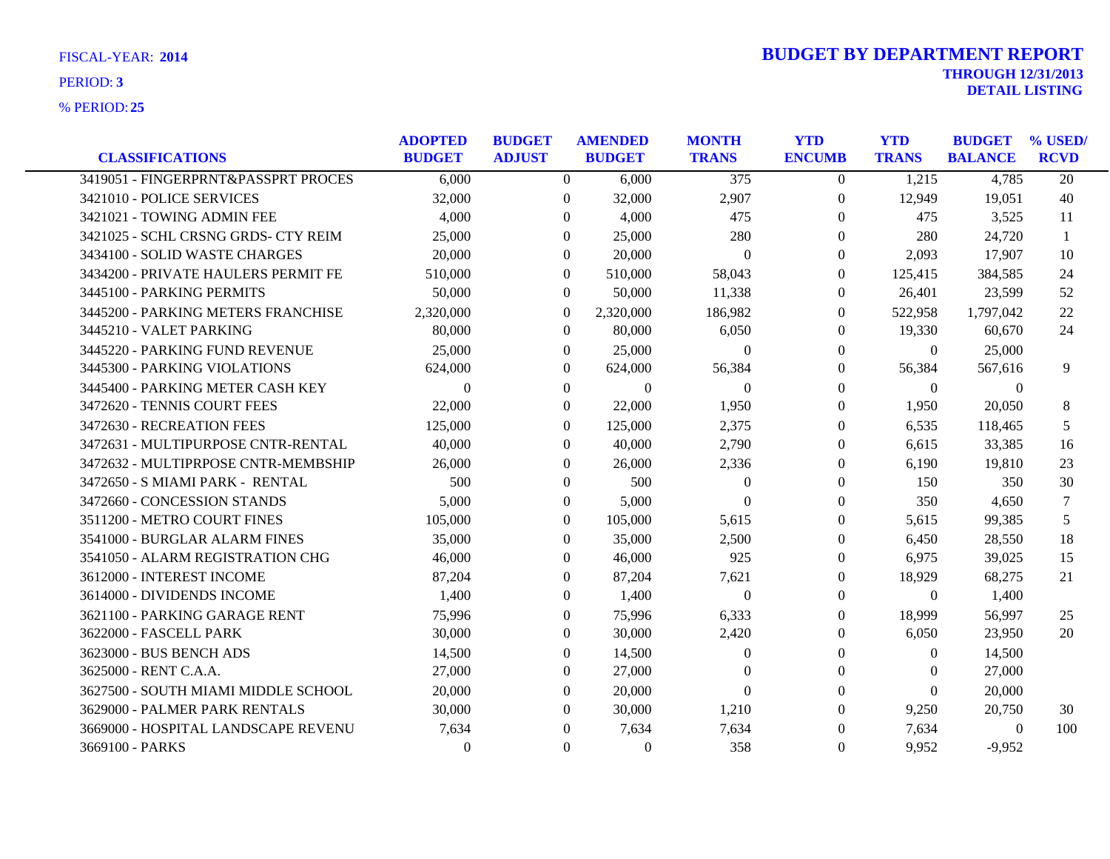| <b>CLASSIFICATIONS</b>              | <b>ADOPTED</b><br><b>BUDGET</b> | <b>BUDGET</b><br><b>ADJUST</b> | <b>AMENDED</b><br><b>BUDGET</b> | <b>MONTH</b><br><b>TRANS</b> | <b>YTD</b><br><b>ENCUMB</b> | <b>YTD</b><br><b>TRANS</b> | <b>BUDGET</b><br><b>BALANCE</b> | % USED/<br><b>RCVD</b> |
|-------------------------------------|---------------------------------|--------------------------------|---------------------------------|------------------------------|-----------------------------|----------------------------|---------------------------------|------------------------|
| 3419051 - FINGERPRNT&PASSPRT PROCES | 6,000                           | $\overline{0}$                 | 6,000                           | $\overline{375}$             | $\overline{0}$              | 1,215                      | 4,785                           | 20                     |
| 3421010 - POLICE SERVICES           | 32,000                          | $\Omega$                       | 32,000                          | 2,907                        | $\theta$                    | 12,949                     | 19,051                          | 40                     |
| 3421021 - TOWING ADMIN FEE          | 4,000                           | $\Omega$                       | 4,000                           | 475                          | $\Omega$                    | 475                        | 3,525                           | 11                     |
| 3421025 - SCHL CRSNG GRDS- CTY REIM | 25,000                          | $\Omega$                       | 25,000                          | 280                          | $\Omega$                    | 280                        | 24,720                          | -1                     |
| 3434100 - SOLID WASTE CHARGES       | 20,000                          | $\Omega$                       | 20,000                          | $\theta$                     | $\Omega$                    | 2,093                      | 17,907                          | 10                     |
| 3434200 - PRIVATE HAULERS PERMIT FE | 510,000                         | $\Omega$                       | 510,000                         | 58,043                       | $\Omega$                    | 125,415                    | 384,585                         | 24                     |
| 3445100 - PARKING PERMITS           | 50,000                          | $\overline{0}$                 | 50,000                          | 11,338                       | $\theta$                    | 26,401                     | 23,599                          | 52                     |
| 3445200 - PARKING METERS FRANCHISE  | 2,320,000                       | $\mathbf{0}$                   | 2,320,000                       | 186,982                      | $\Omega$                    | 522,958                    | 1,797,042                       | 22                     |
| 3445210 - VALET PARKING             | 80,000                          | $\overline{0}$                 | 80,000                          | 6,050                        | $\overline{0}$              | 19,330                     | 60,670                          | 24                     |
| 3445220 - PARKING FUND REVENUE      | 25,000                          | $\theta$                       | 25,000                          | $\theta$                     | $\Omega$                    | $\overline{0}$             | 25,000                          |                        |
| 3445300 - PARKING VIOLATIONS        | 624,000                         | $\Omega$                       | 624,000                         | 56,384                       | $\Omega$                    | 56,384                     | 567,616                         | 9                      |
| 3445400 - PARKING METER CASH KEY    | $\Omega$                        | $\mathbf{0}$                   | $\boldsymbol{0}$                | $\mathbf{0}$                 | $\Omega$                    | $\theta$                   | $\overline{0}$                  |                        |
| 3472620 - TENNIS COURT FEES         | 22,000                          | $\overline{0}$                 | 22,000                          | 1,950                        | $\overline{0}$              | 1,950                      | 20,050                          | 8                      |
| 3472630 - RECREATION FEES           | 125,000                         | $\Omega$                       | 125,000                         | 2,375                        | $\Omega$                    | 6,535                      | 118,465                         | 5                      |
| 3472631 - MULTIPURPOSE CNTR-RENTAL  | 40,000                          | $\Omega$                       | 40,000                          | 2,790                        | $\overline{0}$              | 6,615                      | 33,385                          | 16                     |
| 3472632 - MULTIPRPOSE CNTR-MEMBSHIP | 26,000                          | 0                              | 26,000                          | 2,336                        | $\theta$                    | 6,190                      | 19,810                          | 23                     |
| 3472650 - S MIAMI PARK - RENTAL     | 500                             | $\Omega$                       | 500                             | $\overline{0}$               | $\Omega$                    | 150                        | 350                             | 30                     |
| 3472660 - CONCESSION STANDS         | 5,000                           | $\Omega$                       | 5,000                           | $\Omega$                     | $\Omega$                    | 350                        | 4,650                           | 7                      |
| 3511200 - METRO COURT FINES         | 105,000                         | $\theta$                       | 105,000                         | 5,615                        | $\Omega$                    | 5,615                      | 99,385                          | 5                      |
| 3541000 - BURGLAR ALARM FINES       | 35,000                          | $\Omega$                       | 35,000                          | 2,500                        | $\mathbf{0}$                | 6,450                      | 28,550                          | 18                     |
| 3541050 - ALARM REGISTRATION CHG    | 46,000                          | $\theta$                       | 46,000                          | 925                          | $\theta$                    | 6,975                      | 39,025                          | 15                     |
| 3612000 - INTEREST INCOME           | 87,204                          | $\Omega$                       | 87,204                          | 7,621                        | $\overline{0}$              | 18,929                     | 68,275                          | 21                     |
| 3614000 - DIVIDENDS INCOME          | 1,400                           | $\Omega$                       | 1,400                           | $\overline{0}$               | $\Omega$                    | $\theta$                   | 1,400                           |                        |
| 3621100 - PARKING GARAGE RENT       | 75,996                          | $\Omega$                       | 75,996                          | 6,333                        | $\theta$                    | 18,999                     | 56,997                          | 25                     |
| 3622000 - FASCELL PARK              | 30,000                          | $\theta$                       | 30,000                          | 2,420                        | $\theta$                    | 6,050                      | 23,950                          | 20                     |
| 3623000 - BUS BENCH ADS             | 14,500                          | $\Omega$                       | 14,500                          | $\Omega$                     | $\Omega$                    | $\Omega$                   | 14,500                          |                        |
| 3625000 - RENT C.A.A.               | 27,000                          | $\Omega$                       | 27,000                          | $\Omega$                     | $\Omega$                    | $\theta$                   | 27,000                          |                        |
| 3627500 - SOUTH MIAMI MIDDLE SCHOOL | 20,000                          | $\Omega$                       | 20,000                          | $\Omega$                     | $\Omega$                    | $\theta$                   | 20,000                          |                        |
| 3629000 - PALMER PARK RENTALS       | 30,000                          | $\Omega$                       | 30,000                          | 1,210                        | $\Omega$                    | 9,250                      | 20,750                          | 30                     |
| 3669000 - HOSPITAL LANDSCAPE REVENU | 7,634                           | $\Omega$                       | 7,634                           | 7,634                        | $\Omega$                    | 7,634                      | $\mathbf{0}$                    | 100                    |
| 3669100 - PARKS                     | $\Omega$                        | $\theta$                       | $\theta$                        | 358                          | $\Omega$                    | 9,952                      | $-9,952$                        |                        |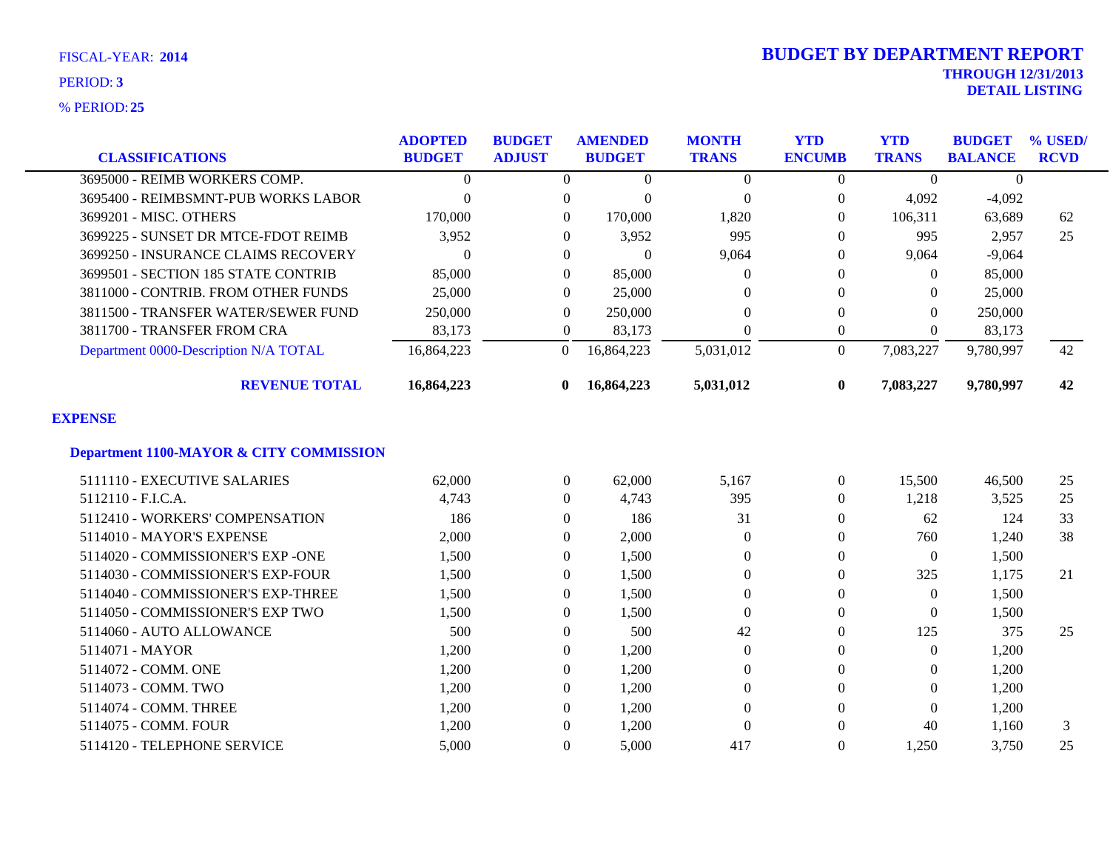| <b>CLASSIFICATIONS</b>                             | <b>ADOPTED</b><br><b>BUDGET</b> | <b>BUDGET</b><br><b>ADJUST</b> | <b>AMENDED</b><br><b>BUDGET</b> | <b>MONTH</b><br><b>TRANS</b> | <b>YTD</b><br><b>ENCUMB</b> | <b>YTD</b><br><b>TRANS</b> | <b>BUDGET</b><br><b>BALANCE</b> | % USED/<br><b>RCVD</b> |
|----------------------------------------------------|---------------------------------|--------------------------------|---------------------------------|------------------------------|-----------------------------|----------------------------|---------------------------------|------------------------|
| 3695000 - REIMB WORKERS COMP.                      | $\Omega$                        | $\Omega$                       | $\Omega$                        | $\overline{0}$               | $\Omega$                    | $\theta$                   | $\boldsymbol{0}$                |                        |
| 3695400 - REIMBSMNT-PUB WORKS LABOR                | $\overline{0}$                  | $\boldsymbol{0}$               | $\Omega$                        | $\overline{0}$               | $\overline{0}$              | 4,092                      | $-4,092$                        |                        |
| 3699201 - MISC. OTHERS                             | 170,000                         | $\Omega$                       | 170,000                         | 1,820                        | $\Omega$                    | 106,311                    | 63,689                          | 62                     |
| 3699225 - SUNSET DR MTCE-FDOT REIMB                | 3,952                           | $\mathbf{0}$                   | 3,952                           | 995                          | $\Omega$                    | 995                        | 2,957                           | 25                     |
| 3699250 - INSURANCE CLAIMS RECOVERY                | $\theta$                        | $\mathbf{0}$                   | $\Omega$                        | 9,064                        | 0                           | 9,064                      | $-9,064$                        |                        |
| 3699501 - SECTION 185 STATE CONTRIB                | 85,000                          | $\mathbf{0}$                   | 85,000                          | $\Omega$                     | 0                           | $\theta$                   | 85,000                          |                        |
| 3811000 - CONTRIB. FROM OTHER FUNDS                | 25,000                          | $\Omega$                       | 25,000                          | $\Omega$                     | $\Omega$                    | $\Omega$                   | 25,000                          |                        |
| 3811500 - TRANSFER WATER/SEWER FUND                | 250,000                         | $\boldsymbol{0}$               | 250,000                         | $\theta$                     | $\theta$                    | $\overline{0}$             | 250,000                         |                        |
| 3811700 - TRANSFER FROM CRA                        | 83,173                          | $\boldsymbol{0}$               | 83,173                          | $\overline{0}$               | $\boldsymbol{0}$            | $\overline{0}$             | 83,173                          |                        |
| Department 0000-Description N/A TOTAL              | 16,864,223                      | $\theta$                       | 16,864,223                      | 5,031,012                    | $\Omega$                    | 7,083,227                  | 9,780,997                       | 42                     |
| <b>REVENUE TOTAL</b>                               | 16,864,223                      | $\mathbf{0}$                   | 16,864,223                      | 5,031,012                    | $\bf{0}$                    | 7,083,227                  | 9,780,997                       | 42                     |
| <b>EXPENSE</b>                                     |                                 |                                |                                 |                              |                             |                            |                                 |                        |
| <b>Department 1100-MAYOR &amp; CITY COMMISSION</b> |                                 |                                |                                 |                              |                             |                            |                                 |                        |
| 5111110 - EXECUTIVE SALARIES                       | 62,000                          | $\boldsymbol{0}$               | 62,000                          | 5,167                        | $\overline{0}$              | 15,500                     | 46,500                          | 25                     |
| 5112110 - F.I.C.A.                                 | 4,743                           | $\overline{0}$                 | 4,743                           | 395                          | $\left($                    | 1,218                      | 3,525                           | 25                     |
| 5112410 - WORKERS' COMPENSATION                    | 186                             | $\mathbf{0}$                   | 186                             | 31                           | $\Omega$                    | 62                         | 124                             | 33                     |
| 5114010 - MAYOR'S EXPENSE                          | 2,000                           | $\boldsymbol{0}$               | 2,000                           | $\overline{0}$               | 0                           | 760                        | 1,240                           | 38                     |
| 5114020 - COMMISSIONER'S EXP -ONE                  | 1,500                           | $\Omega$                       | 1,500                           | $\theta$                     | $\Omega$                    | $\overline{0}$             | 1,500                           |                        |
| 5114030 - COMMISSIONER'S EXP-FOUR                  | 1,500                           | $\mathbf{0}$                   | 1,500                           | $\theta$                     | $\Omega$                    | 325                        | 1,175                           | 21                     |
| 5114040 - COMMISSIONER'S EXP-THREE                 | 1,500                           | $\mathbf{0}$                   | 1,500                           | $\mathbf{0}$                 | $\Omega$                    | $\overline{0}$             | 1,500                           |                        |
| 5114050 - COMMISSIONER'S EXP TWO                   | 1,500                           | $\boldsymbol{0}$               | 1,500                           | $\mathbf{0}$                 | 0                           | $\theta$                   | 1,500                           |                        |
| 5114060 - AUTO ALLOWANCE                           | 500                             | $\theta$                       | 500                             | 42                           | 0                           | 125                        | 375                             | 25                     |
| 5114071 - MAYOR                                    | 1,200                           | $\mathbf{0}$                   | 1,200                           | $\theta$                     | $\Omega$                    | $\theta$                   | 1,200                           |                        |
| 5114072 - COMM. ONE                                | 1,200                           | $\overline{0}$                 | 1,200                           | $\overline{0}$               |                             | $\Omega$                   | 1,200                           |                        |
| 5114073 - COMM. TWO                                | 1,200                           | $\mathbf{0}$                   | 1,200                           | $\overline{0}$               | $\Omega$                    | $\overline{0}$             | 1,200                           |                        |
| 5114074 - COMM. THREE                              | 1,200                           | $\Omega$                       | 1,200                           | $\Omega$                     | 0                           | $\Omega$                   | 1,200                           |                        |
| 5114075 - COMM. FOUR                               | 1,200                           | $\overline{0}$                 | 1,200                           | $\Omega$                     | $\Omega$                    | 40                         | 1,160                           | 3                      |
| 5114120 - TELEPHONE SERVICE                        | 5,000                           | $\Omega$                       | 5,000                           | 417                          | $\Omega$                    | 1.250                      | 3,750                           | 25                     |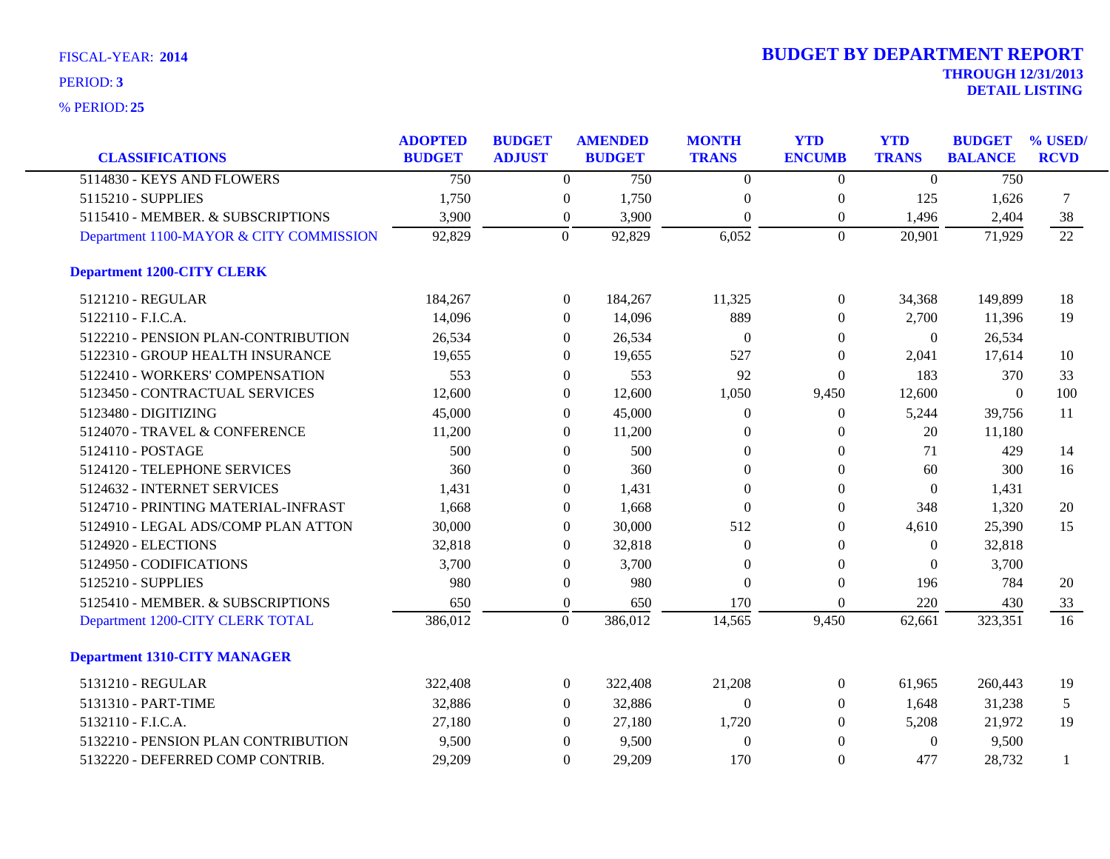| <b>CLASSIFICATIONS</b>                  | <b>ADOPTED</b><br><b>BUDGET</b> | <b>BUDGET</b><br><b>ADJUST</b> |                  | <b>AMENDED</b><br><b>BUDGET</b> | <b>MONTH</b><br><b>TRANS</b> | <b>YTD</b><br><b>ENCUMB</b> | <b>YTD</b><br><b>TRANS</b> | <b>BUDGET</b><br><b>BALANCE</b> | % USED/<br><b>RCVD</b> |
|-----------------------------------------|---------------------------------|--------------------------------|------------------|---------------------------------|------------------------------|-----------------------------|----------------------------|---------------------------------|------------------------|
| 5114830 - KEYS AND FLOWERS              | 750                             |                                | $\Omega$         | 750                             | $\Omega$                     | $\theta$                    | $\Omega$                   | 750                             |                        |
| 5115210 - SUPPLIES                      | 1,750                           |                                | $\boldsymbol{0}$ | 1,750                           | $\theta$                     | $\boldsymbol{0}$            | 125                        | 1,626                           | 7                      |
| 5115410 - MEMBER. & SUBSCRIPTIONS       | 3,900                           |                                | $\overline{0}$   | 3,900                           | $\mathbf{0}$                 | $\boldsymbol{0}$            | 1,496                      | 2,404                           | 38                     |
| Department 1100-MAYOR & CITY COMMISSION | 92,829                          | $\Omega$                       |                  | 92,829                          | 6,052                        | $\overline{0}$              | 20,901                     | 71,929                          | 22                     |
| <b>Department 1200-CITY CLERK</b>       |                                 |                                |                  |                                 |                              |                             |                            |                                 |                        |
| 5121210 - REGULAR                       | 184,267                         |                                | $\overline{0}$   | 184,267                         | 11,325                       | $\boldsymbol{0}$            | 34,368                     | 149,899                         | 18                     |
| 5122110 - F.I.C.A.                      | 14,096                          |                                | 0                | 14,096                          | 889                          | $\overline{0}$              | 2,700                      | 11,396                          | 19                     |
| 5122210 - PENSION PLAN-CONTRIBUTION     | 26,534                          |                                | $\Omega$         | 26,534                          | $\overline{0}$               | $\theta$                    | $\theta$                   | 26,534                          |                        |
| 5122310 - GROUP HEALTH INSURANCE        | 19,655                          |                                | $\Omega$         | 19,655                          | 527                          | $\theta$                    | 2,041                      | 17,614                          | 10                     |
| 5122410 - WORKERS' COMPENSATION         | 553                             |                                | $\overline{0}$   | 553                             | 92                           | $\boldsymbol{0}$            | 183                        | 370                             | 33                     |
| 5123450 - CONTRACTUAL SERVICES          | 12,600                          |                                | $\overline{0}$   | 12,600                          | 1,050                        | 9,450                       | 12,600                     | $\theta$                        | 100                    |
| 5123480 - DIGITIZING                    | 45,000                          |                                | $\overline{0}$   | 45,000                          | $\theta$                     | $\overline{0}$              | 5,244                      | 39,756                          | 11                     |
| 5124070 - TRAVEL & CONFERENCE           | 11,200                          |                                | $\Omega$         | 11,200                          | $\Omega$                     | $\overline{0}$              | 20                         | 11,180                          |                        |
| 5124110 - POSTAGE                       | 500                             |                                | $\overline{0}$   | 500                             | $\theta$                     | $\overline{0}$              | 71                         | 429                             | 14                     |
| 5124120 - TELEPHONE SERVICES            | 360                             |                                | $\Omega$         | 360                             | $\Omega$                     | $\Omega$                    | 60                         | 300                             | 16                     |
| 5124632 - INTERNET SERVICES             | 1,431                           |                                | 0                | 1,431                           | $\theta$                     | $\theta$                    | $\theta$                   | 1,431                           |                        |
| 5124710 - PRINTING MATERIAL-INFRAST     | 1,668                           |                                | $\overline{0}$   | 1,668                           | $\Omega$                     | $\theta$                    | 348                        | 1,320                           | 20                     |
| 5124910 - LEGAL ADS/COMP PLAN ATTON     | 30,000                          |                                | $\Omega$         | 30,000                          | 512                          | $\theta$                    | 4,610                      | 25,390                          | 15                     |
| 5124920 - ELECTIONS                     | 32,818                          |                                | 0                | 32,818                          | $\Omega$                     | $\overline{0}$              | $\theta$                   | 32,818                          |                        |
| 5124950 - CODIFICATIONS                 | 3,700                           |                                | $\boldsymbol{0}$ | 3,700                           | $\Omega$                     | $\theta$                    | $\theta$                   | 3,700                           |                        |
| 5125210 - SUPPLIES                      | 980                             |                                | $\boldsymbol{0}$ | 980                             | $\theta$                     | $\theta$                    | 196                        | 784                             | 20                     |
| 5125410 - MEMBER. & SUBSCRIPTIONS       | 650                             |                                | $\boldsymbol{0}$ | 650                             | 170                          | $\overline{0}$              | 220                        | 430                             | 33                     |
| Department 1200-CITY CLERK TOTAL        | 386,012                         | $\mathbf{0}$                   |                  | 386,012                         | 14,565                       | 9,450                       | 62,661                     | 323,351                         | 16                     |
| <b>Department 1310-CITY MANAGER</b>     |                                 |                                |                  |                                 |                              |                             |                            |                                 |                        |
| 5131210 - REGULAR                       | 322,408                         |                                | $\overline{0}$   | 322,408                         | 21,208                       | $\boldsymbol{0}$            | 61,965                     | 260,443                         | 19                     |
| 5131310 - PART-TIME                     | 32,886                          |                                | $\Omega$         | 32,886                          | $\Omega$                     | $\theta$                    | 1,648                      | 31,238                          | 5                      |
| 5132110 - F.I.C.A.                      | 27,180                          |                                | $\Omega$         | 27,180                          | 1,720                        | $\overline{0}$              | 5,208                      | 21,972                          | 19                     |
| 5132210 - PENSION PLAN CONTRIBUTION     | 9,500                           |                                | $\overline{0}$   | 9,500                           | $\theta$                     | $\theta$                    | $\theta$                   | 9,500                           |                        |
| 5132220 - DEFERRED COMP CONTRIB.        | 29,209                          |                                | $\Omega$         | 29,209                          | 170                          | $\mathbf{0}$                | 477                        | 28,732                          |                        |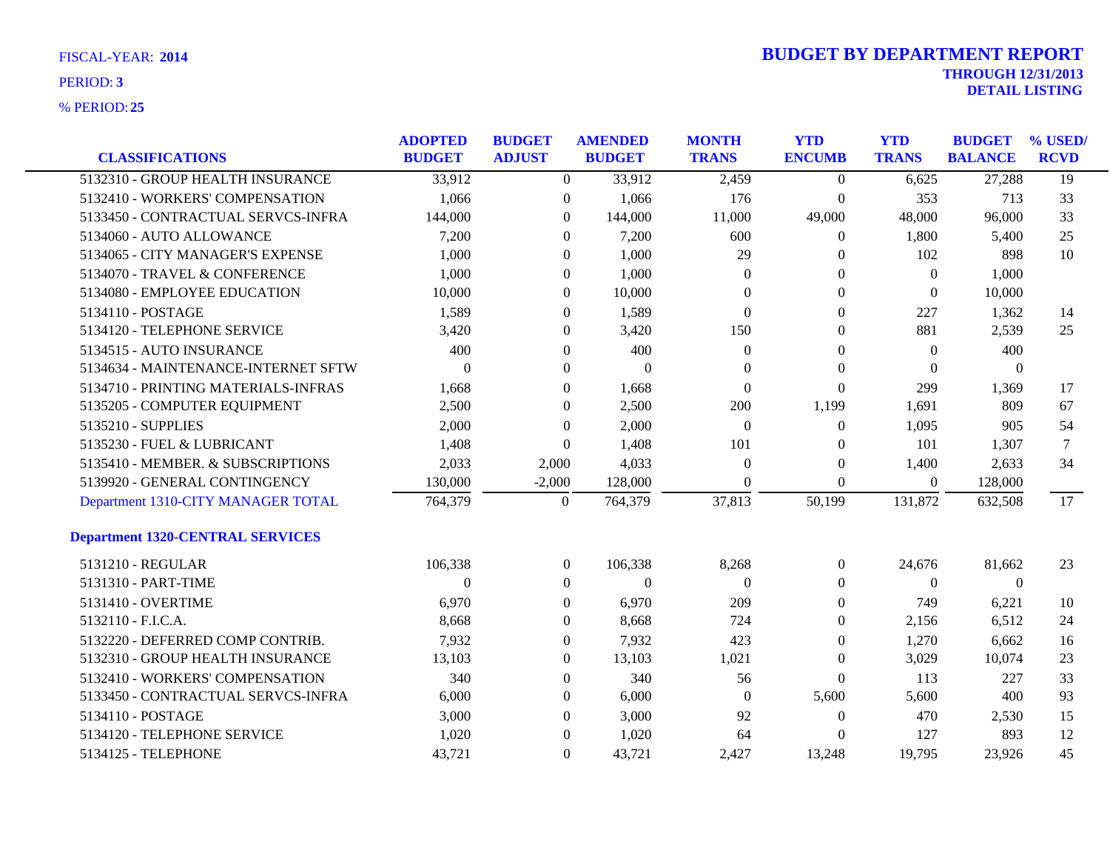|                                         | <b>ADOPTED</b> | <b>BUDGET</b>    | <b>AMENDED</b>   | <b>MONTH</b>     | <b>YTD</b>       | <b>YTD</b>       | <b>BUDGET</b>    | % USED/     |
|-----------------------------------------|----------------|------------------|------------------|------------------|------------------|------------------|------------------|-------------|
| <b>CLASSIFICATIONS</b>                  | <b>BUDGET</b>  | <b>ADJUST</b>    | <b>BUDGET</b>    | <b>TRANS</b>     | <b>ENCUMB</b>    | <b>TRANS</b>     | <b>BALANCE</b>   | <b>RCVD</b> |
| 5132310 - GROUP HEALTH INSURANCE        | 33,912         | $\overline{0}$   | 33,912           | 2,459            | $\overline{0}$   | 6,625            | 27,288           | 19          |
| 5132410 - WORKERS' COMPENSATION         | 1,066          | $\overline{0}$   | 1,066            | 176              | $\boldsymbol{0}$ | 353              | 713              | 33          |
| 5133450 - CONTRACTUAL SERVCS-INFRA      | 144,000        | $\boldsymbol{0}$ | 144,000          | 11,000           | 49,000           | 48,000           | 96,000           | 33          |
| 5134060 - AUTO ALLOWANCE                | 7,200          | $\overline{0}$   | 7,200            | 600              | 0                | 1,800            | 5,400            | 25          |
| 5134065 - CITY MANAGER'S EXPENSE        | 1,000          | $\overline{0}$   | 1,000            | 29               | 0                | 102              | 898              | 10          |
| 5134070 - TRAVEL & CONFERENCE           | 1,000          | $\boldsymbol{0}$ | 1,000            | $\theta$         | 0                | $\boldsymbol{0}$ | 1,000            |             |
| 5134080 - EMPLOYEE EDUCATION            | 10,000         | $\boldsymbol{0}$ | 10,000           | $\theta$         | $\theta$         | $\theta$         | 10,000           |             |
| 5134110 - POSTAGE                       | 1,589          | $\overline{0}$   | 1,589            | $\Omega$         | 0                | 227              | 1,362            | 14          |
| 5134120 - TELEPHONE SERVICE             | 3,420          | $\overline{0}$   | 3,420            | 150              | 0                | 881              | 2,539            | 25          |
| 5134515 - AUTO INSURANCE                | 400            | $\boldsymbol{0}$ | 400              | $\boldsymbol{0}$ | 0                | $\boldsymbol{0}$ | 400              |             |
| 5134634 - MAINTENANCE-INTERNET SFTW     | $\overline{0}$ | $\overline{0}$   | $\overline{0}$   | $\theta$         | $\theta$         | $\theta$         | $\theta$         |             |
| 5134710 - PRINTING MATERIALS-INFRAS     | 1,668          | $\overline{0}$   | 1,668            | $\theta$         | $\mathbf{0}$     | 299              | 1,369            | 17          |
| 5135205 - COMPUTER EQUIPMENT            | 2,500          | $\overline{0}$   | 2,500            | 200              | 1,199            | 1,691            | 809              | 67          |
| 5135210 - SUPPLIES                      | 2,000          | $\overline{0}$   | 2,000            | $\theta$         | $\boldsymbol{0}$ | 1,095            | 905              | 54          |
| 5135230 - FUEL & LUBRICANT              | 1,408          | $\overline{0}$   | 1,408            | 101              | 0                | 101              | 1,307            | $\tau$      |
| 5135410 - MEMBER. & SUBSCRIPTIONS       | 2,033          | 2,000            | 4,033            | $\mathbf{0}$     | 0                | 1,400            | 2,633            | 34          |
| 5139920 - GENERAL CONTINGENCY           | 130,000        | $-2,000$         | 128,000          | $\Omega$         | $\overline{0}$   | $\overline{0}$   | 128,000          |             |
| Department 1310-CITY MANAGER TOTAL      | 764,379        | $\boldsymbol{0}$ | 764,379          | 37,813           | 50,199           | 131,872          | 632,508          | 17          |
| <b>Department 1320-CENTRAL SERVICES</b> |                |                  |                  |                  |                  |                  |                  |             |
| 5131210 - REGULAR                       | 106,338        | $\overline{0}$   | 106,338          | 8,268            | 0                | 24,676           | 81,662           | 23          |
| 5131310 - PART-TIME                     | $\Omega$       | $\boldsymbol{0}$ | $\boldsymbol{0}$ | $\theta$         | 0                | $\overline{0}$   | $\boldsymbol{0}$ |             |
| 5131410 - OVERTIME                      | 6,970          | $\boldsymbol{0}$ | 6,970            | 209              | 0                | 749              | 6,221            | 10          |
| 5132110 - F.I.C.A.                      | 8,668          | $\overline{0}$   | 8,668            | 724              | 0                | 2,156            | 6,512            | 24          |
| 5132220 - DEFERRED COMP CONTRIB.        | 7,932          | $\overline{0}$   | 7,932            | 423              | 0                | 1,270            | 6,662            | 16          |
| 5132310 - GROUP HEALTH INSURANCE        | 13,103         | $\boldsymbol{0}$ | 13,103           | 1,021            | $\theta$         | 3,029            | 10,074           | 23          |
| 5132410 - WORKERS' COMPENSATION         | 340            | $\overline{0}$   | 340              | 56               | $\overline{0}$   | 113              | 227              | 33          |
| 5133450 - CONTRACTUAL SERVCS-INFRA      | 6,000          | $\boldsymbol{0}$ | 6,000            | $\overline{0}$   | 5,600            | 5,600            | 400              | 93          |
| 5134110 - POSTAGE                       | 3,000          | $\overline{0}$   | 3,000            | 92               | $\theta$         | 470              | 2,530            | 15          |
| 5134120 - TELEPHONE SERVICE             | 1,020          | $\overline{0}$   | 1,020            | 64               | 0                | 127              | 893              | 12          |
| 5134125 - TELEPHONE                     | 43,721         | $\Omega$         | 43,721           | 2.427            | 13,248           | 19,795           | 23,926           | 45          |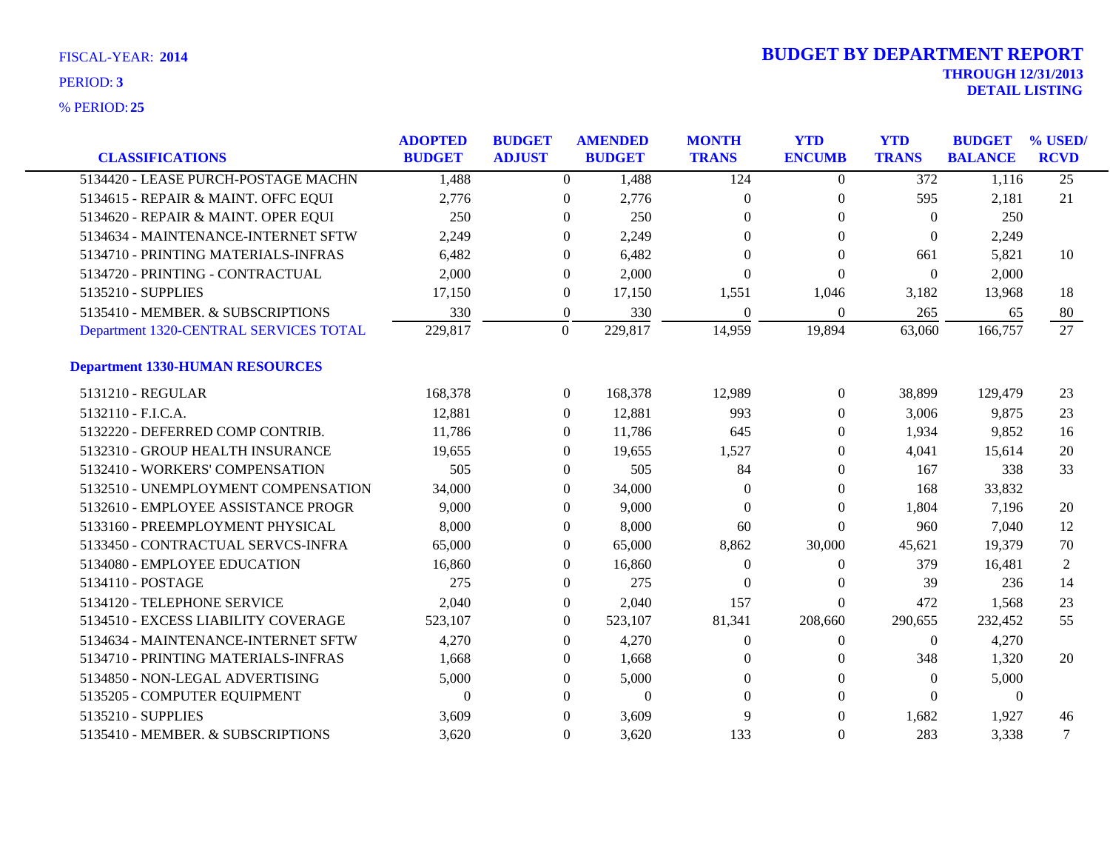| <b>CLASSIFICATIONS</b>                 | <b>ADOPTED</b><br><b>BUDGET</b> | <b>BUDGET</b><br><b>ADJUST</b> |                  | <b>AMENDED</b><br><b>BUDGET</b> | <b>MONTH</b><br><b>TRANS</b> | <b>YTD</b><br><b>ENCUMB</b> | <b>YTD</b><br><b>TRANS</b> | <b>BUDGET</b><br><b>BALANCE</b> | % USED/<br><b>RCVD</b> |
|----------------------------------------|---------------------------------|--------------------------------|------------------|---------------------------------|------------------------------|-----------------------------|----------------------------|---------------------------------|------------------------|
| 5134420 - LEASE PURCH-POSTAGE MACHN    | 1,488                           |                                | $\overline{0}$   | 1,488                           | 124                          | $\theta$                    | $\overline{372}$           | 1,116                           | $\overline{25}$        |
| 5134615 - REPAIR & MAINT. OFFC EQUI    | 2,776                           |                                | $\Omega$         | 2,776                           | $\Omega$                     | $\theta$                    | 595                        | 2,181                           | 21                     |
| 5134620 - REPAIR & MAINT. OPER EQUI    | 250                             |                                | $\Omega$         | 250                             | $\Omega$                     | $\Omega$                    | $\Omega$                   | 250                             |                        |
| 5134634 - MAINTENANCE-INTERNET SFTW    | 2,249                           |                                | $\Omega$         | 2,249                           | $\Omega$                     | $\Omega$                    | $\overline{0}$             | 2,249                           |                        |
| 5134710 - PRINTING MATERIALS-INFRAS    | 6,482                           |                                | $\overline{0}$   | 6,482                           | $\Omega$                     | $\Omega$                    | 661                        | 5,821                           | 10                     |
| 5134720 - PRINTING - CONTRACTUAL       | 2,000                           |                                | $\overline{0}$   | 2,000                           | $\Omega$                     | $\Omega$                    | $\Omega$                   | 2,000                           |                        |
| 5135210 - SUPPLIES                     | 17,150                          |                                | $\boldsymbol{0}$ | 17,150                          | 1,551                        | 1,046                       | 3,182                      | 13,968                          | 18                     |
| 5135410 - MEMBER, & SUBSCRIPTIONS      | 330                             |                                | $\boldsymbol{0}$ | 330                             | $\theta$                     | $\theta$                    | 265                        | 65                              | 80                     |
| Department 1320-CENTRAL SERVICES TOTAL | 229,817                         |                                | $\Omega$         | 229,817                         | 14,959                       | 19,894                      | 63,060                     | 166,757                         | 27                     |
| <b>Department 1330-HUMAN RESOURCES</b> |                                 |                                |                  |                                 |                              |                             |                            |                                 |                        |
| 5131210 - REGULAR                      | 168,378                         |                                | $\overline{0}$   | 168,378                         | 12,989                       | $\overline{0}$              | 38,899                     | 129,479                         | 23                     |
| 5132110 - F.I.C.A.                     | 12,881                          |                                | $\overline{0}$   | 12,881                          | 993                          | $\overline{0}$              | 3,006                      | 9,875                           | 23                     |
| 5132220 - DEFERRED COMP CONTRIB.       | 11,786                          |                                | $\overline{0}$   | 11,786                          | 645                          | $\Omega$                    | 1,934                      | 9,852                           | 16                     |
| 5132310 - GROUP HEALTH INSURANCE       | 19,655                          |                                | $\Omega$         | 19,655                          | 1,527                        | $\Omega$                    | 4,041                      | 15,614                          | 20                     |
| 5132410 - WORKERS' COMPENSATION        | 505                             |                                | $\Omega$         | 505                             | 84                           | $\Omega$                    | 167                        | 338                             | 33                     |
| 5132510 - UNEMPLOYMENT COMPENSATION    | 34,000                          |                                | $\overline{0}$   | 34,000                          | $\Omega$                     | $\theta$                    | 168                        | 33,832                          |                        |
| 5132610 - EMPLOYEE ASSISTANCE PROGR    | 9,000                           |                                | 0                | 9,000                           | $\Omega$                     | $\Omega$                    | 1,804                      | 7,196                           | 20                     |
| 5133160 - PREEMPLOYMENT PHYSICAL       | 8,000                           |                                | $\Omega$         | 8,000                           | 60                           | $\Omega$                    | 960                        | 7,040                           | 12                     |
| 5133450 - CONTRACTUAL SERVCS-INFRA     | 65,000                          |                                | $\overline{0}$   | 65,000                          | 8,862                        | 30,000                      | 45,621                     | 19,379                          | 70                     |
| 5134080 - EMPLOYEE EDUCATION           | 16,860                          |                                | $\overline{0}$   | 16,860                          | $\Omega$                     | $\theta$                    | 379                        | 16,481                          | 2                      |
| 5134110 - POSTAGE                      | 275                             |                                | $\overline{0}$   | 275                             | $\theta$                     | $\Omega$                    | 39                         | 236                             | 14                     |
| 5134120 - TELEPHONE SERVICE            | 2,040                           |                                | $\overline{0}$   | 2,040                           | 157                          | $\Omega$                    | 472                        | 1,568                           | 23                     |
| 5134510 - EXCESS LIABILITY COVERAGE    | 523,107                         |                                | $\overline{0}$   | 523,107                         | 81,341                       | 208,660                     | 290,655                    | 232,452                         | 55                     |
| 5134634 - MAINTENANCE-INTERNET SFTW    | 4,270                           |                                | $\theta$         | 4,270                           | $\Omega$                     | $\theta$                    | $\Omega$                   | 4,270                           |                        |
| 5134710 - PRINTING MATERIALS-INFRAS    | 1,668                           |                                | 0                | 1,668                           | $\Omega$                     | $\theta$                    | 348                        | 1,320                           | 20                     |
| 5134850 - NON-LEGAL ADVERTISING        | 5,000                           |                                | $\theta$         | 5,000                           | $\Omega$                     | $\Omega$                    | $\Omega$                   | 5,000                           |                        |
| 5135205 - COMPUTER EQUIPMENT           | $\theta$                        |                                | $\Omega$         | $\mathbf{0}$                    | $\Omega$                     | $\Omega$                    | $\Omega$                   | $\theta$                        |                        |
| 5135210 - SUPPLIES                     | 3,609                           |                                | $\Omega$         | 3,609                           | 9                            | $\Omega$                    | 1,682                      | 1,927                           | 46                     |
| 5135410 - MEMBER. & SUBSCRIPTIONS      | 3,620                           |                                | $\Omega$         | 3,620                           | 133                          | $\Omega$                    | 283                        | 3,338                           | 7                      |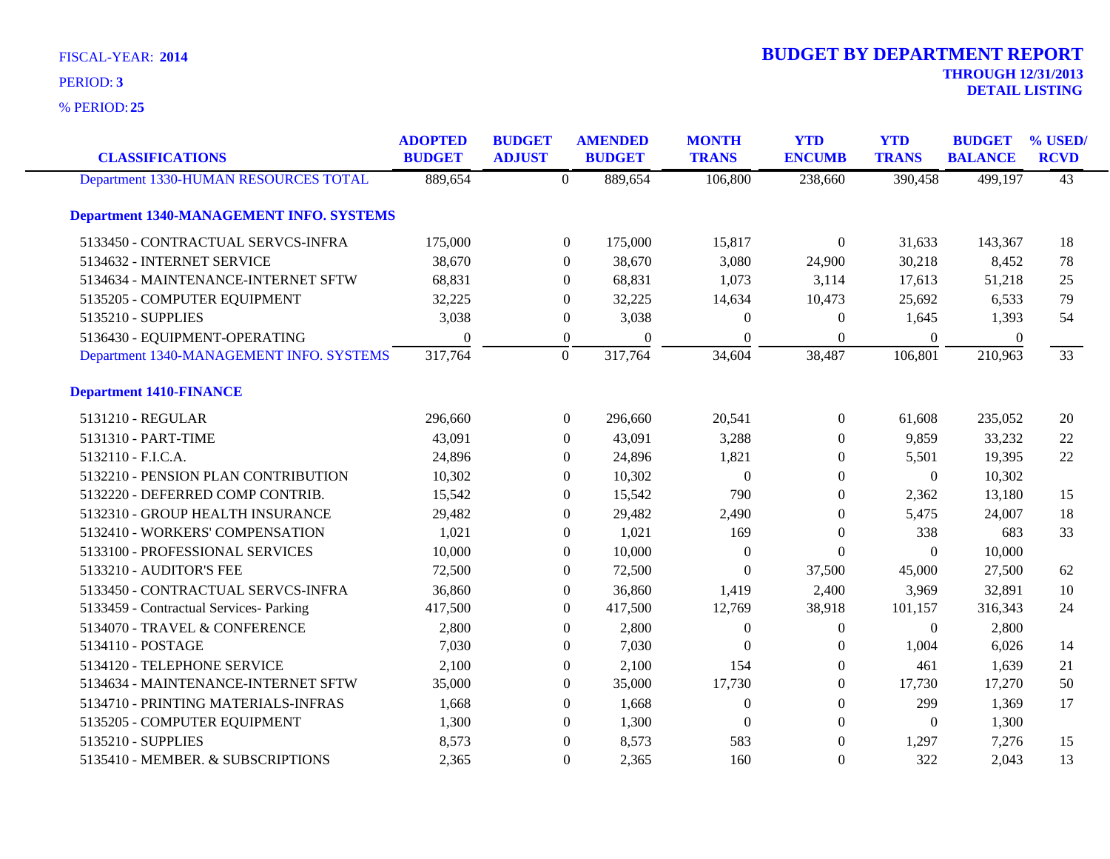**25** % PERIOD:

| <b>CLASSIFICATIONS</b>                          | <b>ADOPTED</b><br><b>BUDGET</b> | <b>BUDGET</b><br><b>ADJUST</b> |                  | <b>AMENDED</b><br><b>BUDGET</b> | <b>MONTH</b><br><b>TRANS</b> | <b>YTD</b><br><b>ENCUMB</b> | <b>YTD</b><br><b>TRANS</b> | <b>BUDGET</b><br><b>BALANCE</b> | % USED/<br><b>RCVD</b> |
|-------------------------------------------------|---------------------------------|--------------------------------|------------------|---------------------------------|------------------------------|-----------------------------|----------------------------|---------------------------------|------------------------|
| Department 1330-HUMAN RESOURCES TOTAL           | 889,654                         |                                | $\Omega$         | 889,654                         | 106,800                      | 238,660                     | 390,458                    | 499,197                         | $\overline{43}$        |
| <b>Department 1340-MANAGEMENT INFO. SYSTEMS</b> |                                 |                                |                  |                                 |                              |                             |                            |                                 |                        |
| 5133450 - CONTRACTUAL SERVCS-INFRA              | 175,000                         |                                | $\boldsymbol{0}$ | 175,000                         | 15,817                       | $\Omega$                    | 31,633                     | 143,367                         | 18                     |
| 5134632 - INTERNET SERVICE                      | 38,670                          |                                | $\Omega$         | 38,670                          | 3,080                        | 24,900                      | 30,218                     | 8,452                           | 78                     |
| 5134634 - MAINTENANCE-INTERNET SFTW             | 68,831                          |                                | $\Omega$         | 68,831                          | 1,073                        | 3,114                       | 17,613                     | 51,218                          | 25                     |
| 5135205 - COMPUTER EQUIPMENT                    | 32,225                          |                                | $\Omega$         | 32,225                          | 14,634                       | 10,473                      | 25,692                     | 6,533                           | 79                     |
| 5135210 - SUPPLIES                              | 3,038                           |                                | $\boldsymbol{0}$ | 3,038                           | $\theta$                     | $\overline{0}$              | 1,645                      | 1,393                           | 54                     |
| 5136430 - EQUIPMENT-OPERATING                   | $\theta$                        |                                | $\boldsymbol{0}$ | $\theta$                        | $\theta$                     | $\theta$                    | $\mathbf{0}$               | $\theta$                        |                        |
| Department 1340-MANAGEMENT INFO. SYSTEMS        | 317,764                         |                                | $\overline{0}$   | 317,764                         | 34,604                       | 38,487                      | 106,801                    | 210,963                         | 33                     |
| <b>Department 1410-FINANCE</b>                  |                                 |                                |                  |                                 |                              |                             |                            |                                 |                        |
| 5131210 - REGULAR                               | 296,660                         |                                | $\boldsymbol{0}$ | 296,660                         | 20,541                       | $\boldsymbol{0}$            | 61,608                     | 235,052                         | 20                     |
| 5131310 - PART-TIME                             | 43,091                          |                                | $\theta$         | 43,091                          | 3,288                        | $\overline{0}$              | 9,859                      | 33,232                          | 22                     |
| 5132110 - F.I.C.A.                              | 24,896                          |                                | $\Omega$         | 24,896                          | 1,821                        | $\Omega$                    | 5,501                      | 19,395                          | 22                     |
| 5132210 - PENSION PLAN CONTRIBUTION             | 10,302                          |                                | $\overline{0}$   | 10,302                          | $\overline{0}$               | $\mathbf{0}$                | $\boldsymbol{0}$           | 10,302                          |                        |
| 5132220 - DEFERRED COMP CONTRIB.                | 15,542                          |                                | $\theta$         | 15,542                          | 790                          | $\Omega$                    | 2,362                      | 13,180                          | 15                     |
| 5132310 - GROUP HEALTH INSURANCE                | 29,482                          |                                | $\Omega$         | 29,482                          | 2,490                        | $\mathbf{0}$                | 5,475                      | 24,007                          | 18                     |
| 5132410 - WORKERS' COMPENSATION                 | 1,021                           |                                | $\theta$         | 1,021                           | 169                          | $\overline{0}$              | 338                        | 683                             | 33                     |
| 5133100 - PROFESSIONAL SERVICES                 | 10,000                          |                                | $\Omega$         | 10,000                          | $\theta$                     | $\Omega$                    | $\theta$                   | 10,000                          |                        |
| 5133210 - AUDITOR'S FEE                         | 72,500                          |                                | $\overline{0}$   | 72,500                          | $\Omega$                     | 37,500                      | 45,000                     | 27,500                          | 62                     |
| 5133450 - CONTRACTUAL SERVCS-INFRA              | 36,860                          |                                | $\boldsymbol{0}$ | 36,860                          | 1,419                        | 2,400                       | 3,969                      | 32,891                          | 10                     |
| 5133459 - Contractual Services- Parking         | 417,500                         |                                | $\theta$         | 417,500                         | 12,769                       | 38,918                      | 101,157                    | 316,343                         | 24                     |
| 5134070 - TRAVEL & CONFERENCE                   | 2,800                           |                                | $\Omega$         | 2,800                           | $\mathbf{0}$                 | $\Omega$                    | $\Omega$                   | 2,800                           |                        |
| 5134110 - POSTAGE                               | 7,030                           |                                | $\Omega$         | 7,030                           | $\Omega$                     | $\Omega$                    | 1,004                      | 6,026                           | 14                     |
| 5134120 - TELEPHONE SERVICE                     | 2,100                           |                                | $\theta$         | 2,100                           | 154                          | $\overline{0}$              | 461                        | 1,639                           | 21                     |
| 5134634 - MAINTENANCE-INTERNET SFTW             | 35,000                          |                                | $\theta$         | 35,000                          | 17,730                       | $\overline{0}$              | 17,730                     | 17,270                          | 50                     |
| 5134710 - PRINTING MATERIALS-INFRAS             | 1,668                           |                                | $\Omega$         | 1,668                           | $\mathbf{0}$                 | $\Omega$                    | 299                        | 1,369                           | 17                     |
| 5135205 - COMPUTER EQUIPMENT                    | 1,300                           |                                | $\Omega$         | 1,300                           | $\theta$                     | $\Omega$                    | $\theta$                   | 1,300                           |                        |
| 5135210 - SUPPLIES                              | 8,573                           |                                | $\Omega$         | 8,573                           | 583                          | $\theta$                    | 1,297                      | 7,276                           | 15                     |
| 5135410 - MEMBER. & SUBSCRIPTIONS               | 2,365                           |                                | $\theta$         | 2,365                           | 160                          | $\Omega$                    | 322                        | 2,043                           | 13                     |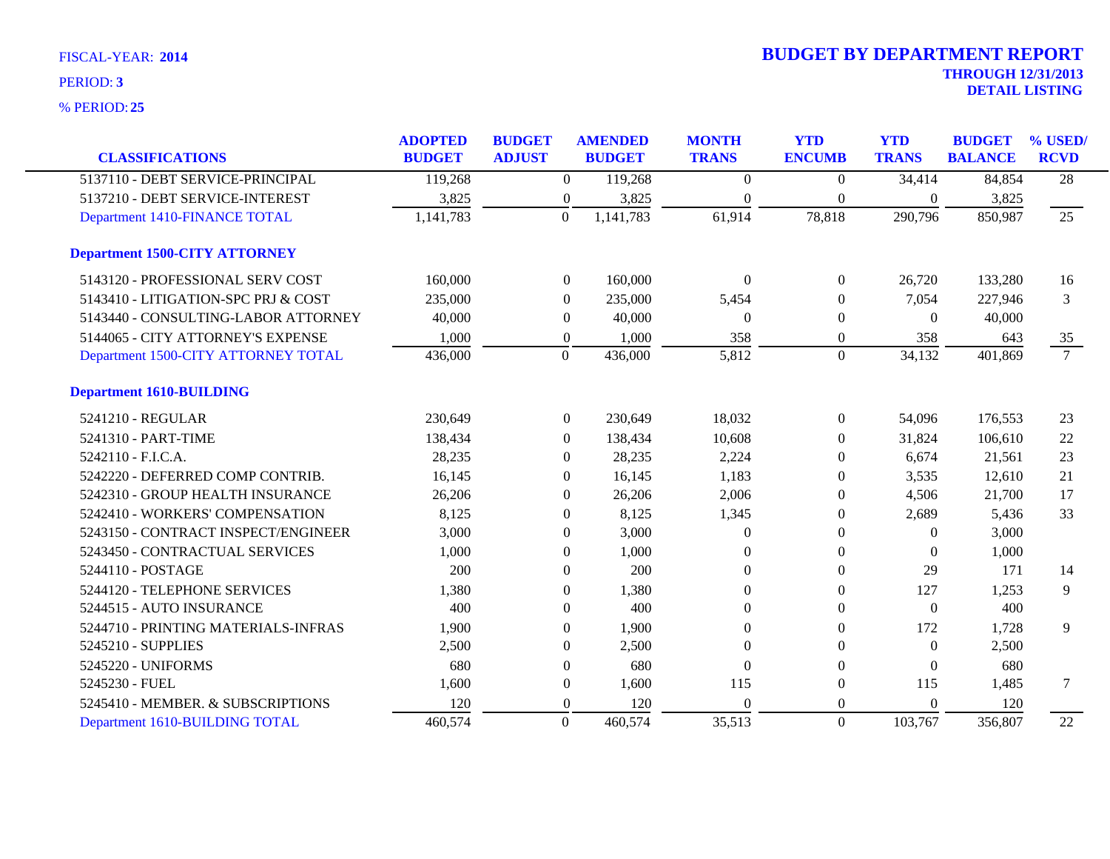| <b>CLASSIFICATIONS</b>               | <b>ADOPTED</b><br><b>BUDGET</b> | <b>BUDGET</b><br><b>ADJUST</b> |                  | <b>AMENDED</b><br><b>BUDGET</b> | <b>MONTH</b><br><b>TRANS</b> | <b>YTD</b><br><b>ENCUMB</b> | <b>YTD</b><br><b>TRANS</b> | <b>BUDGET</b><br><b>BALANCE</b> | % USED/<br><b>RCVD</b> |
|--------------------------------------|---------------------------------|--------------------------------|------------------|---------------------------------|------------------------------|-----------------------------|----------------------------|---------------------------------|------------------------|
|                                      |                                 |                                |                  |                                 |                              |                             |                            |                                 |                        |
| 5137110 - DEBT SERVICE-PRINCIPAL     | 119,268                         |                                | $\overline{0}$   | 119,268                         | $\theta$                     | $\theta$                    | 34,414                     | 84,854                          | $\overline{28}$        |
| 5137210 - DEBT SERVICE-INTEREST      | 3,825                           |                                | $\boldsymbol{0}$ | 3,825                           | $\Omega$                     | $\mathbf{0}$                | $\overline{0}$             | 3,825                           |                        |
| Department 1410-FINANCE TOTAL        | 1,141,783                       |                                | $\overline{0}$   | 1,141,783                       | 61,914                       | 78,818                      | 290,796                    | 850,987                         | $\overline{25}$        |
| <b>Department 1500-CITY ATTORNEY</b> |                                 |                                |                  |                                 |                              |                             |                            |                                 |                        |
| 5143120 - PROFESSIONAL SERV COST     | 160,000                         |                                | $\overline{0}$   | 160,000                         | $\Omega$                     | $\theta$                    | 26,720                     | 133,280                         | 16                     |
| 5143410 - LITIGATION-SPC PRJ & COST  | 235,000                         |                                | $\theta$         | 235,000                         | 5,454                        | $\Omega$                    | 7,054                      | 227,946                         | 3                      |
| 5143440 - CONSULTING-LABOR ATTORNEY  | 40,000                          |                                | $\theta$         | 40,000                          | $\Omega$                     | $\Omega$                    | $\overline{0}$             | 40,000                          |                        |
| 5144065 - CITY ATTORNEY'S EXPENSE    | 1,000                           |                                | $\overline{0}$   | 1,000                           | 358                          | $\mathbf{0}$                | 358                        | 643                             | 35                     |
| Department 1500-CITY ATTORNEY TOTAL  | 436,000                         |                                | $\overline{0}$   | 436,000                         | 5,812                        | $\overline{0}$              | 34,132                     | 401,869                         | $\overline{7}$         |
| <b>Department 1610-BUILDING</b>      |                                 |                                |                  |                                 |                              |                             |                            |                                 |                        |
| 5241210 - REGULAR                    | 230,649                         |                                | $\boldsymbol{0}$ | 230,649                         | 18,032                       | $\boldsymbol{0}$            | 54,096                     | 176,553                         | 23                     |
| 5241310 - PART-TIME                  | 138,434                         |                                | $\overline{0}$   | 138,434                         | 10,608                       | $\Omega$                    | 31,824                     | 106,610                         | 22                     |
| 5242110 - F.I.C.A.                   | 28,235                          |                                | $\Omega$         | 28,235                          | 2,224                        | $\Omega$                    | 6,674                      | 21,561                          | 23                     |
| 5242220 - DEFERRED COMP CONTRIB.     | 16,145                          |                                | $\theta$         | 16,145                          | 1,183                        | $\Omega$                    | 3,535                      | 12,610                          | 21                     |
| 5242310 - GROUP HEALTH INSURANCE     | 26,206                          |                                | $\theta$         | 26,206                          | 2,006                        | $\bf{0}$                    | 4,506                      | 21,700                          | 17                     |
| 5242410 - WORKERS' COMPENSATION      | 8,125                           |                                | $\theta$         | 8,125                           | 1,345                        | $\mathbf{0}$                | 2,689                      | 5,436                           | 33                     |
| 5243150 - CONTRACT INSPECT/ENGINEER  | 3,000                           |                                | $\theta$         | 3,000                           | $\Omega$                     | $\Omega$                    | $\overline{0}$             | 3,000                           |                        |
| 5243450 - CONTRACTUAL SERVICES       | 1,000                           |                                | $\Omega$         | 1,000                           | $\Omega$                     | $\Omega$                    | $\Omega$                   | 1,000                           |                        |
| 5244110 - POSTAGE                    | 200                             |                                | $\Omega$         | 200                             | $\theta$                     | $\theta$                    | 29                         | 171                             | 14                     |
| 5244120 - TELEPHONE SERVICES         | 1,380                           |                                | $\Omega$         | 1,380                           | $\Omega$                     | $\theta$                    | 127                        | 1,253                           | 9                      |
| 5244515 - AUTO INSURANCE             | 400                             |                                | $\Omega$         | 400                             | $\Omega$                     | $\Omega$                    | $\theta$                   | 400                             |                        |
| 5244710 - PRINTING MATERIALS-INFRAS  | 1,900                           |                                | $\mathbf{0}$     | 1,900                           | $\Omega$                     | $\mathbf{0}$                | 172                        | 1,728                           | 9                      |
| 5245210 - SUPPLIES                   | 2,500                           |                                | $\theta$         | 2,500                           | $\Omega$                     | $\Omega$                    | $\overline{0}$             | 2,500                           |                        |
| 5245220 - UNIFORMS                   | 680                             |                                | $\mathbf{0}$     | 680                             | $\Omega$                     | $\theta$                    | $\theta$                   | 680                             |                        |
| 5245230 - FUEL                       | 1,600                           |                                | $\boldsymbol{0}$ | 1,600                           | 115                          | $\mathbf{0}$                | 115                        | 1,485                           | $\tau$                 |
| 5245410 - MEMBER. & SUBSCRIPTIONS    | 120                             |                                | $\boldsymbol{0}$ | 120                             | $\Omega$                     | $\theta$                    | $\mathbf{0}$               | 120                             |                        |
| Department 1610-BUILDING TOTAL       | 460,574                         |                                | $\Omega$         | 460,574                         | 35,513                       | $\overline{0}$              | 103,767                    | 356,807                         | 22                     |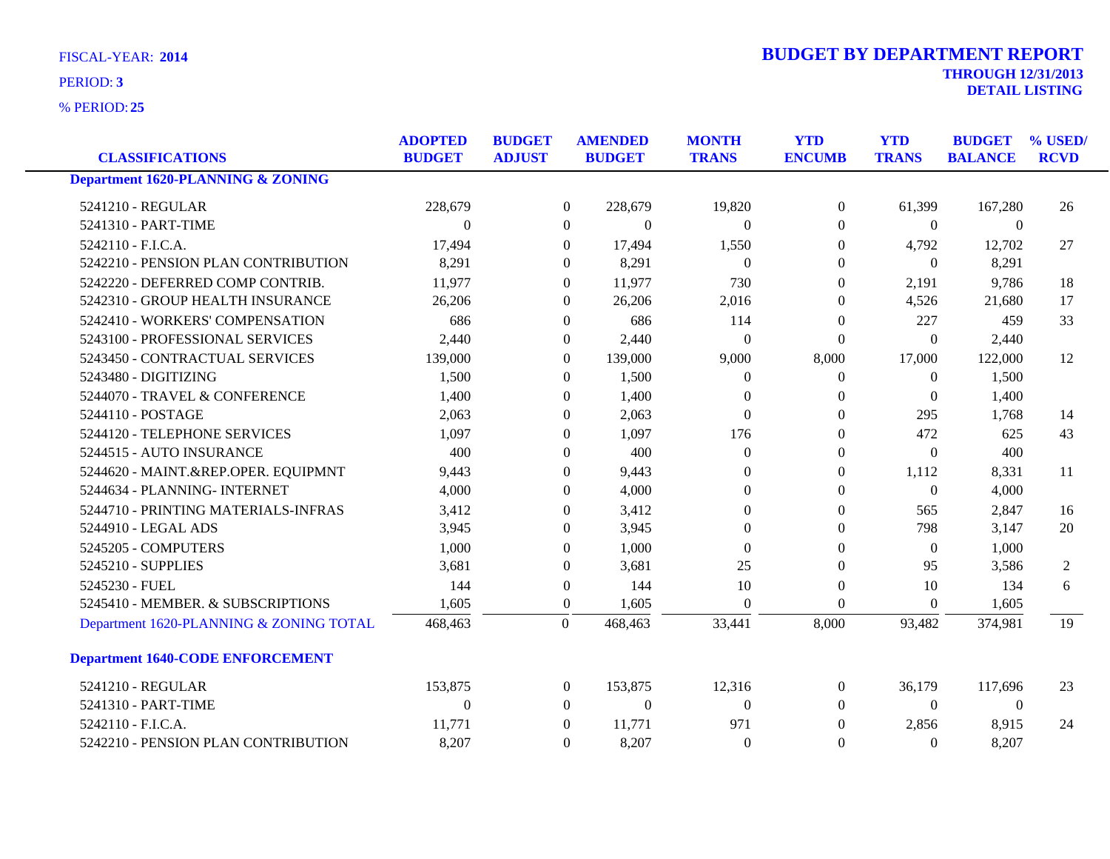**25** % PERIOD:

| <b>DETAIL LISTING</b> |
|-----------------------|
|                       |

|                                         | <b>ADOPTED</b> | <b>BUDGET</b> |                | <b>AMENDED</b>   | <b>MONTH</b>     | <b>YTD</b>       | <b>YTD</b>       | <b>BUDGET</b>  | % USED/     |
|-----------------------------------------|----------------|---------------|----------------|------------------|------------------|------------------|------------------|----------------|-------------|
| <b>CLASSIFICATIONS</b>                  | <b>BUDGET</b>  | <b>ADJUST</b> |                | <b>BUDGET</b>    | <b>TRANS</b>     | <b>ENCUMB</b>    | <b>TRANS</b>     | <b>BALANCE</b> | <b>RCVD</b> |
| Department 1620-PLANNING & ZONING       |                |               |                |                  |                  |                  |                  |                |             |
| 5241210 - REGULAR                       | 228,679        |               | $\mathbf{0}$   | 228,679          | 19,820           | $\boldsymbol{0}$ | 61,399           | 167,280        | 26          |
| 5241310 - PART-TIME                     | $\Omega$       |               | $\Omega$       | $\theta$         | $\Omega$         | $\theta$         | $\Omega$         | $\Omega$       |             |
| 5242110 - F.I.C.A.                      | 17,494         |               | $\overline{0}$ | 17,494           | 1,550            | $\theta$         | 4,792            | 12,702         | 27          |
| 5242210 - PENSION PLAN CONTRIBUTION     | 8,291          |               | $\overline{0}$ | 8,291            | $\theta$         | $\overline{0}$   | $\theta$         | 8,291          |             |
| 5242220 - DEFERRED COMP CONTRIB.        | 11,977         |               | $\overline{0}$ | 11,977           | 730              | $\theta$         | 2,191            | 9,786          | 18          |
| 5242310 - GROUP HEALTH INSURANCE        | 26,206         |               | $\overline{0}$ | 26,206           | 2,016            | $\theta$         | 4,526            | 21,680         | 17          |
| 5242410 - WORKERS' COMPENSATION         | 686            |               | $\overline{0}$ | 686              | 114              | $\boldsymbol{0}$ | 227              | 459            | 33          |
| 5243100 - PROFESSIONAL SERVICES         | 2,440          |               | 0              | 2,440            | $\boldsymbol{0}$ | $\mathbf{0}$     | $\boldsymbol{0}$ | 2,440          |             |
| 5243450 - CONTRACTUAL SERVICES          | 139,000        |               | $\Omega$       | 139,000          | 9,000            | 8,000            | 17,000           | 122,000        | 12          |
| 5243480 - DIGITIZING                    | 1,500          |               | $\overline{0}$ | 1,500            | $\theta$         | $\theta$         | $\mathbf{0}$     | 1,500          |             |
| 5244070 - TRAVEL & CONFERENCE           | 1,400          |               | 0              | 1,400            | $\overline{0}$   | $\boldsymbol{0}$ | $\theta$         | 1,400          |             |
| 5244110 - POSTAGE                       | 2,063          |               | $\overline{0}$ | 2,063            | $\theta$         | $\boldsymbol{0}$ | 295              | 1,768          | 14          |
| 5244120 - TELEPHONE SERVICES            | 1,097          |               | $\Omega$       | 1,097            | 176              | $\overline{0}$   | 472              | 625            | 43          |
| 5244515 - AUTO INSURANCE                | 400            |               | $\overline{0}$ | 400              | $\theta$         | $\overline{0}$   | $\mathbf{0}$     | 400            |             |
| 5244620 - MAINT.&REP.OPER. EQUIPMNT     | 9,443          |               | $\overline{0}$ | 9,443            | $\overline{0}$   | $\boldsymbol{0}$ | 1,112            | 8,331          | 11          |
| 5244634 - PLANNING- INTERNET            | 4,000          |               | $\Omega$       | 4,000            | $\Omega$         | $\theta$         | $\Omega$         | 4,000          |             |
| 5244710 - PRINTING MATERIALS-INFRAS     | 3,412          |               | $\mathbf{0}$   | 3,412            | $\theta$         | $\boldsymbol{0}$ | 565              | 2,847          | 16          |
| 5244910 - LEGAL ADS                     | 3,945          |               | $\overline{0}$ | 3,945            | $\theta$         | $\overline{0}$   | 798              | 3,147          | 20          |
| 5245205 - COMPUTERS                     | 1,000          |               | $\overline{0}$ | 1,000            | $\Omega$         | $\overline{0}$   | $\theta$         | 1,000          |             |
| 5245210 - SUPPLIES                      | 3,681          |               | $\overline{0}$ | 3,681            | 25               | $\theta$         | 95               | 3,586          | 2           |
| 5245230 - FUEL                          | 144            |               | $\overline{0}$ | 144              | 10               | $\mathbf{0}$     | 10               | 134            | 6           |
| 5245410 - MEMBER. & SUBSCRIPTIONS       | 1,605          |               | $\mathbf{0}$   | 1,605            | $\Omega$         | $\mathbf{0}$     | $\overline{0}$   | 1,605          |             |
| Department 1620-PLANNING & ZONING TOTAL | 468,463        |               | $\Omega$       | 468,463          | 33,441           | 8,000            | 93,482           | 374,981        | 19          |
| <b>Department 1640-CODE ENFORCEMENT</b> |                |               |                |                  |                  |                  |                  |                |             |
| 5241210 - REGULAR                       | 153,875        |               | $\mathbf{0}$   | 153,875          | 12,316           | $\overline{0}$   | 36,179           | 117,696        | 23          |
| 5241310 - PART-TIME                     | $\theta$       |               | $\overline{0}$ | $\boldsymbol{0}$ | $\Omega$         | $\overline{0}$   | $\Omega$         | $\mathbf{0}$   |             |
| 5242110 - F.I.C.A.                      | 11,771         |               | $\overline{0}$ | 11,771           | 971              | $\theta$         | 2,856            | 8,915          | 24          |
| 5242210 - PENSION PLAN CONTRIBUTION     | 8,207          |               | $\overline{0}$ | 8,207            | $\overline{0}$   | $\theta$         | $\Omega$         | 8,207          |             |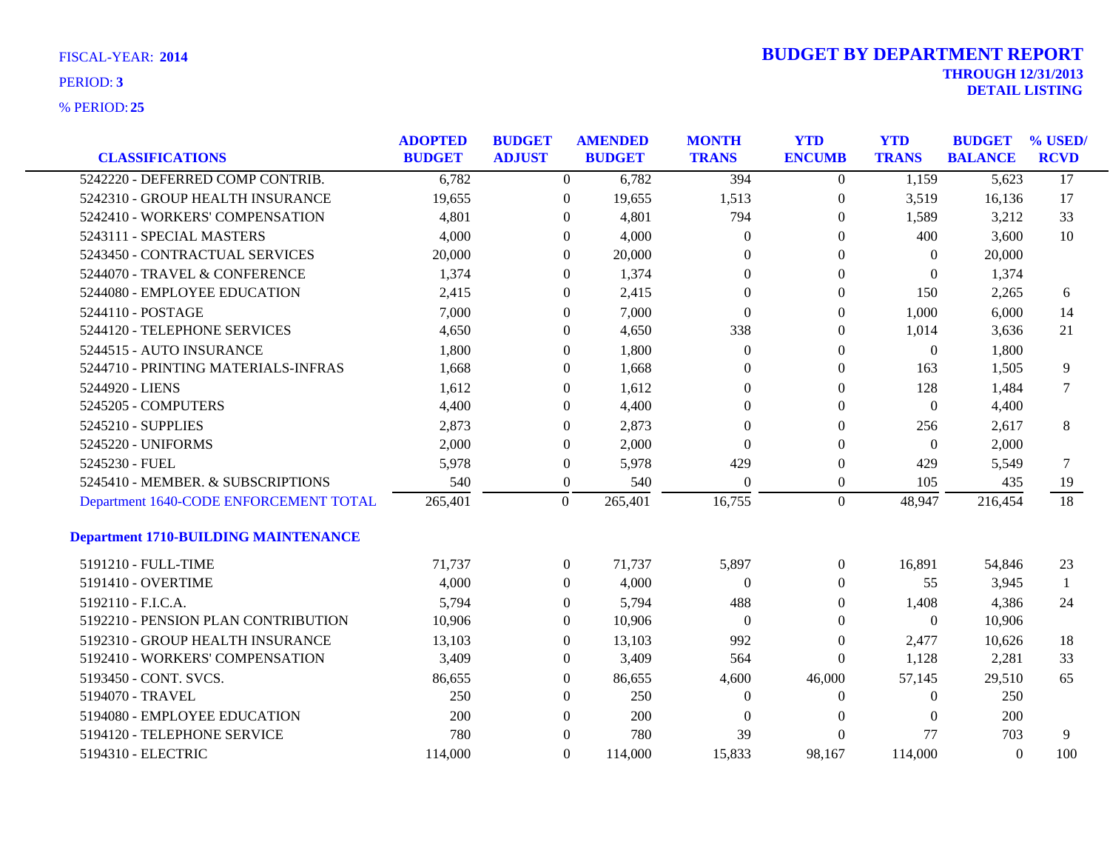| <b>FISCAL-YEAR: 2014</b> |  |
|--------------------------|--|
|                          |  |

|                                             | <b>ADOPTED</b> | <b>BUDGET</b> |                  | <b>AMENDED</b> | <b>MONTH</b>     | <b>YTD</b>       | <b>YTD</b>       | <b>BUDGET</b>  | % USED/         |
|---------------------------------------------|----------------|---------------|------------------|----------------|------------------|------------------|------------------|----------------|-----------------|
| <b>CLASSIFICATIONS</b>                      | <b>BUDGET</b>  | <b>ADJUST</b> |                  | <b>BUDGET</b>  | <b>TRANS</b>     | <b>ENCUMB</b>    | <b>TRANS</b>     | <b>BALANCE</b> | <b>RCVD</b>     |
| 5242220 - DEFERRED COMP CONTRIB.            | 6,782          |               | $\overline{0}$   | 6,782          | 394              | $\overline{0}$   | 1,159            | 5,623          | $\overline{17}$ |
| 5242310 - GROUP HEALTH INSURANCE            | 19,655         |               | $\boldsymbol{0}$ | 19,655         | 1,513            | $\boldsymbol{0}$ | 3,519            | 16,136         | 17              |
| 5242410 - WORKERS' COMPENSATION             | 4,801          |               | $\overline{0}$   | 4,801          | 794              | $\boldsymbol{0}$ | 1,589            | 3,212          | 33              |
| 5243111 - SPECIAL MASTERS                   | 4,000          |               | $\Omega$         | 4,000          | $\overline{0}$   | $\Omega$         | 400              | 3,600          | 10              |
| 5243450 - CONTRACTUAL SERVICES              | 20,000         |               | $\theta$         | 20,000         | $\theta$         | $\overline{0}$   | $\Omega$         | 20,000         |                 |
| 5244070 - TRAVEL & CONFERENCE               | 1,374          |               | $\overline{0}$   | 1,374          | $\Omega$         | $\boldsymbol{0}$ | $\boldsymbol{0}$ | 1,374          |                 |
| 5244080 - EMPLOYEE EDUCATION                | 2,415          |               | $\boldsymbol{0}$ | 2,415          | $\mathbf{0}$     | $\boldsymbol{0}$ | 150              | 2,265          | 6               |
| 5244110 - POSTAGE                           | 7,000          |               | $\theta$         | 7,000          | $\overline{0}$   | $\overline{0}$   | 1,000            | 6,000          | 14              |
| 5244120 - TELEPHONE SERVICES                | 4,650          |               | $\theta$         | 4,650          | 338              | $\boldsymbol{0}$ | 1,014            | 3,636          | 21              |
| 5244515 - AUTO INSURANCE                    | 1,800          |               | $\boldsymbol{0}$ | 1,800          | $\boldsymbol{0}$ | 0                | $\boldsymbol{0}$ | 1,800          |                 |
| 5244710 - PRINTING MATERIALS-INFRAS         | 1,668          |               | $\overline{0}$   | 1,668          | $\overline{0}$   | $\boldsymbol{0}$ | 163              | 1,505          | 9               |
| 5244920 - LIENS                             | 1,612          |               | $\Omega$         | 1,612          | $\Omega$         | $\overline{0}$   | 128              | 1,484          | 7               |
| 5245205 - COMPUTERS                         | 4,400          |               | $\theta$         | 4,400          | $\Omega$         | $\mathbf{0}$     | $\Omega$         | 4,400          |                 |
| 5245210 - SUPPLIES                          | 2,873          |               | $\boldsymbol{0}$ | 2,873          | $\theta$         | $\boldsymbol{0}$ | 256              | 2,617          | 8               |
| 5245220 - UNIFORMS                          | 2,000          |               | $\boldsymbol{0}$ | 2,000          | $\mathbf{0}$     | $\boldsymbol{0}$ | $\boldsymbol{0}$ | 2,000          |                 |
| 5245230 - FUEL                              | 5,978          |               | $\boldsymbol{0}$ | 5,978          | 429              | $\boldsymbol{0}$ | 429              | 5,549          | 7               |
| 5245410 - MEMBER. & SUBSCRIPTIONS           | 540            |               | $\boldsymbol{0}$ | 540            | $\Omega$         | $\boldsymbol{0}$ | 105              | 435            | 19              |
| Department 1640-CODE ENFORCEMENT TOTAL      | 265,401        |               | $\overline{0}$   | 265,401        | 16,755           | $\overline{0}$   | 48,947           | 216,454        | 18              |
| <b>Department 1710-BUILDING MAINTENANCE</b> |                |               |                  |                |                  |                  |                  |                |                 |
| 5191210 - FULL-TIME                         | 71,737         |               | $\overline{0}$   | 71,737         | 5,897            | $\overline{0}$   | 16,891           | 54,846         | 23              |
| 5191410 - OVERTIME                          | 4,000          |               | $\theta$         | 4,000          | $\Omega$         | $\overline{0}$   | 55               | 3,945          | $\mathbf{1}$    |
| 5192110 - F.I.C.A.                          | 5,794          |               | $\boldsymbol{0}$ | 5,794          | 488              | 0                | 1,408            | 4,386          | 24              |
| 5192210 - PENSION PLAN CONTRIBUTION         | 10,906         |               | $\boldsymbol{0}$ | 10,906         | $\boldsymbol{0}$ | 0                | $\boldsymbol{0}$ | 10,906         |                 |
| 5192310 - GROUP HEALTH INSURANCE            | 13,103         |               | $\overline{0}$   | 13,103         | 992              | 0                | 2,477            | 10,626         | 18              |
| 5192410 - WORKERS' COMPENSATION             | 3,409          |               | $\overline{0}$   | 3,409          | 564              | $\overline{0}$   | 1,128            | 2,281          | 33              |
| 5193450 - CONT. SVCS.                       | 86,655         |               | $\boldsymbol{0}$ | 86,655         | 4,600            | 46,000           | 57,145           | 29,510         | 65              |
| 5194070 - TRAVEL                            | 250            |               | $\overline{0}$   | 250            | $\theta$         | $\overline{0}$   | $\mathbf{0}$     | 250            |                 |
| 5194080 - EMPLOYEE EDUCATION                | 200            |               | $\overline{0}$   | 200            | $\Omega$         | $\Omega$         | $\Omega$         | 200            |                 |
| 5194120 - TELEPHONE SERVICE                 | 780            |               | $\Omega$         | 780            | 39               | $\theta$         | 77               | 703            | 9               |
| 5194310 - ELECTRIC                          | 114,000        |               | $\Omega$         | 114,000        | 15,833           | 98,167           | 114,000          | $\theta$       | 100             |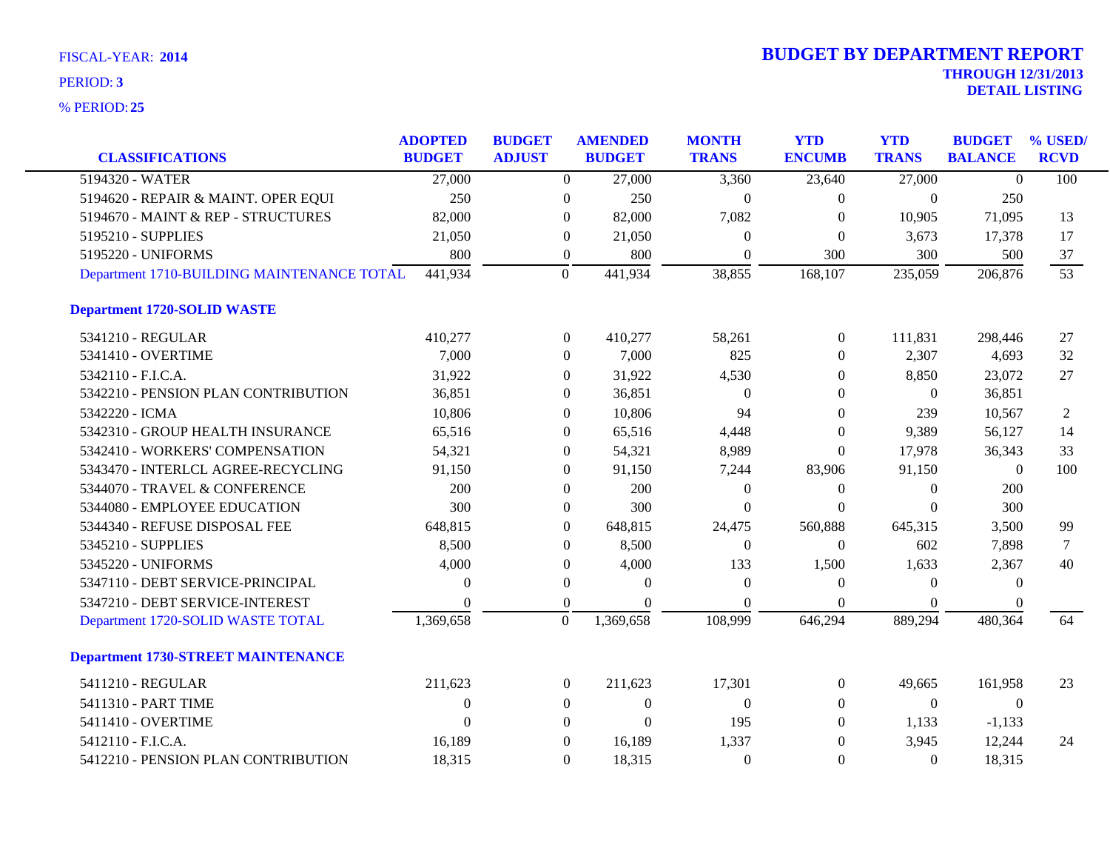| <b>CLASSIFICATIONS</b>                                                    | <b>ADOPTED</b><br><b>BUDGET</b> | <b>BUDGET</b><br><b>ADJUST</b> |                                    | <b>AMENDED</b><br><b>BUDGET</b> | <b>MONTH</b><br><b>TRANS</b> | <b>YTD</b><br><b>ENCUMB</b> | <b>YTD</b><br><b>TRANS</b> | <b>BUDGET</b><br><b>BALANCE</b> | % USED/<br><b>RCVD</b> |
|---------------------------------------------------------------------------|---------------------------------|--------------------------------|------------------------------------|---------------------------------|------------------------------|-----------------------------|----------------------------|---------------------------------|------------------------|
| 5194320 - WATER                                                           | 27,000                          |                                | $\overline{0}$                     | 27,000                          | 3,360                        | 23,640                      | 27,000                     | $\theta$                        | 100                    |
|                                                                           | 250                             |                                |                                    | 250                             | $\Omega$                     |                             | $\theta$                   | 250                             |                        |
| 5194620 - REPAIR & MAINT. OPER EQUI<br>5194670 - MAINT & REP - STRUCTURES | 82,000                          |                                | $\boldsymbol{0}$<br>$\Omega$       | 82,000                          | 7,082                        | $\overline{0}$<br>$\Omega$  |                            |                                 | 13                     |
|                                                                           |                                 |                                |                                    |                                 |                              |                             | 10,905                     | 71,095                          |                        |
| 5195210 - SUPPLIES                                                        | 21,050                          |                                | $\theta$                           | 21,050                          | $\theta$                     | $\mathbf{0}$                | 3,673                      | 17,378                          | 17                     |
| 5195220 - UNIFORMS<br>Department 1710-BUILDING MAINTENANCE TOTAL          | 800<br>441,934                  |                                | $\boldsymbol{0}$<br>$\overline{0}$ | 800<br>441,934                  | $\overline{0}$<br>38,855     | 300<br>168,107              | 300<br>235,059             | 500<br>206,876                  | 37<br>53               |
| <b>Department 1720-SOLID WASTE</b>                                        |                                 |                                |                                    |                                 |                              |                             |                            |                                 |                        |
| 5341210 - REGULAR                                                         | 410,277                         |                                | $\overline{0}$                     | 410,277                         | 58,261                       | $\overline{0}$              | 111,831                    | 298,446                         | 27                     |
| 5341410 - OVERTIME                                                        | 7,000                           |                                | $\Omega$                           | 7,000                           | 825                          | $\Omega$                    | 2,307                      | 4,693                           | 32                     |
| 5342110 - F.I.C.A.                                                        | 31,922                          |                                | $\theta$                           | 31,922                          | 4,530                        | $\overline{0}$              | 8,850                      | 23,072                          | 27                     |
| 5342210 - PENSION PLAN CONTRIBUTION                                       | 36,851                          |                                | $\theta$                           | 36,851                          | $\Omega$                     | $\Omega$                    | $\overline{0}$             | 36,851                          |                        |
| 5342220 - ICMA                                                            | 10,806                          |                                | $\overline{0}$                     | 10,806                          | 94                           | $\overline{0}$              | 239                        | 10,567                          | 2                      |
| 5342310 - GROUP HEALTH INSURANCE                                          | 65,516                          |                                | $\Omega$                           | 65,516                          | 4,448                        | $\Omega$                    | 9,389                      | 56,127                          | 14                     |
| 5342410 - WORKERS' COMPENSATION                                           | 54,321                          |                                | $\theta$                           | 54,321                          | 8,989                        | $\Omega$                    | 17,978                     | 36,343                          | 33                     |
| 5343470 - INTERLCL AGREE-RECYCLING                                        | 91,150                          |                                | $\boldsymbol{0}$                   | 91,150                          | 7,244                        | 83,906                      | 91,150                     | $\overline{0}$                  | 100                    |
| 5344070 - TRAVEL & CONFERENCE                                             | 200                             |                                | $\mathbf{0}$                       | 200                             | $\theta$                     | $\boldsymbol{0}$            | $\boldsymbol{0}$           | 200                             |                        |
| 5344080 - EMPLOYEE EDUCATION                                              | 300                             |                                | $\overline{0}$                     | 300                             | $\theta$                     | $\Omega$                    | $\theta$                   | 300                             |                        |
| 5344340 - REFUSE DISPOSAL FEE                                             | 648,815                         |                                | $\boldsymbol{0}$                   | 648,815                         | 24,475                       | 560,888                     | 645,315                    | 3,500                           | 99                     |
| 5345210 - SUPPLIES                                                        | 8,500                           |                                | $\mathbf{0}$                       | 8,500                           | $\Omega$                     | $\Omega$                    | 602                        | 7,898                           | 7                      |
| 5345220 - UNIFORMS                                                        | 4,000                           |                                | $\boldsymbol{0}$                   | 4,000                           | 133                          | 1,500                       | 1,633                      | 2,367                           | 40                     |
| 5347110 - DEBT SERVICE-PRINCIPAL                                          | $\Omega$                        |                                | $\mathbf{0}$                       | $\Omega$                        | $\Omega$                     | $\mathbf{0}$                | $\theta$                   | $\theta$                        |                        |
| 5347210 - DEBT SERVICE-INTEREST                                           | $\Omega$                        |                                | $\boldsymbol{0}$                   | $\Omega$                        | $\Omega$                     | $\Omega$                    | $\Omega$                   |                                 |                        |
| Department 1720-SOLID WASTE TOTAL                                         | 1,369,658                       |                                | $\boldsymbol{0}$                   | 1,369,658                       | 108,999                      | 646,294                     | 889,294                    | 480,364                         | 64                     |
| <b>Department 1730-STREET MAINTENANCE</b>                                 |                                 |                                |                                    |                                 |                              |                             |                            |                                 |                        |
| 5411210 - REGULAR                                                         | 211,623                         |                                | $\boldsymbol{0}$                   | 211,623                         | 17,301                       | $\boldsymbol{0}$            | 49,665                     | 161,958                         | 23                     |
| 5411310 - PART TIME                                                       | $\mathbf{0}$                    |                                | $\overline{0}$                     | $\theta$                        | $\Omega$                     | $\Omega$                    | $\overline{0}$             | $\theta$                        |                        |
| 5411410 - OVERTIME                                                        | $\Omega$                        |                                | $\Omega$                           | $\Omega$                        | 195                          | $\Omega$                    | 1,133                      | $-1,133$                        |                        |
| 5412110 - F.I.C.A.                                                        | 16,189                          |                                | $\mathbf{0}$                       | 16,189                          | 1,337                        | $\theta$                    | 3,945                      | 12,244                          | 24                     |
| 5412210 - PENSION PLAN CONTRIBUTION                                       | 18,315                          |                                | $\Omega$                           | 18,315                          | $\theta$                     | $\Omega$                    | $\theta$                   | 18,315                          |                        |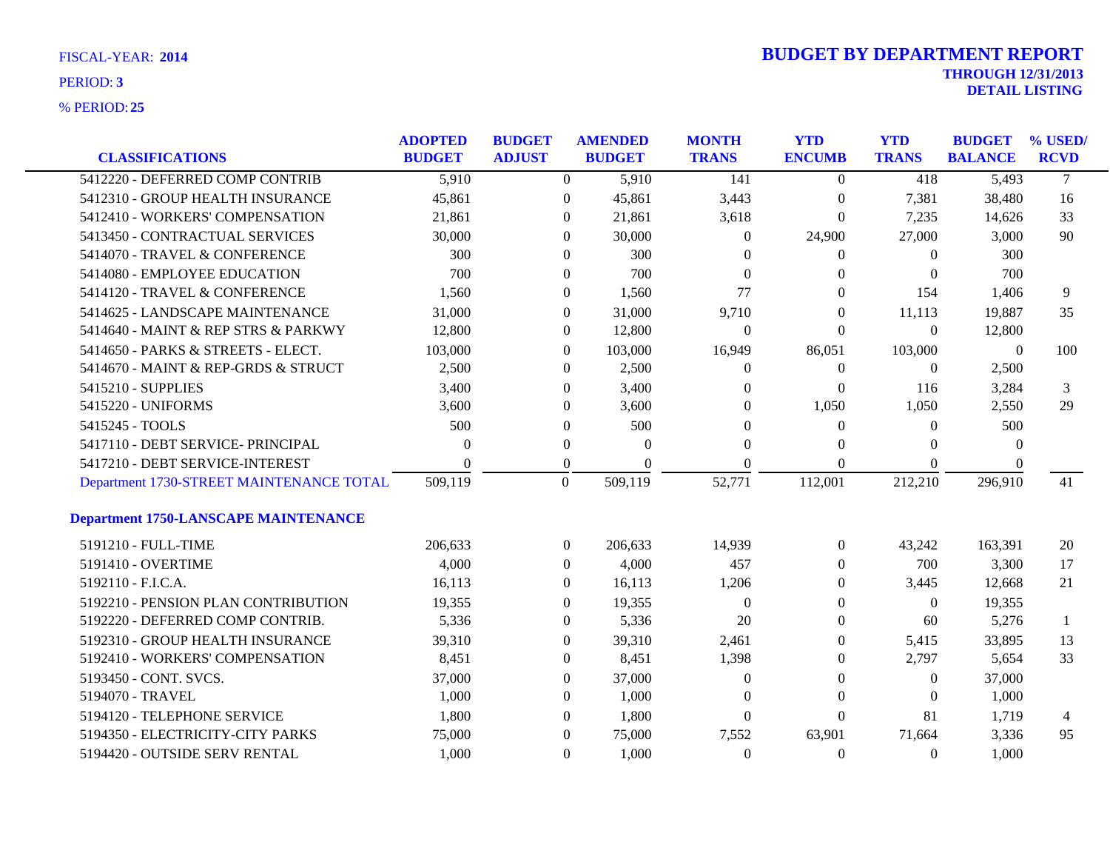| FISCAL-YEAR: 2014 |  |
|-------------------|--|
| PERIOD: 3         |  |

|                                             | <b>ADOPTED</b> | <b>BUDGET</b>    | <b>AMENDED</b> | <b>MONTH</b>                       | <b>YTD</b>       | <b>YTD</b>       | <b>BUDGET</b>  | % USED/        |
|---------------------------------------------|----------------|------------------|----------------|------------------------------------|------------------|------------------|----------------|----------------|
| <b>CLASSIFICATIONS</b>                      | <b>BUDGET</b>  | <b>ADJUST</b>    | <b>BUDGET</b>  | <b>TRANS</b>                       | <b>ENCUMB</b>    | <b>TRANS</b>     | <b>BALANCE</b> | <b>RCVD</b>    |
| 5412220 - DEFERRED COMP CONTRIB             | 5,910          | $\Omega$         | 5,910          | 141                                | $\overline{0}$   | 418              | 5,493          | $\overline{7}$ |
| 5412310 - GROUP HEALTH INSURANCE            | 45,861         | $\boldsymbol{0}$ | 45,861         | 3,443                              | $\boldsymbol{0}$ | 7,381            | 38,480         | 16             |
| 5412410 - WORKERS' COMPENSATION             | 21,861         | $\overline{0}$   | 21,861         | 3,618                              | $\theta$         | 7,235            | 14,626         | 33             |
| 5413450 - CONTRACTUAL SERVICES              | 30,000         | $\Omega$         | 30,000         | $\theta$                           | 24,900           | 27,000           | 3,000          | 90             |
| 5414070 - TRAVEL & CONFERENCE               | 300            | $\Omega$         | 300            | $\Omega$                           | $\Omega$         | 0                | 300            |                |
| 5414080 - EMPLOYEE EDUCATION                | 700            | $\theta$         | 700            | $\Omega$                           | $\Omega$         | $\theta$         | 700            |                |
| 5414120 - TRAVEL & CONFERENCE               | 1,560          | $\overline{0}$   | 1,560          | 77                                 | $\theta$         | 154              | 1,406          | 9              |
| 5414625 - LANDSCAPE MAINTENANCE             | 31,000         | $\overline{0}$   | 31,000         | 9,710                              | $\theta$         | 11,113           | 19,887         | 35             |
| 5414640 - MAINT & REP STRS & PARKWY         | 12,800         | $\overline{0}$   | 12,800         | $\theta$                           | $\theta$         | $\Omega$         | 12,800         |                |
| 5414650 - PARKS & STREETS - ELECT.          | 103,000        | $\overline{0}$   | 103,000        | 16,949                             | 86,051           | 103,000          | $\mathbf{0}$   | 100            |
| 5414670 - MAINT & REP-GRDS & STRUCT         | 2,500          | $\overline{0}$   | 2,500          | $\overline{0}$                     | $\boldsymbol{0}$ | 0                | 2,500          |                |
| 5415210 - SUPPLIES                          | 3,400          | $\Omega$         | 3,400          | $\Omega$                           | $\theta$         | 116              | 3,284          | 3              |
| 5415220 - UNIFORMS                          | 3,600          | $\Omega$         | 3,600          | $\Omega$                           | 1,050            | 1,050            | 2,550          | 29             |
| 5415245 - TOOLS                             | 500            | $\boldsymbol{0}$ | 500            | $\Omega$                           | $\theta$         | $\Omega$         | 500            |                |
| 5417110 - DEBT SERVICE- PRINCIPAL           | $\Omega$       | $\boldsymbol{0}$ |                | $\boldsymbol{0}$<br>$\overline{0}$ | $\Omega$         | $\theta$         | $\Omega$       |                |
| 5417210 - DEBT SERVICE-INTEREST             | 0              | $\boldsymbol{0}$ |                | $\Omega$<br>$\Omega$               | $\Omega$         | 0                |                |                |
| Department 1730-STREET MAINTENANCE TOTAL    | 509,119        | $\Omega$         | 509,119        | 52,771                             | 112,001          | 212,210          | 296,910        | 41             |
| <b>Department 1750-LANSCAPE MAINTENANCE</b> |                |                  |                |                                    |                  |                  |                |                |
| 5191210 - FULL-TIME                         | 206,633        | $\overline{0}$   | 206,633        | 14,939                             | $\overline{0}$   | 43,242           | 163,391        | 20             |
| 5191410 - OVERTIME                          | 4,000          | $\theta$         | 4,000          | 457                                | $\Omega$         | 700              | 3,300          | 17             |
| 5192110 - F.I.C.A.                          | 16,113         | $\Omega$         | 16,113         | 1,206                              | $\Omega$         | 3,445            | 12,668         | 21             |
| 5192210 - PENSION PLAN CONTRIBUTION         | 19,355         | $\overline{0}$   | 19,355         | $\overline{0}$                     | $\boldsymbol{0}$ | $\boldsymbol{0}$ | 19,355         |                |
| 5192220 - DEFERRED COMP CONTRIB.            | 5,336          | $\overline{0}$   | 5,336          | 20                                 | $\theta$         | 60               | 5,276          | -1             |
| 5192310 - GROUP HEALTH INSURANCE            | 39,310         | $\overline{0}$   | 39,310         | 2,461                              | $\overline{0}$   | 5,415            | 33,895         | 13             |
| 5192410 - WORKERS' COMPENSATION             | 8,451          | $\overline{0}$   | 8,451          | 1,398                              | $\theta$         | 2,797            | 5,654          | 33             |
| 5193450 - CONT. SVCS.                       | 37,000         | $\overline{0}$   | 37,000         | $\mathbf{0}$                       | $\Omega$         | $\overline{0}$   | 37,000         |                |
| 5194070 - TRAVEL                            | 1,000          | $\overline{0}$   | 1,000          | $\Omega$                           | $\overline{0}$   | $\theta$         | 1,000          |                |
| 5194120 - TELEPHONE SERVICE                 | 1,800          | $\theta$         | 1,800          | $\Omega$                           | $\Omega$         | 81               | 1,719          | 4              |
| 5194350 - ELECTRICITY-CITY PARKS            | 75,000         | $\Omega$         | 75,000         | 7,552                              | 63,901           | 71,664           | 3,336          | 95             |
| 5194420 - OUTSIDE SERV RENTAL               | 1,000          | $\Omega$         | 1,000          | $\Omega$                           | $\Omega$         | $\Omega$         | 1,000          |                |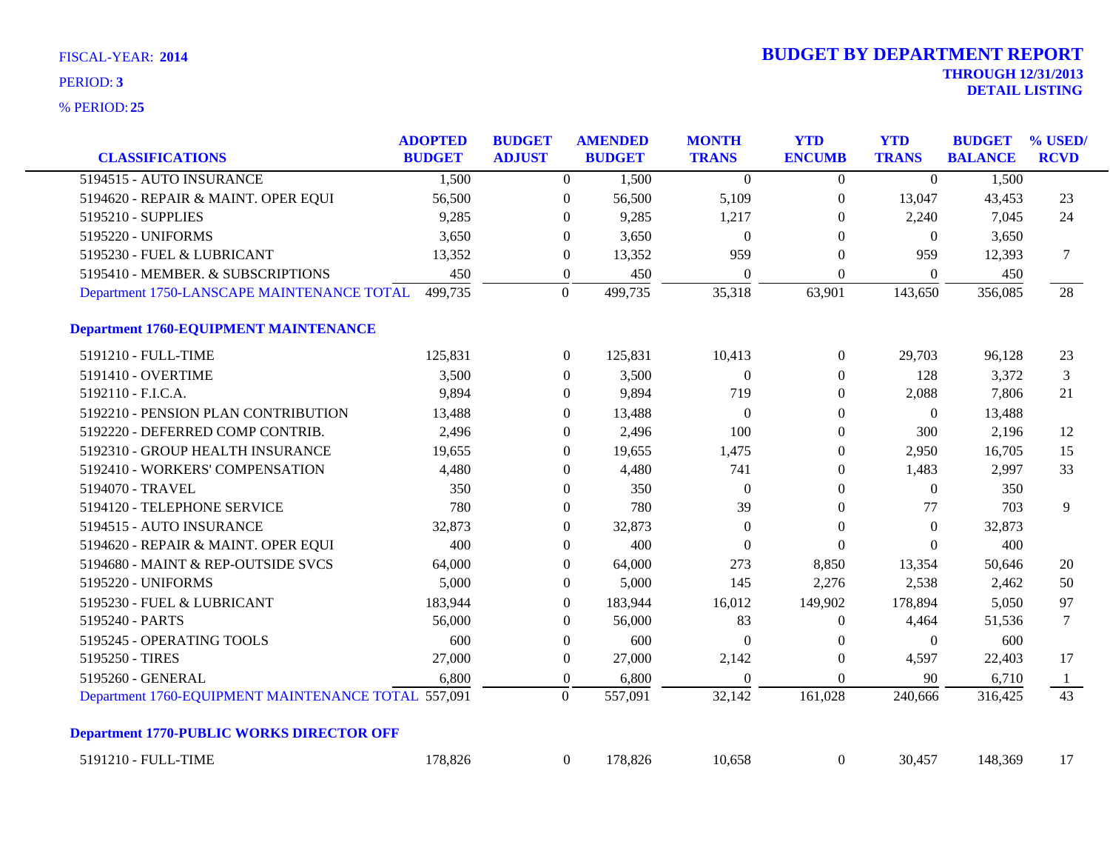| <b>CLASSIFICATIONS</b>                              | <b>ADOPTED</b><br><b>BUDGET</b> | <b>BUDGET</b><br><b>ADJUST</b> |                  | <b>AMENDED</b><br><b>BUDGET</b> | <b>MONTH</b><br><b>TRANS</b> | <b>YTD</b><br><b>ENCUMB</b> | <b>YTD</b><br><b>TRANS</b> | <b>BUDGET</b><br><b>BALANCE</b> | % USED/<br><b>RCVD</b> |
|-----------------------------------------------------|---------------------------------|--------------------------------|------------------|---------------------------------|------------------------------|-----------------------------|----------------------------|---------------------------------|------------------------|
| 5194515 - AUTO INSURANCE                            | 1,500                           |                                | $\overline{0}$   | 1,500                           | $\theta$                     | $\overline{0}$              | $\Omega$                   | 1,500                           |                        |
| 5194620 - REPAIR & MAINT. OPER EQUI                 | 56,500                          |                                | $\boldsymbol{0}$ | 56,500                          | 5,109                        | $\boldsymbol{0}$            | 13,047                     | 43,453                          | 23                     |
| 5195210 - SUPPLIES                                  | 9,285                           |                                | $\theta$         | 9,285                           | 1,217                        | $\theta$                    | 2,240                      | 7,045                           | 24                     |
| 5195220 - UNIFORMS                                  | 3,650                           |                                | $\overline{0}$   | 3,650                           | $\mathbf{0}$                 | $\Omega$                    | $\theta$                   | 3,650                           |                        |
| 5195230 - FUEL & LUBRICANT                          | 13,352                          |                                | $\overline{0}$   | 13,352                          | 959                          | $\Omega$                    | 959                        | 12,393                          | 7                      |
| 5195410 - MEMBER. & SUBSCRIPTIONS                   | 450                             |                                | $\boldsymbol{0}$ | 450                             | $\mathbf{0}$                 | $\boldsymbol{0}$            | $\boldsymbol{0}$           | 450                             |                        |
| Department 1750-LANSCAPE MAINTENANCE TOTAL          | 499,735                         |                                | $\mathbf{0}$     | 499,735                         | 35,318                       | 63,901                      | 143,650                    | 356,085                         | 28                     |
| <b>Department 1760-EQUIPMENT MAINTENANCE</b>        |                                 |                                |                  |                                 |                              |                             |                            |                                 |                        |
| 5191210 - FULL-TIME                                 | 125,831                         |                                | $\overline{0}$   | 125,831                         | 10,413                       | $\overline{0}$              | 29,703                     | 96,128                          | 23                     |
| 5191410 - OVERTIME                                  | 3,500                           |                                | $\overline{0}$   | 3,500                           | $\mathbf{0}$                 | $\boldsymbol{0}$            | 128                        | 3,372                           | 3                      |
| 5192110 - F.I.C.A.                                  | 9,894                           |                                | $\overline{0}$   | 9,894                           | 719                          | $\theta$                    | 2,088                      | 7,806                           | 21                     |
| 5192210 - PENSION PLAN CONTRIBUTION                 | 13,488                          |                                | $\boldsymbol{0}$ | 13,488                          | $\mathbf{0}$                 | $\boldsymbol{0}$            | $\overline{0}$             | 13,488                          |                        |
| 5192220 - DEFERRED COMP CONTRIB.                    | 2,496                           |                                | $\overline{0}$   | 2,496                           | 100                          | $\boldsymbol{0}$            | 300                        | 2,196                           | 12                     |
| 5192310 - GROUP HEALTH INSURANCE                    | 19,655                          |                                | $\overline{0}$   | 19,655                          | 1,475                        | $\theta$                    | 2,950                      | 16,705                          | 15                     |
| 5192410 - WORKERS' COMPENSATION                     | 4,480                           |                                | $\boldsymbol{0}$ | 4,480                           | 741                          | $\boldsymbol{0}$            | 1,483                      | 2,997                           | 33                     |
| 5194070 - TRAVEL                                    | 350                             |                                | $\boldsymbol{0}$ | 350                             | $\boldsymbol{0}$             | $\theta$                    | $\theta$                   | 350                             |                        |
| 5194120 - TELEPHONE SERVICE                         | 780                             |                                | $\mathbf{0}$     | 780                             | 39                           | $\boldsymbol{0}$            | 77                         | 703                             | 9                      |
| 5194515 - AUTO INSURANCE                            | 32,873                          |                                | $\overline{0}$   | 32,873                          | $\Omega$                     | $\theta$                    | $\theta$                   | 32,873                          |                        |
| 5194620 - REPAIR & MAINT. OPER EQUI                 | 400                             |                                | $\overline{0}$   | 400                             | $\Omega$                     | $\Omega$                    | $\Omega$                   | 400                             |                        |
| 5194680 - MAINT & REP-OUTSIDE SVCS                  | 64,000                          |                                | $\boldsymbol{0}$ | 64,000                          | 273                          | 8,850                       | 13,354                     | 50,646                          | 20                     |
| 5195220 - UNIFORMS                                  | 5,000                           |                                | $\boldsymbol{0}$ | 5,000                           | 145                          | 2,276                       | 2,538                      | 2,462                           | 50                     |
| 5195230 - FUEL & LUBRICANT                          | 183,944                         |                                | $\boldsymbol{0}$ | 183,944                         | 16,012                       | 149,902                     | 178,894                    | 5,050                           | 97                     |
| 5195240 - PARTS                                     | 56,000                          |                                | $\overline{0}$   | 56,000                          | 83                           | $\theta$                    | 4,464                      | 51,536                          | $\tau$                 |
| 5195245 - OPERATING TOOLS                           | 600                             |                                | $\boldsymbol{0}$ | 600                             | $\mathbf{0}$                 | $\boldsymbol{0}$            | $\boldsymbol{0}$           | 600                             |                        |
| 5195250 - TIRES                                     | 27,000                          |                                | $\boldsymbol{0}$ | 27,000                          | 2,142                        | $\boldsymbol{0}$            | 4,597                      | 22,403                          | 17                     |
| 5195260 - GENERAL                                   | 6,800                           |                                | $\boldsymbol{0}$ | 6,800                           | $\mathbf{0}$                 | $\boldsymbol{0}$            | 90                         | 6,710                           | $\mathbf{1}$           |
| Department 1760-EQUIPMENT MAINTENANCE TOTAL 557,091 |                                 |                                | $\theta$         | 557,091                         | 32,142                       | 161,028                     | 240,666                    | 316,425                         | 43                     |
| <b>Department 1770-PUBLIC WORKS DIRECTOR OFF</b>    |                                 |                                |                  |                                 |                              |                             |                            |                                 |                        |
| 5191210 - FULL-TIME                                 | 178,826                         |                                | $\mathbf{0}$     | 178,826                         | 10,658                       | $\boldsymbol{0}$            | 30,457                     | 148,369                         | 17                     |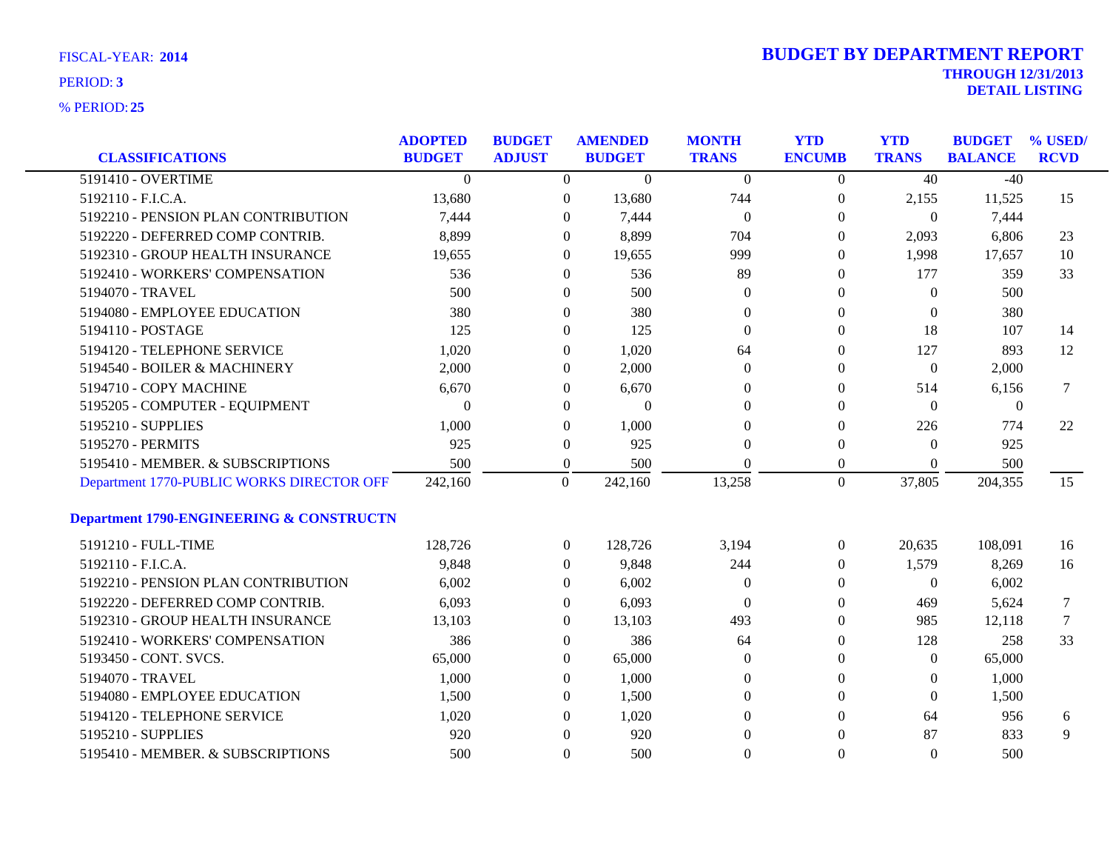| <b>CLASSIFICATIONS</b>                              | <b>ADOPTED</b><br><b>BUDGET</b> | <b>BUDGET</b><br><b>ADJUST</b> |                  | <b>AMENDED</b><br><b>BUDGET</b> | <b>MONTH</b><br><b>TRANS</b> | <b>YTD</b><br><b>ENCUMB</b> | <b>YTD</b><br><b>TRANS</b> | <b>BUDGET</b><br><b>BALANCE</b> | % USED/<br><b>RCVD</b> |
|-----------------------------------------------------|---------------------------------|--------------------------------|------------------|---------------------------------|------------------------------|-----------------------------|----------------------------|---------------------------------|------------------------|
| 5191410 - OVERTIME                                  | $\Omega$                        |                                | $\overline{0}$   | $\overline{0}$                  | $\overline{0}$               | $\overline{0}$              | 40                         | $-40$                           |                        |
| 5192110 - F.I.C.A.                                  | 13,680                          |                                | $\boldsymbol{0}$ | 13,680                          | 744                          | $\boldsymbol{0}$            | 2,155                      | 11,525                          | 15                     |
| 5192210 - PENSION PLAN CONTRIBUTION                 | 7,444                           |                                | $\mathbf{0}$     | 7,444                           | $\overline{0}$               | $\overline{0}$              | $\overline{0}$             | 7,444                           |                        |
| 5192220 - DEFERRED COMP CONTRIB.                    | 8,899                           |                                | $\Omega$         | 8,899                           | 704                          | $\Omega$                    | 2,093                      | 6,806                           | 23                     |
| 5192310 - GROUP HEALTH INSURANCE                    | 19,655                          |                                | $\theta$         | 19,655                          | 999                          | $\theta$                    | 1,998                      | 17,657                          | 10                     |
| 5192410 - WORKERS' COMPENSATION                     | 536                             |                                | $\overline{0}$   | 536                             | 89                           | $\theta$                    | 177                        | 359                             | 33                     |
| 5194070 - TRAVEL                                    | 500                             |                                | 0                | 500                             | $\theta$                     | $\theta$                    | $\theta$                   | 500                             |                        |
| 5194080 - EMPLOYEE EDUCATION                        | 380                             |                                | $\theta$         | 380                             | $\Omega$                     | $\Omega$                    | $\theta$                   | 380                             |                        |
| 5194110 - POSTAGE                                   | 125                             |                                | $\theta$         | 125                             | $\Omega$                     | $\Omega$                    | 18                         | 107                             | 14                     |
| 5194120 - TELEPHONE SERVICE                         | 1,020                           |                                | 0                | 1,020                           | 64                           | $\theta$                    | 127                        | 893                             | 12                     |
| 5194540 - BOILER & MACHINERY                        | 2,000                           |                                | 0                | 2,000                           | $\theta$                     | $\theta$                    | $\theta$                   | 2,000                           |                        |
| 5194710 - COPY MACHINE                              | 6,670                           |                                | $\theta$         | 6,670                           | $\Omega$                     | $\theta$                    | 514                        | 6,156                           | 7                      |
| 5195205 - COMPUTER - EQUIPMENT                      | $\Omega$                        |                                | $\theta$         | $\overline{0}$                  | $\Omega$                     | $\Omega$                    | $\theta$                   | $\theta$                        |                        |
| 5195210 - SUPPLIES                                  | 1,000                           |                                | $\boldsymbol{0}$ | 1,000                           | $\Omega$                     | $\theta$                    | 226                        | 774                             | 22                     |
| 5195270 - PERMITS                                   | 925                             |                                | $\boldsymbol{0}$ | 925                             | $\Omega$                     | $\theta$                    | $\Omega$                   | 925                             |                        |
| 5195410 - MEMBER. & SUBSCRIPTIONS                   | 500                             |                                | $\boldsymbol{0}$ | 500                             | $\Omega$                     | $\overline{0}$              | $\Omega$                   | 500                             |                        |
| Department 1770-PUBLIC WORKS DIRECTOR OFF           | 242,160                         |                                | $\mathbf{0}$     | 242,160                         | 13,258                       | $\theta$                    | 37,805                     | 204,355                         | 15                     |
| <b>Department 1790-ENGINEERING &amp; CONSTRUCTN</b> |                                 |                                |                  |                                 |                              |                             |                            |                                 |                        |
| 5191210 - FULL-TIME                                 | 128,726                         |                                | $\boldsymbol{0}$ | 128,726                         | 3,194                        | $\boldsymbol{0}$            | 20,635                     | 108,091                         | 16                     |
| 5192110 - F.I.C.A.                                  | 9,848                           |                                | $\overline{0}$   | 9,848                           | 244                          | $\theta$                    | 1,579                      | 8,269                           | 16                     |
| 5192210 - PENSION PLAN CONTRIBUTION                 | 6,002                           |                                | $\theta$         | 6,002                           | $\theta$                     | $\theta$                    | $\overline{0}$             | 6,002                           |                        |
| 5192220 - DEFERRED COMP CONTRIB.                    | 6,093                           |                                | 0                | 6,093                           | $\theta$                     | $\theta$                    | 469                        | 5,624                           | 7                      |
| 5192310 - GROUP HEALTH INSURANCE                    | 13,103                          |                                | 0                | 13,103                          | 493                          | $\theta$                    | 985                        | 12,118                          | 7                      |
| 5192410 - WORKERS' COMPENSATION                     | 386                             |                                | $\overline{0}$   | 386                             | 64                           | $\theta$                    | 128                        | 258                             | 33                     |
| 5193450 - CONT. SVCS.                               | 65,000                          |                                | $\theta$         | 65,000                          | $\theta$                     | $\Omega$                    | $\overline{0}$             | 65,000                          |                        |
| 5194070 - TRAVEL                                    | 1,000                           |                                | 0                | 1,000                           | $\theta$                     | $\theta$                    | $\theta$                   | 1,000                           |                        |
| 5194080 - EMPLOYEE EDUCATION                        | 1,500                           |                                | 0                | 1,500                           | $\mathbf{0}$                 | $\Omega$                    | $\overline{0}$             | 1,500                           |                        |
| 5194120 - TELEPHONE SERVICE                         | 1,020                           |                                | $\theta$         | 1,020                           | $\Omega$                     | $\Omega$                    | 64                         | 956                             | 6                      |
| 5195210 - SUPPLIES                                  | 920                             |                                | $\theta$         | 920                             | $\Omega$                     | $\Omega$                    | 87                         | 833                             | 9                      |
| 5195410 - MEMBER. & SUBSCRIPTIONS                   | 500                             |                                | $\theta$         | 500                             | $\theta$                     | $\Omega$                    | $\Omega$                   | 500                             |                        |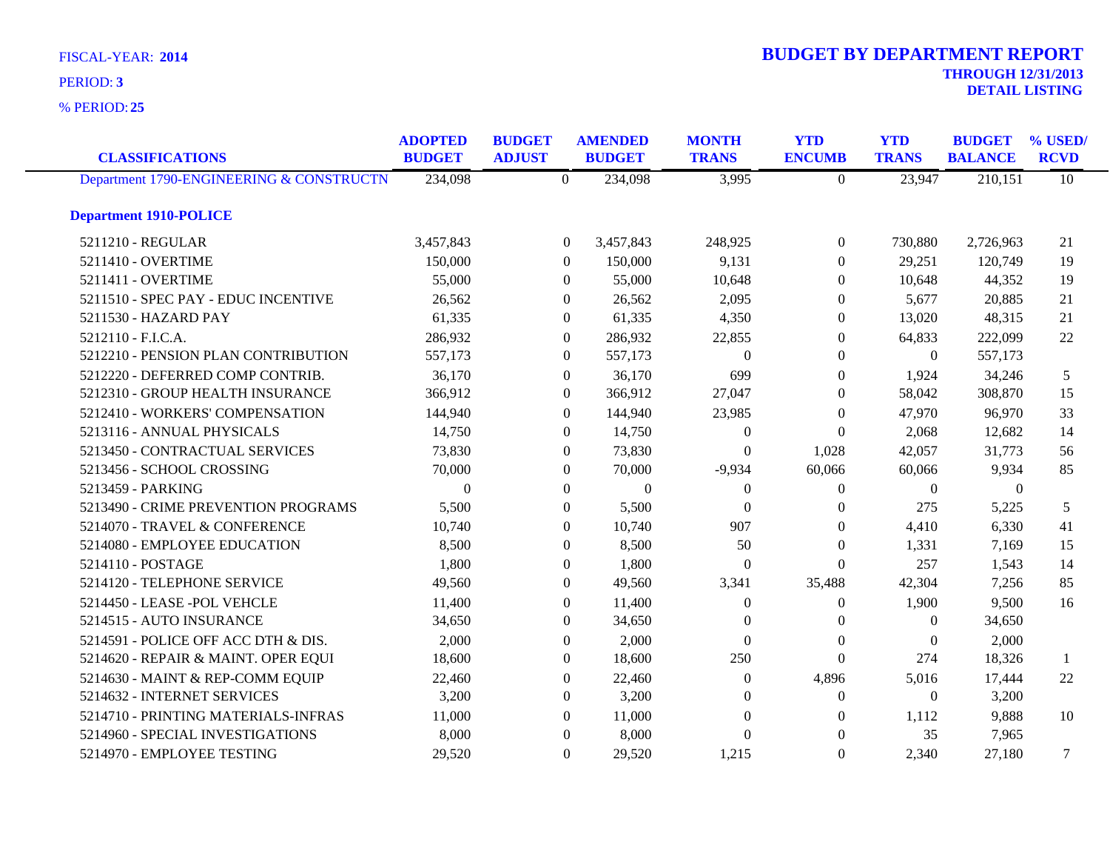**25** % PERIOD:

| <b>CLASSIFICATIONS</b>                   | <b>ADOPTED</b><br><b>BUDGET</b> | <b>BUDGET</b><br><b>ADJUST</b> |                  | <b>AMENDED</b><br><b>BUDGET</b> | <b>MONTH</b><br><b>TRANS</b> | <b>YTD</b><br><b>ENCUMB</b> | <b>YTD</b><br><b>TRANS</b> | <b>BUDGET</b><br><b>BALANCE</b> | % USED/<br><b>RCVD</b> |
|------------------------------------------|---------------------------------|--------------------------------|------------------|---------------------------------|------------------------------|-----------------------------|----------------------------|---------------------------------|------------------------|
| Department 1790-ENGINEERING & CONSTRUCTN | 234,098                         |                                | $\overline{0}$   | 234,098                         | 3,995                        | $\overline{0}$              | 23,947                     | 210,151                         | 10                     |
| <b>Department 1910-POLICE</b>            |                                 |                                |                  |                                 |                              |                             |                            |                                 |                        |
| 5211210 - REGULAR                        | 3,457,843                       |                                | $\boldsymbol{0}$ | 3,457,843                       | 248,925                      | $\overline{0}$              | 730,880                    | 2,726,963                       | 21                     |
| 5211410 - OVERTIME                       | 150,000                         |                                | $\theta$         | 150,000                         | 9,131                        | $\Omega$                    | 29,251                     | 120,749                         | 19                     |
| 5211411 - OVERTIME                       | 55,000                          |                                | $\overline{0}$   | 55,000                          | 10,648                       | $\Omega$                    | 10,648                     | 44,352                          | 19                     |
| 5211510 - SPEC PAY - EDUC INCENTIVE      | 26,562                          |                                | $\overline{0}$   | 26,562                          | 2,095                        | $\mathbf{0}$                | 5,677                      | 20,885                          | 21                     |
| 5211530 - HAZARD PAY                     | 61,335                          |                                | $\mathbf{0}$     | 61,335                          | 4,350                        | $\mathbf{0}$                | 13,020                     | 48,315                          | 21                     |
| 5212110 - F.I.C.A.                       | 286,932                         |                                | $\overline{0}$   | 286,932                         | 22,855                       | $\Omega$                    | 64,833                     | 222,099                         | 22                     |
| 5212210 - PENSION PLAN CONTRIBUTION      | 557,173                         |                                | $\overline{0}$   | 557,173                         | $\Omega$                     | $\Omega$                    | $\overline{0}$             | 557,173                         |                        |
| 5212220 - DEFERRED COMP CONTRIB.         | 36,170                          |                                | $\overline{0}$   | 36,170                          | 699                          | $\mathbf{0}$                | 1,924                      | 34,246                          | 5                      |
| 5212310 - GROUP HEALTH INSURANCE         | 366,912                         |                                | $\mathbf{0}$     | 366,912                         | 27,047                       | $\theta$                    | 58,042                     | 308,870                         | 15                     |
| 5212410 - WORKERS' COMPENSATION          | 144,940                         |                                | $\Omega$         | 144,940                         | 23,985                       | $\Omega$                    | 47,970                     | 96,970                          | 33                     |
| 5213116 - ANNUAL PHYSICALS               | 14,750                          |                                | $\overline{0}$   | 14,750                          | $\Omega$                     | $\Omega$                    | 2,068                      | 12,682                          | 14                     |
| 5213450 - CONTRACTUAL SERVICES           | 73,830                          |                                | $\overline{0}$   | 73,830                          | $\Omega$                     | 1,028                       | 42,057                     | 31,773                          | 56                     |
| 5213456 - SCHOOL CROSSING                | 70,000                          |                                | $\overline{0}$   | 70,000                          | $-9,934$                     | 60,066                      | 60,066                     | 9,934                           | 85                     |
| 5213459 - PARKING                        | $\theta$                        |                                | $\Omega$         | $\boldsymbol{0}$                | $\Omega$                     | $\Omega$                    | $\mathbf{0}$               | $\theta$                        |                        |
| 5213490 - CRIME PREVENTION PROGRAMS      | 5,500                           |                                | $\Omega$         | 5,500                           | $\Omega$                     | $\Omega$                    | 275                        | 5,225                           | 5                      |
| 5214070 - TRAVEL & CONFERENCE            | 10,740                          |                                | $\mathbf{0}$     | 10,740                          | 907                          | $\mathbf{0}$                | 4,410                      | 6,330                           | 41                     |
| 5214080 - EMPLOYEE EDUCATION             | 8,500                           |                                | $\overline{0}$   | 8,500                           | 50                           | $\Omega$                    | 1,331                      | 7,169                           | 15                     |
| 5214110 - POSTAGE                        | 1,800                           |                                | $\Omega$         | 1,800                           | $\Omega$                     | $\Omega$                    | 257                        | 1,543                           | 14                     |
| 5214120 - TELEPHONE SERVICE              | 49,560                          |                                | $\overline{0}$   | 49,560                          | 3,341                        | 35,488                      | 42,304                     | 7,256                           | 85                     |
| 5214450 - LEASE -POL VEHCLE              | 11,400                          |                                | $\mathbf{0}$     | 11,400                          | $\Omega$                     | $\mathbf{0}$                | 1,900                      | 9,500                           | 16                     |
| 5214515 - AUTO INSURANCE                 | 34,650                          |                                | $\overline{0}$   | 34,650                          | $\Omega$                     | $\Omega$                    | $\overline{0}$             | 34,650                          |                        |
| 5214591 - POLICE OFF ACC DTH & DIS.      | 2,000                           |                                | $\Omega$         | 2,000                           | $\Omega$                     | $\Omega$                    | $\Omega$                   | 2,000                           |                        |
| 5214620 - REPAIR & MAINT. OPER EQUI      | 18,600                          |                                | $\Omega$         | 18,600                          | 250                          | $\Omega$                    | 274                        | 18,326                          | 1                      |
| 5214630 - MAINT & REP-COMM EQUIP         | 22,460                          |                                | $\mathbf{0}$     | 22,460                          | $\Omega$                     | 4,896                       | 5,016                      | 17,444                          | 22                     |
| 5214632 - INTERNET SERVICES              | 3,200                           |                                | $\overline{0}$   | 3,200                           | $\Omega$                     | $\Omega$                    | $\theta$                   | 3,200                           |                        |
| 5214710 - PRINTING MATERIALS-INFRAS      | 11,000                          |                                | $\Omega$         | 11,000                          | $\Omega$                     | $\Omega$                    | 1,112                      | 9,888                           | 10                     |
| 5214960 - SPECIAL INVESTIGATIONS         | 8,000                           |                                | $\Omega$         | 8,000                           | $\Omega$                     | $\Omega$                    | 35                         | 7,965                           |                        |
| 5214970 - EMPLOYEE TESTING               | 29,520                          |                                | $\Omega$         | 29,520                          | 1,215                        | $\Omega$                    | 2,340                      | 27,180                          | 7                      |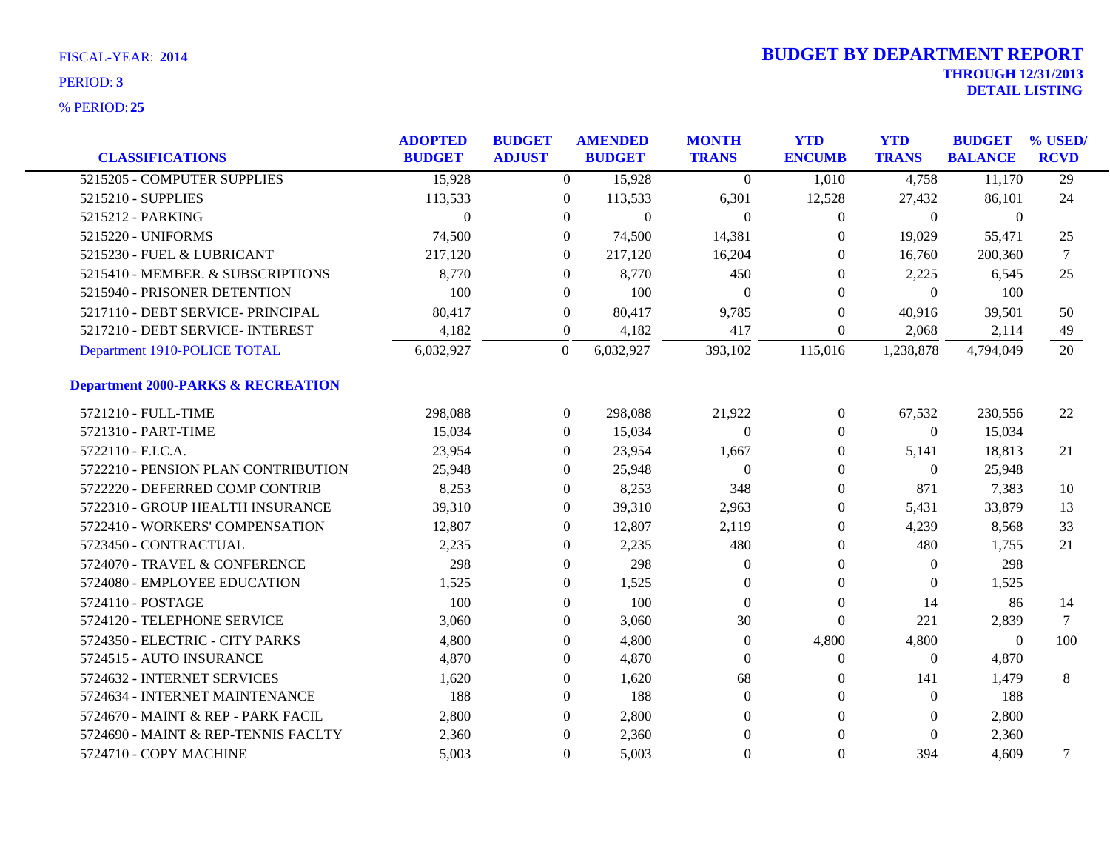|                                               | <b>ADOPTED</b> | <b>BUDGET</b> |                  | <b>AMENDED</b> | <b>MONTH</b>   | <b>YTD</b>       | <b>YTD</b>     | <b>BUDGET</b>  | % USED/         |
|-----------------------------------------------|----------------|---------------|------------------|----------------|----------------|------------------|----------------|----------------|-----------------|
| <b>CLASSIFICATIONS</b>                        | <b>BUDGET</b>  | <b>ADJUST</b> |                  | <b>BUDGET</b>  | <b>TRANS</b>   | <b>ENCUMB</b>    | <b>TRANS</b>   | <b>BALANCE</b> | <b>RCVD</b>     |
| 5215205 - COMPUTER SUPPLIES                   | 15,928         |               | $\overline{0}$   | 15,928         | $\theta$       | 1,010            | 4,758          | 11,170         | $\overline{29}$ |
| 5215210 - SUPPLIES                            | 113,533        |               | $\overline{0}$   | 113,533        | 6,301          | 12,528           | 27,432         | 86,101         | 24              |
| 5215212 - PARKING                             | $\theta$       |               | $\mathbf{0}$     | $\overline{0}$ | $\theta$       | $\boldsymbol{0}$ | $\overline{0}$ | $\mathbf{0}$   |                 |
| 5215220 - UNIFORMS                            | 74,500         |               | $\theta$         | 74,500         | 14,381         | $\Omega$         | 19,029         | 55,471         | 25              |
| 5215230 - FUEL & LUBRICANT                    | 217,120        |               | $\Omega$         | 217,120        | 16,204         | $\Omega$         | 16,760         | 200,360        | 7               |
| 5215410 - MEMBER. & SUBSCRIPTIONS             | 8,770          |               | $\mathbf{0}$     | 8,770          | 450            | $\theta$         | 2,225          | 6,545          | 25              |
| 5215940 - PRISONER DETENTION                  | 100            |               | $\theta$         | 100            | $\Omega$       | $\Omega$         | $\theta$       | 100            |                 |
| 5217110 - DEBT SERVICE- PRINCIPAL             | 80,417         |               | $\mathbf{0}$     | 80,417         | 9,785          | $\Omega$         | 40,916         | 39,501         | 50              |
| 5217210 - DEBT SERVICE- INTEREST              | 4,182          |               | $\theta$         | 4,182          | 417            | $\theta$         | 2,068          | 2,114          | 49              |
| Department 1910-POLICE TOTAL                  | 6,032,927      |               | $\boldsymbol{0}$ | 6,032,927      | 393,102        | 115,016          | 1,238,878      | 4,794,049      | 20              |
| <b>Department 2000-PARKS &amp; RECREATION</b> |                |               |                  |                |                |                  |                |                |                 |
| 5721210 - FULL-TIME                           | 298,088        |               | $\theta$         | 298,088        | 21,922         | $\overline{0}$   | 67,532         | 230,556        | 22              |
| 5721310 - PART-TIME                           | 15,034         |               | $\theta$         | 15,034         | $\theta$       | $\theta$         | $\overline{0}$ | 15,034         |                 |
| 5722110 - F.I.C.A.                            | 23,954         |               | $\Omega$         | 23,954         | 1,667          | $\theta$         | 5,141          | 18,813         | 21              |
| 5722210 - PENSION PLAN CONTRIBUTION           | 25,948         |               | $\Omega$         | 25,948         | $\overline{0}$ | $\Omega$         | $\overline{0}$ | 25,948         |                 |
| 5722220 - DEFERRED COMP CONTRIB               | 8,253          |               | $\Omega$         | 8,253          | 348            | $\Omega$         | 871            | 7,383          | 10              |
| 5722310 - GROUP HEALTH INSURANCE              | 39,310         |               | $\Omega$         | 39,310         | 2,963          | $\Omega$         | 5,431          | 33,879         | 13              |
| 5722410 - WORKERS' COMPENSATION               | 12,807         |               | $\mathbf{0}$     | 12,807         | 2,119          | $\theta$         | 4,239          | 8,568          | 33              |
| 5723450 - CONTRACTUAL                         | 2,235          |               | $\theta$         | 2,235          | 480            | $\theta$         | 480            | 1,755          | 21              |
| 5724070 - TRAVEL & CONFERENCE                 | 298            |               | $\Omega$         | 298            | $\Omega$       | $\theta$         | $\theta$       | 298            |                 |
| 5724080 - EMPLOYEE EDUCATION                  | 1,525          |               | $\theta$         | 1,525          | $\theta$       | $\mathbf{0}$     | $\theta$       | 1,525          |                 |
| 5724110 - POSTAGE                             | 100            |               | $\mathbf{0}$     | 100            | $\theta$       | $\mathbf{0}$     | 14             | 86             | 14              |
| 5724120 - TELEPHONE SERVICE                   | 3,060          |               | $\mathbf{0}$     | 3,060          | 30             | $\boldsymbol{0}$ | 221            | 2,839          | $\tau$          |
| 5724350 - ELECTRIC - CITY PARKS               | 4,800          |               | $\Omega$         | 4,800          | $\Omega$       | 4,800            | 4,800          | $\theta$       | 100             |
| 5724515 - AUTO INSURANCE                      | 4,870          |               | $\Omega$         | 4,870          | $\Omega$       | $\overline{0}$   | $\theta$       | 4,870          |                 |
| 5724632 - INTERNET SERVICES                   | 1,620          |               | $\overline{0}$   | 1,620          | 68             | $\mathbf{0}$     | 141            | 1,479          | 8               |
| 5724634 - INTERNET MAINTENANCE                | 188            |               | $\mathbf{0}$     | 188            | $\theta$       | $\theta$         | $\theta$       | 188            |                 |
| 5724670 - MAINT & REP - PARK FACIL            | 2,800          |               | $\Omega$         | 2,800          | $\Omega$       | $\Omega$         | $\left($       | 2,800          |                 |
| 5724690 - MAINT & REP-TENNIS FACLTY           | 2,360          |               | $\mathbf{0}$     | 2,360          | $\overline{0}$ | $\Omega$         | $\Omega$       | 2,360          |                 |
| 5724710 - COPY MACHINE                        | 5,003          |               | $\Omega$         | 5,003          | $\theta$       | $\mathbf{0}$     | 394            | 4.609          | 7               |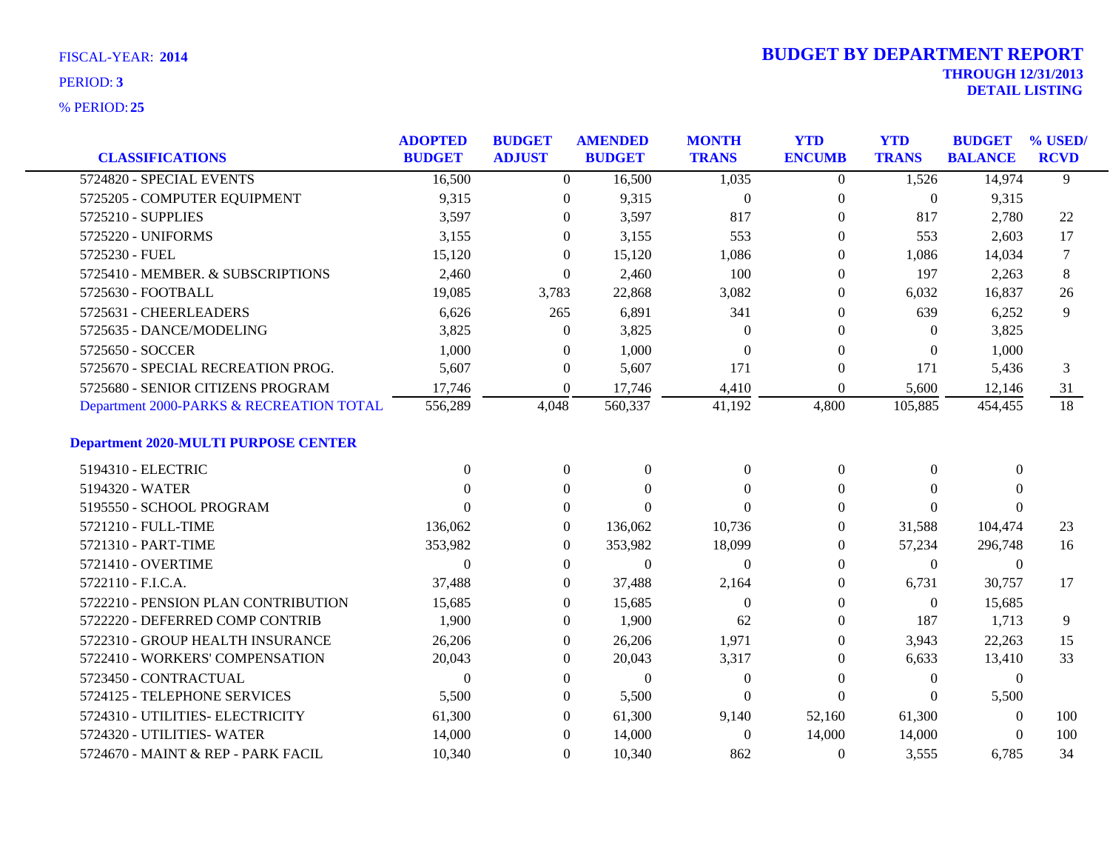| <b>CLASSIFICATIONS</b>                      | <b>ADOPTED</b><br><b>BUDGET</b> | <b>BUDGET</b><br><b>ADJUST</b> | <b>AMENDED</b><br><b>BUDGET</b> | <b>MONTH</b><br><b>TRANS</b> | <b>YTD</b><br><b>ENCUMB</b> | <b>YTD</b><br><b>TRANS</b> | <b>BUDGET</b><br><b>BALANCE</b> | % USED/<br><b>RCVD</b> |
|---------------------------------------------|---------------------------------|--------------------------------|---------------------------------|------------------------------|-----------------------------|----------------------------|---------------------------------|------------------------|
| 5724820 - SPECIAL EVENTS                    | 16,500                          | $\overline{0}$                 | 16,500                          | 1,035                        | $\overline{0}$              | 1,526                      | 14,974                          | 9                      |
| 5725205 - COMPUTER EQUIPMENT                | 9,315                           | $\theta$                       | 9,315                           | $\overline{0}$               | $\mathbf{0}$                | $\overline{0}$             | 9,315                           |                        |
| 5725210 - SUPPLIES                          | 3,597                           | $\theta$                       | 3,597                           | 817                          | $\mathbf{0}$                | 817                        | 2,780                           | 22                     |
| 5725220 - UNIFORMS                          | 3,155                           | $\Omega$                       | 3,155                           | 553                          | $\theta$                    | 553                        | 2,603                           | 17                     |
| 5725230 - FUEL                              | 15,120                          | $\theta$                       | 15,120                          | 1,086                        | $\theta$                    | 1,086                      | 14,034                          | 7                      |
| 5725410 - MEMBER. & SUBSCRIPTIONS           | 2,460                           | $\Omega$                       | 2,460                           | 100                          | $\Omega$                    | 197                        | 2,263                           | 8                      |
| 5725630 - FOOTBALL                          | 19,085                          | 3,783                          | 22,868                          | 3,082                        | $\Omega$                    | 6,032                      | 16,837                          | 26                     |
| 5725631 - CHEERLEADERS                      | 6,626                           | 265                            | 6,891                           | 341                          | $\Omega$                    | 639                        | 6,252                           | 9                      |
| 5725635 - DANCE/MODELING                    | 3,825                           | $\Omega$                       | 3,825                           | $\theta$                     | $\Omega$                    | $\Omega$                   | 3,825                           |                        |
| 5725650 - SOCCER                            | 1,000                           | $\boldsymbol{0}$               | 1,000                           | $\theta$                     | $\mathbf{0}$                | $\mathbf{0}$               | 1,000                           |                        |
| 5725670 - SPECIAL RECREATION PROG.          | 5,607                           | $\boldsymbol{0}$               | 5,607                           | 171                          | $\boldsymbol{0}$            | 171                        | 5,436                           | 3                      |
| 5725680 - SENIOR CITIZENS PROGRAM           | 17,746                          | $\Omega$                       | 17,746                          | 4,410                        | $\Omega$                    | 5,600                      | 12,146                          | 31                     |
| Department 2000-PARKS & RECREATION TOTAL    | 556,289                         | 4,048                          | 560,337                         | 41,192                       | 4,800                       | 105,885                    | 454,455                         | 18                     |
| <b>Department 2020-MULTI PURPOSE CENTER</b> |                                 |                                |                                 |                              |                             |                            |                                 |                        |
| 5194310 - ELECTRIC                          | $\Omega$                        | $\overline{0}$                 | $\mathbf{0}$                    | $\boldsymbol{0}$             | $\boldsymbol{0}$            | $\overline{0}$             | $\mathbf{0}$                    |                        |
| 5194320 - WATER                             | 0                               | $\theta$                       | $\Omega$                        | $\Omega$                     | $\Omega$                    | $\Omega$                   | $\Omega$                        |                        |
| 5195550 - SCHOOL PROGRAM                    | 0                               | $\Omega$                       | $\Omega$                        | $\Omega$                     | $\Omega$                    | $\Omega$                   | $\Omega$                        |                        |
| 5721210 - FULL-TIME                         | 136,062                         | $\overline{0}$                 | 136,062                         | 10,736                       | $\theta$                    | 31,588                     | 104,474                         | 23                     |
| 5721310 - PART-TIME                         | 353,982                         | $\overline{0}$                 | 353,982                         | 18,099                       | $\theta$                    | 57,234                     | 296,748                         | 16                     |
| 5721410 - OVERTIME                          | $\Omega$                        | $\Omega$                       | $\Omega$                        | $\Omega$                     | $\Omega$                    | $\overline{0}$             | $\theta$                        |                        |
| 5722110 - F.I.C.A.                          | 37,488                          | $\overline{0}$                 | 37,488                          | 2,164                        | $\theta$                    | 6,731                      | 30,757                          | 17                     |
| 5722210 - PENSION PLAN CONTRIBUTION         | 15,685                          | $\overline{0}$                 | 15,685                          | $\theta$                     | $\overline{0}$              | $\boldsymbol{0}$           | 15,685                          |                        |
| 5722220 - DEFERRED COMP CONTRIB             | 1,900                           | $\boldsymbol{0}$               | 1,900                           | 62                           | $\theta$                    | 187                        | 1,713                           | 9                      |
| 5722310 - GROUP HEALTH INSURANCE            | 26,206                          | $\Omega$                       | 26,206                          | 1,971                        | $\Omega$                    | 3,943                      | 22.263                          | 15                     |
| 5722410 - WORKERS' COMPENSATION             | 20,043                          | $\theta$                       | 20,043                          | 3,317                        | $\mathbf{0}$                | 6,633                      | 13,410                          | 33                     |
| 5723450 - CONTRACTUAL                       | $\theta$                        | $\mathbf{0}$                   | $\Omega$                        | $\overline{0}$               | $\Omega$                    | $\boldsymbol{0}$           | $\boldsymbol{0}$                |                        |
| 5724125 - TELEPHONE SERVICES                | 5,500                           | $\theta$                       | 5,500                           | $\theta$                     | $\Omega$                    | $\Omega$                   | 5,500                           |                        |
| 5724310 - UTILITIES- ELECTRICITY            | 61,300                          | $\overline{0}$                 | 61,300                          | 9,140                        | 52,160                      | 61,300                     | $\theta$                        | 100                    |
| 5724320 - UTILITIES- WATER                  | 14,000                          | $\theta$                       | 14,000                          | $\theta$                     | 14,000                      | 14,000                     | $\theta$                        | 100                    |
| 5724670 - MAINT & REP - PARK FACIL          | 10,340                          | $\Omega$                       | 10,340                          | 862                          | $\mathbf{0}$                | 3,555                      | 6,785                           | 34                     |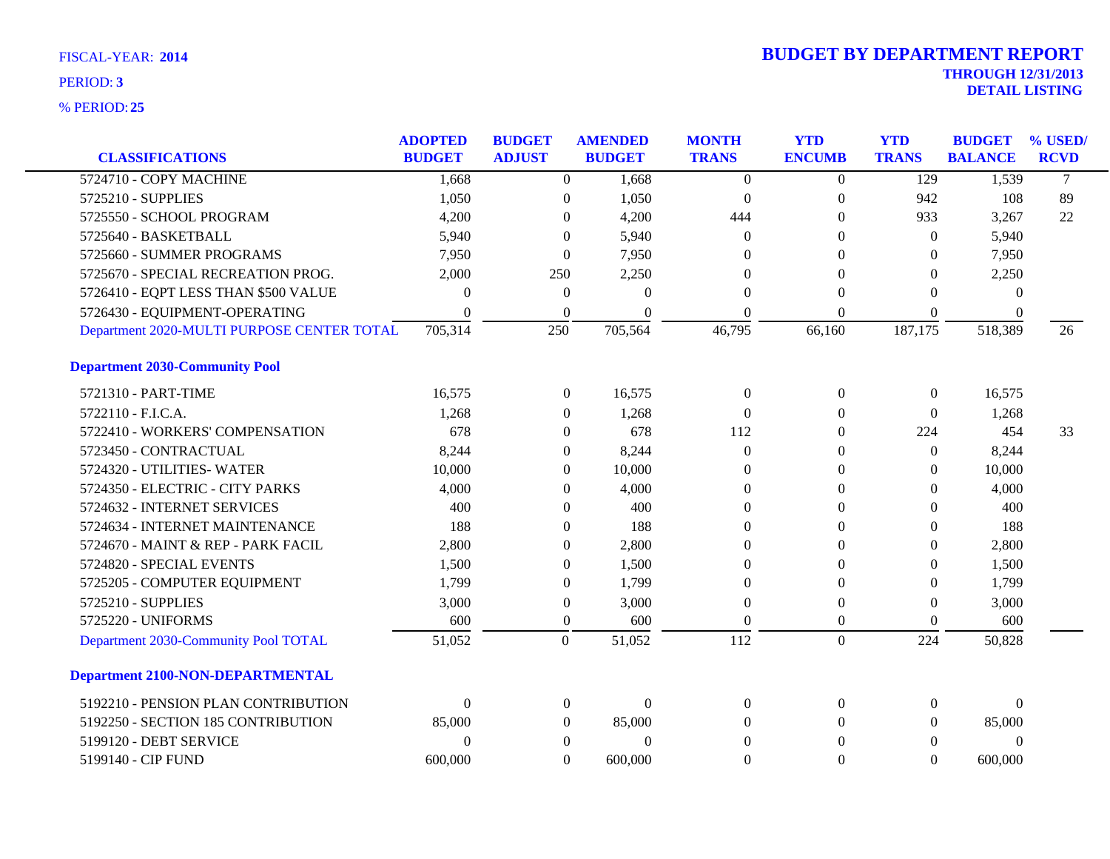|                                            | <b>ADOPTED</b> | <b>BUDGET</b>    | <b>AMENDED</b> | <b>MONTH</b>     | <b>YTD</b>       | <b>YTD</b>       | <b>BUDGET</b>  | % USED/     |
|--------------------------------------------|----------------|------------------|----------------|------------------|------------------|------------------|----------------|-------------|
| <b>CLASSIFICATIONS</b>                     | <b>BUDGET</b>  | <b>ADJUST</b>    | <b>BUDGET</b>  | <b>TRANS</b>     | <b>ENCUMB</b>    | <b>TRANS</b>     | <b>BALANCE</b> | <b>RCVD</b> |
| 5724710 - COPY MACHINE                     | 1,668          | $\overline{0}$   | 1,668          | $\Omega$         | $\theta$         | $\overline{129}$ | 1,539          | $\tau$      |
| 5725210 - SUPPLIES                         | 1,050          | $\boldsymbol{0}$ | 1,050          | $\boldsymbol{0}$ | $\boldsymbol{0}$ | 942              | 108            | 89          |
| 5725550 - SCHOOL PROGRAM                   | 4,200          | $\mathbf{0}$     | 4,200          | 444              | $\Omega$         | 933              | 3,267          | 22          |
| 5725640 - BASKETBALL                       | 5,940          | $\Omega$         | 5,940          | $\Omega$         | 0                | $\theta$         | 5,940          |             |
| 5725660 - SUMMER PROGRAMS                  | 7,950          | $\overline{0}$   | 7,950          | $\Omega$         | 0                | $\Omega$         | 7,950          |             |
| 5725670 - SPECIAL RECREATION PROG.         | 2,000          | 250              | 2,250          | $\theta$         | $\theta$         | $\boldsymbol{0}$ | 2,250          |             |
| 5726410 - EQPT LESS THAN \$500 VALUE       | $\theta$       | $\boldsymbol{0}$ | $\Omega$       | $\theta$         | $\theta$         | $\theta$         | $\theta$       |             |
| 5726430 - EQUIPMENT-OPERATING              | $\Omega$       | $\theta$         | $\Omega$       | $\theta$         | $\theta$         | $\theta$         | $\Omega$       |             |
| Department 2020-MULTI PURPOSE CENTER TOTAL | 705,314        | 250              | 705,564        | 46,795           | 66,160           | 187,175          | 518,389        | 26          |
| <b>Department 2030-Community Pool</b>      |                |                  |                |                  |                  |                  |                |             |
| 5721310 - PART-TIME                        | 16,575         | $\boldsymbol{0}$ | 16,575         | $\mathbf{0}$     | $\boldsymbol{0}$ | $\boldsymbol{0}$ | 16,575         |             |
| 5722110 - F.I.C.A.                         | 1,268          | $\mathbf{0}$     | 1,268          | $\theta$         | $\theta$         | $\mathbf{0}$     | 1,268          |             |
| 5722410 - WORKERS' COMPENSATION            | 678            | $\theta$         | 678            | 112              | 0                | 224              | 454            | 33          |
| 5723450 - CONTRACTUAL                      | 8,244          | $\mathbf{0}$     | 8,244          | $\theta$         | 0                | $\mathbf{0}$     | 8,244          |             |
| 5724320 - UTILITIES-WATER                  | 10,000         | $\overline{0}$   | 10,000         | $\Omega$         | $\theta$         | $\theta$         | 10,000         |             |
| 5724350 - ELECTRIC - CITY PARKS            | 4,000          | $\theta$         | 4,000          | $\overline{0}$   | 0                | $\overline{0}$   | 4,000          |             |
| 5724632 - INTERNET SERVICES                | 400            | $\theta$         | 400            | $\Omega$         | 0                | $\Omega$         | 400            |             |
| 5724634 - INTERNET MAINTENANCE             | 188            | $\Omega$         | 188            | $\Omega$         | 0                | $\theta$         | 188            |             |
| 5724670 - MAINT & REP - PARK FACIL         | 2,800          | $\Omega$         | 2,800          | $\Omega$         | $\Omega$         | $\theta$         | 2,800          |             |
| 5724820 - SPECIAL EVENTS                   | 1,500          | $\mathbf{0}$     | 1,500          | $\Omega$         | $\theta$         | $\overline{0}$   | 1,500          |             |
| 5725205 - COMPUTER EQUIPMENT               | 1,799          | $\overline{0}$   | 1,799          | $\theta$         | $\theta$         | $\theta$         | 1,799          |             |
| 5725210 - SUPPLIES                         | 3,000          | $\boldsymbol{0}$ | 3,000          | $\theta$         | $\Omega$         | $\theta$         | 3,000          |             |
| 5725220 - UNIFORMS                         | 600            | $\overline{0}$   | 600            | $\Omega$         | $\Omega$         | $\theta$         | 600            |             |
| Department 2030-Community Pool TOTAL       | 51,052         | $\overline{0}$   | 51,052         | 112              | $\overline{0}$   | 224              | 50,828         |             |
| <b>Department 2100-NON-DEPARTMENTAL</b>    |                |                  |                |                  |                  |                  |                |             |
| 5192210 - PENSION PLAN CONTRIBUTION        | $\mathbf{0}$   | $\boldsymbol{0}$ | $\overline{0}$ | $\theta$         | $\overline{0}$   | 0                | $\theta$       |             |
| 5192250 - SECTION 185 CONTRIBUTION         | 85,000         | $\overline{0}$   | 85,000         | $\Omega$         | $\Omega$         | $\overline{0}$   | 85,000         |             |
| 5199120 - DEBT SERVICE                     | $\overline{0}$ | $\mathbf{0}$     | $\theta$       | $\Omega$         | $\theta$         | $\overline{0}$   | $\overline{0}$ |             |
| 5199140 - CIP FUND                         | 600,000        | $\Omega$         | 600,000        | $\Omega$         | $\Omega$         | $\Omega$         | 600,000        |             |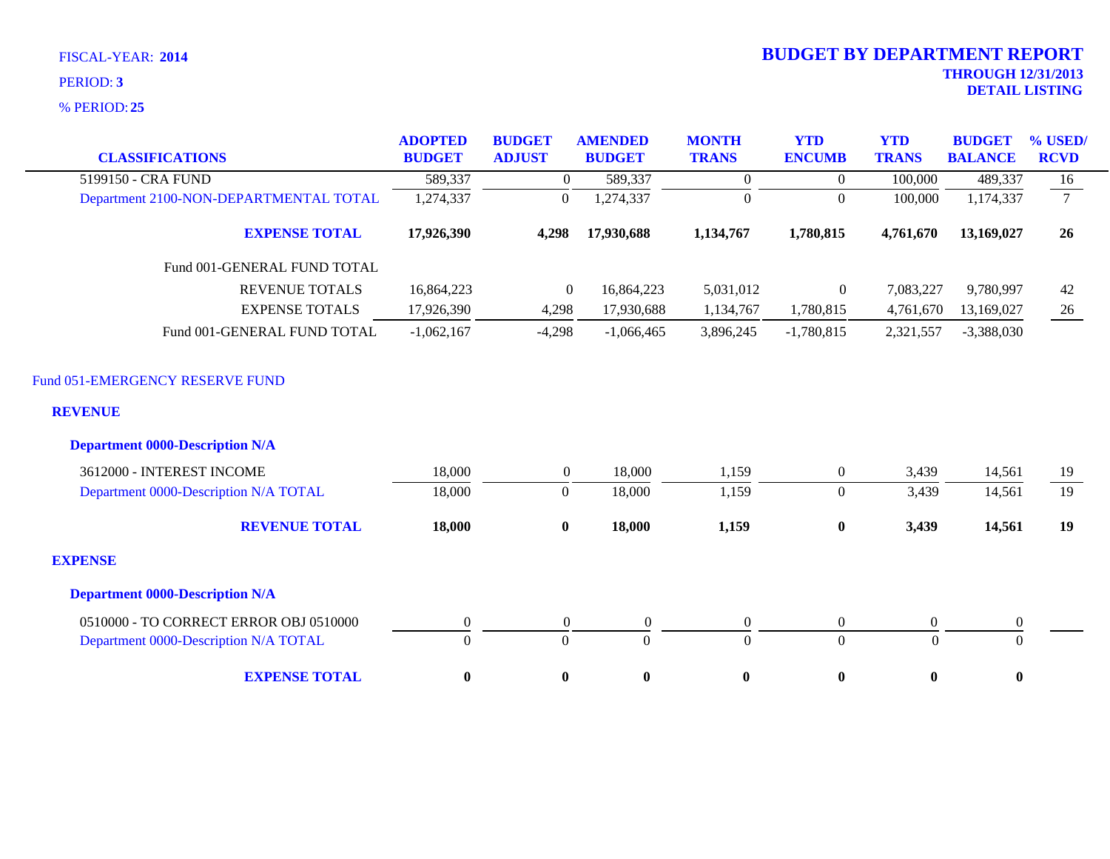**25** % PERIOD:

| <b>CLASSIFICATIONS</b>                            | <b>ADOPTED</b><br><b>BUDGET</b> | <b>BUDGET</b><br><b>ADJUST</b> | <b>AMENDED</b><br><b>BUDGET</b> | <b>MONTH</b><br><b>TRANS</b> | <b>YTD</b><br><b>ENCUMB</b> | <b>YTD</b><br><b>TRANS</b> | <b>BUDGET</b><br><b>BALANCE</b> | % USED/<br><b>RCVD</b> |
|---------------------------------------------------|---------------------------------|--------------------------------|---------------------------------|------------------------------|-----------------------------|----------------------------|---------------------------------|------------------------|
| 5199150 - CRA FUND                                | 589,337                         | $\overline{0}$                 | 589,337                         | $\overline{0}$               | $\overline{0}$              | 100,000                    | 489,337                         | 16                     |
| Department 2100-NON-DEPARTMENTAL TOTAL            | 1,274,337                       | $\boldsymbol{0}$               | 1,274,337                       | $\boldsymbol{0}$             | $\overline{0}$              | 100,000                    | 1,174,337                       | $7\overline{ }$        |
| <b>EXPENSE TOTAL</b>                              | 17,926,390                      | 4,298                          | 17,930,688                      | 1,134,767                    | 1,780,815                   | 4,761,670                  | 13,169,027                      | 26                     |
| Fund 001-GENERAL FUND TOTAL                       |                                 |                                |                                 |                              |                             |                            |                                 |                        |
| <b>REVENUE TOTALS</b>                             | 16,864,223                      | $\overline{0}$                 | 16,864,223                      | 5,031,012                    | $\overline{0}$              | 7,083,227                  | 9,780,997                       | 42                     |
| <b>EXPENSE TOTALS</b>                             | 17,926,390                      | 4,298                          | 17,930,688                      | 1,134,767                    | 1,780,815                   | 4,761,670                  | 13,169,027                      | 26                     |
| Fund 001-GENERAL FUND TOTAL                       | $-1,062,167$                    | $-4,298$                       | $-1,066,465$                    | 3,896,245                    | $-1,780,815$                | 2,321,557                  | $-3,388,030$                    |                        |
| Fund 051-EMERGENCY RESERVE FUND<br><b>REVENUE</b> |                                 |                                |                                 |                              |                             |                            |                                 |                        |
| <b>Department 0000-Description N/A</b>            |                                 |                                |                                 |                              |                             |                            |                                 |                        |
| 3612000 - INTEREST INCOME                         | 18,000                          | $\overline{0}$                 | 18,000                          | 1,159                        | $\mathbf{0}$                | 3,439                      | 14,561                          | 19                     |
| Department 0000-Description N/A TOTAL             | 18,000                          | $\boldsymbol{0}$               | 18,000                          | 1,159                        | $\overline{0}$              | 3,439                      | 14,561                          | 19                     |
| <b>REVENUE TOTAL</b>                              | 18,000                          | $\bf{0}$                       | 18,000                          | 1,159                        | $\bf{0}$                    | 3,439                      | 14,561                          | 19                     |
| <b>EXPENSE</b>                                    |                                 |                                |                                 |                              |                             |                            |                                 |                        |
| <b>Department 0000-Description N/A</b>            |                                 |                                |                                 |                              |                             |                            |                                 |                        |
| 0510000 - TO CORRECT ERROR OBJ 0510000            | $\boldsymbol{0}$                | $\boldsymbol{0}$               | $\boldsymbol{0}$                | $\boldsymbol{0}$             | $\mathbf{0}$                | $\mathbf{0}$               | $\boldsymbol{0}$                |                        |
| Department 0000-Description N/A TOTAL             | $\overline{0}$                  | $\mathbf{0}$                   | $\Omega$                        | $\mathbf{0}$                 | $\overline{0}$              | $\Omega$                   | $\theta$                        |                        |
| <b>EXPENSE TOTAL</b>                              | $\bf{0}$                        | $\bf{0}$                       | $\bf{0}$                        | $\bf{0}$                     | $\bf{0}$                    | $\bf{0}$                   | $\bf{0}$                        |                        |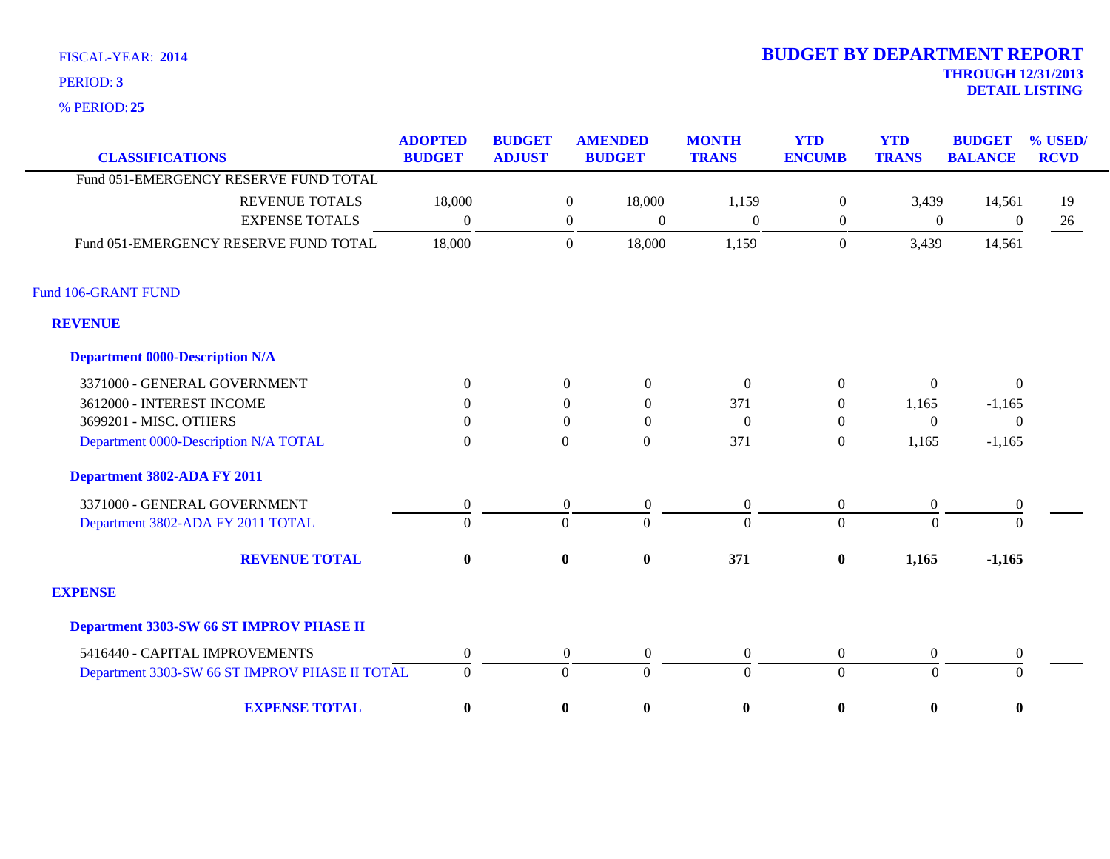**25** % PERIOD:

| <b>CLASSIFICATIONS</b>                         | <b>ADOPTED</b><br><b>BUDGET</b> | <b>BUDGET</b><br><b>ADJUST</b> |                  | <b>AMENDED</b><br><b>BUDGET</b> | <b>MONTH</b><br><b>TRANS</b> | <b>YTD</b><br><b>ENCUMB</b> | <b>YTD</b><br><b>TRANS</b> | <b>BUDGET</b><br><b>BALANCE</b> | % USED/<br><b>RCVD</b> |
|------------------------------------------------|---------------------------------|--------------------------------|------------------|---------------------------------|------------------------------|-----------------------------|----------------------------|---------------------------------|------------------------|
| Fund 051-EMERGENCY RESERVE FUND TOTAL          |                                 |                                |                  |                                 |                              |                             |                            |                                 |                        |
|                                                |                                 |                                |                  |                                 |                              |                             |                            |                                 |                        |
| <b>REVENUE TOTALS</b>                          | 18,000                          |                                | $\boldsymbol{0}$ | 18,000                          | 1,159                        | $\mathbf{0}$                | 3,439                      | 14,561                          | 19                     |
| <b>EXPENSE TOTALS</b>                          | $\boldsymbol{0}$                |                                | $\overline{0}$   | $\boldsymbol{0}$                | $\Omega$                     | $\overline{0}$              | $\boldsymbol{0}$           | $\boldsymbol{0}$                | 26                     |
| Fund 051-EMERGENCY RESERVE FUND TOTAL          | 18,000                          |                                | $\Omega$         | 18,000                          | 1,159                        | $\Omega$                    | 3,439                      | 14,561                          |                        |
|                                                |                                 |                                |                  |                                 |                              |                             |                            |                                 |                        |
| Fund 106-GRANT FUND                            |                                 |                                |                  |                                 |                              |                             |                            |                                 |                        |
| <b>REVENUE</b>                                 |                                 |                                |                  |                                 |                              |                             |                            |                                 |                        |
| <b>Department 0000-Description N/A</b>         |                                 |                                |                  |                                 |                              |                             |                            |                                 |                        |
| 3371000 - GENERAL GOVERNMENT                   | $\Omega$                        |                                | $\boldsymbol{0}$ | $\boldsymbol{0}$                | $\boldsymbol{0}$             | $\Omega$                    | $\mathbf{0}$               | $\boldsymbol{0}$                |                        |
| 3612000 - INTEREST INCOME                      | $\Omega$                        |                                | $\Omega$         | $\theta$                        | 371                          | $\Omega$                    | 1,165                      | $-1,165$                        |                        |
| 3699201 - MISC. OTHERS                         | $\theta$                        |                                | $\overline{0}$   | $\theta$                        | $\boldsymbol{0}$             | $\theta$                    | $\overline{0}$             | $\theta$                        |                        |
| Department 0000-Description N/A TOTAL          | $\boldsymbol{0}$                |                                | $\overline{0}$   | $\overline{0}$                  | 371                          | $\overline{0}$              | 1,165                      | $-1,165$                        |                        |
| Department 3802-ADA FY 2011                    |                                 |                                |                  |                                 |                              |                             |                            |                                 |                        |
| 3371000 - GENERAL GOVERNMENT                   | $\boldsymbol{0}$                |                                | $\boldsymbol{0}$ | $\boldsymbol{0}$                | $\boldsymbol{0}$             | $\boldsymbol{0}$            | $\boldsymbol{0}$           | $\boldsymbol{0}$                |                        |
| Department 3802-ADA FY 2011 TOTAL              | $\Omega$                        |                                | $\overline{0}$   | $\Omega$                        | $\overline{0}$               | $\overline{0}$              | $\Omega$                   | $\theta$                        |                        |
| <b>REVENUE TOTAL</b>                           | $\bf{0}$                        |                                | $\bf{0}$         | $\boldsymbol{0}$                | 371                          | $\bf{0}$                    | 1,165                      | $-1,165$                        |                        |
| <b>EXPENSE</b>                                 |                                 |                                |                  |                                 |                              |                             |                            |                                 |                        |
| Department 3303-SW 66 ST IMPROV PHASE II       |                                 |                                |                  |                                 |                              |                             |                            |                                 |                        |
| 5416440 - CAPITAL IMPROVEMENTS                 | $\boldsymbol{0}$                |                                | $\boldsymbol{0}$ | $\boldsymbol{0}$                | $\boldsymbol{0}$             | $\mathbf{0}$                | $\boldsymbol{0}$           | $\boldsymbol{0}$                |                        |
| Department 3303-SW 66 ST IMPROV PHASE II TOTAL | $\boldsymbol{0}$                |                                | $\mathbf{0}$     | $\Omega$                        | $\overline{0}$               | $\overline{0}$              | $\Omega$                   | $\Omega$                        |                        |
| <b>EXPENSE TOTAL</b>                           | $\boldsymbol{0}$                |                                | $\bf{0}$         | $\boldsymbol{0}$                | $\bf{0}$                     | $\bf{0}$                    | $\bf{0}$                   | $\bf{0}$                        |                        |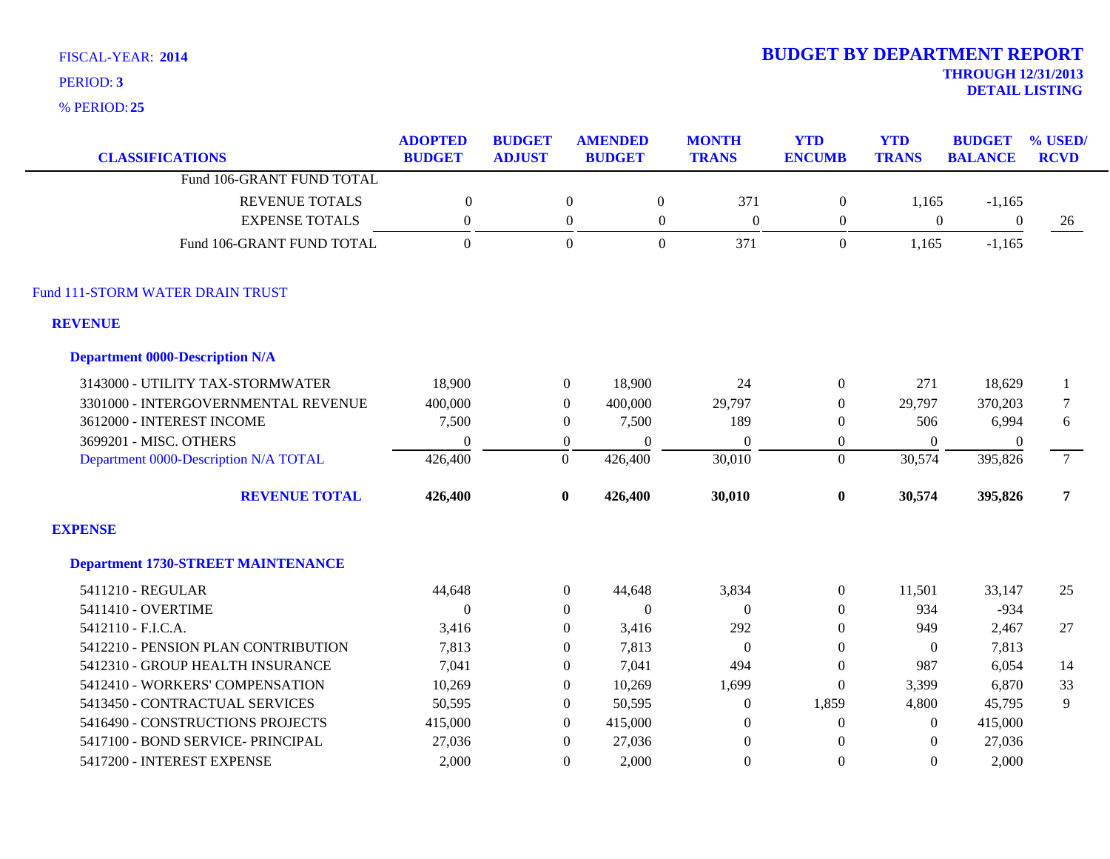**25** % PERIOD:

| <b>CLASSIFICATIONS</b>                    | <b>ADOPTED</b><br><b>BUDGET</b> | <b>BUDGET</b><br><b>ADJUST</b> | <b>AMENDED</b><br><b>BUDGET</b> | <b>MONTH</b><br><b>TRANS</b>   | <b>YTD</b><br><b>ENCUMB</b> | <b>YTD</b><br><b>TRANS</b> | <b>BUDGET</b><br><b>BALANCE</b> | % USED/<br><b>RCVD</b> |
|-------------------------------------------|---------------------------------|--------------------------------|---------------------------------|--------------------------------|-----------------------------|----------------------------|---------------------------------|------------------------|
| Fund 106-GRANT FUND TOTAL                 |                                 |                                |                                 |                                |                             |                            |                                 |                        |
| <b>REVENUE TOTALS</b>                     | $\boldsymbol{0}$                |                                | $\boldsymbol{0}$                | 371<br>$\boldsymbol{0}$        | $\boldsymbol{0}$            | 1,165                      | $-1,165$                        |                        |
| <b>EXPENSE TOTALS</b>                     | $\boldsymbol{0}$                |                                | $\boldsymbol{0}$                | $\mathbf{0}$<br>$\overline{0}$ | $\boldsymbol{0}$            | $\boldsymbol{0}$           | $\mathbf{0}$                    | 26                     |
| Fund 106-GRANT FUND TOTAL                 | $\Omega$                        |                                | $\boldsymbol{0}$                | $\overline{0}$<br>371          | $\mathbf{0}$                | 1,165                      | $-1,165$                        |                        |
| Fund 111-STORM WATER DRAIN TRUST          |                                 |                                |                                 |                                |                             |                            |                                 |                        |
| <b>REVENUE</b>                            |                                 |                                |                                 |                                |                             |                            |                                 |                        |
| <b>Department 0000-Description N/A</b>    |                                 |                                |                                 |                                |                             |                            |                                 |                        |
| 3143000 - UTILITY TAX-STORMWATER          | 18,900                          | $\overline{0}$                 | 18,900                          | 24                             | $\boldsymbol{0}$            | 271                        | 18,629                          | -1                     |
| 3301000 - INTERGOVERNMENTAL REVENUE       | 400,000                         | $\overline{0}$                 | 400,000                         | 29,797                         | $\boldsymbol{0}$            | 29,797                     | 370,203                         | 7                      |
| 3612000 - INTEREST INCOME                 | 7,500                           | $\theta$                       | 7,500                           | 189                            | $\Omega$                    | 506                        | 6,994                           | 6                      |
| 3699201 - MISC. OTHERS                    | $\overline{0}$                  | $\boldsymbol{0}$               | $\mathbf{0}$                    | $\overline{0}$                 | $\boldsymbol{0}$            | $\theta$                   | $\overline{0}$                  |                        |
| Department 0000-Description N/A TOTAL     | 426,400                         | $\overline{0}$                 | 426,400                         | 30,010                         | $\Omega$                    | 30,574                     | 395,826                         | 7 <sup>7</sup>         |
| <b>REVENUE TOTAL</b>                      | 426,400                         | $\bf{0}$                       | 426,400                         | 30,010                         | $\bf{0}$                    | 30,574                     | 395,826                         | $\overline{7}$         |
| <b>EXPENSE</b>                            |                                 |                                |                                 |                                |                             |                            |                                 |                        |
| <b>Department 1730-STREET MAINTENANCE</b> |                                 |                                |                                 |                                |                             |                            |                                 |                        |
| 5411210 - REGULAR                         | 44,648                          | $\boldsymbol{0}$               | 44,648                          | 3,834                          | $\boldsymbol{0}$            | 11,501                     | 33,147                          | 25                     |
| 5411410 - OVERTIME                        | $\theta$                        | $\theta$                       | $\Omega$                        | $\theta$                       | $\Omega$                    | 934                        | $-934$                          |                        |
| 5412110 - F.I.C.A.                        | 3,416                           | $\Omega$                       | 3,416                           | 292                            | $\Omega$                    | 949                        | 2,467                           | 27                     |
| 5412210 - PENSION PLAN CONTRIBUTION       | 7,813                           | $\Omega$                       | 7,813                           | $\overline{0}$                 | $\Omega$                    | $\theta$                   | 7,813                           |                        |
| 5412310 - GROUP HEALTH INSURANCE          | 7,041                           | $\overline{0}$                 | 7,041                           | 494                            | $\boldsymbol{0}$            | 987                        | 6,054                           | 14                     |
| 5412410 - WORKERS' COMPENSATION           | 10,269                          | $\theta$                       | 10,269                          | 1,699                          | $\Omega$                    | 3,399                      | 6,870                           | 33                     |
| 5413450 - CONTRACTUAL SERVICES            | 50,595                          | $\theta$                       | 50,595                          | $\boldsymbol{0}$               | 1,859                       | 4,800                      | 45,795                          | 9                      |
| 5416490 - CONSTRUCTIONS PROJECTS          | 415,000                         | $\theta$                       | 415,000                         | $\theta$                       | $\Omega$                    | $\Omega$                   | 415,000                         |                        |
| 5417100 - BOND SERVICE- PRINCIPAL         | 27,036                          | $\theta$                       | 27,036                          | $\overline{0}$                 | $\Omega$                    | $\Omega$                   | 27,036                          |                        |
| 5417200 - INTEREST EXPENSE                | 2.000                           | $\Omega$                       | 2,000                           | $\Omega$                       | $\Omega$                    | $\Omega$                   | 2,000                           |                        |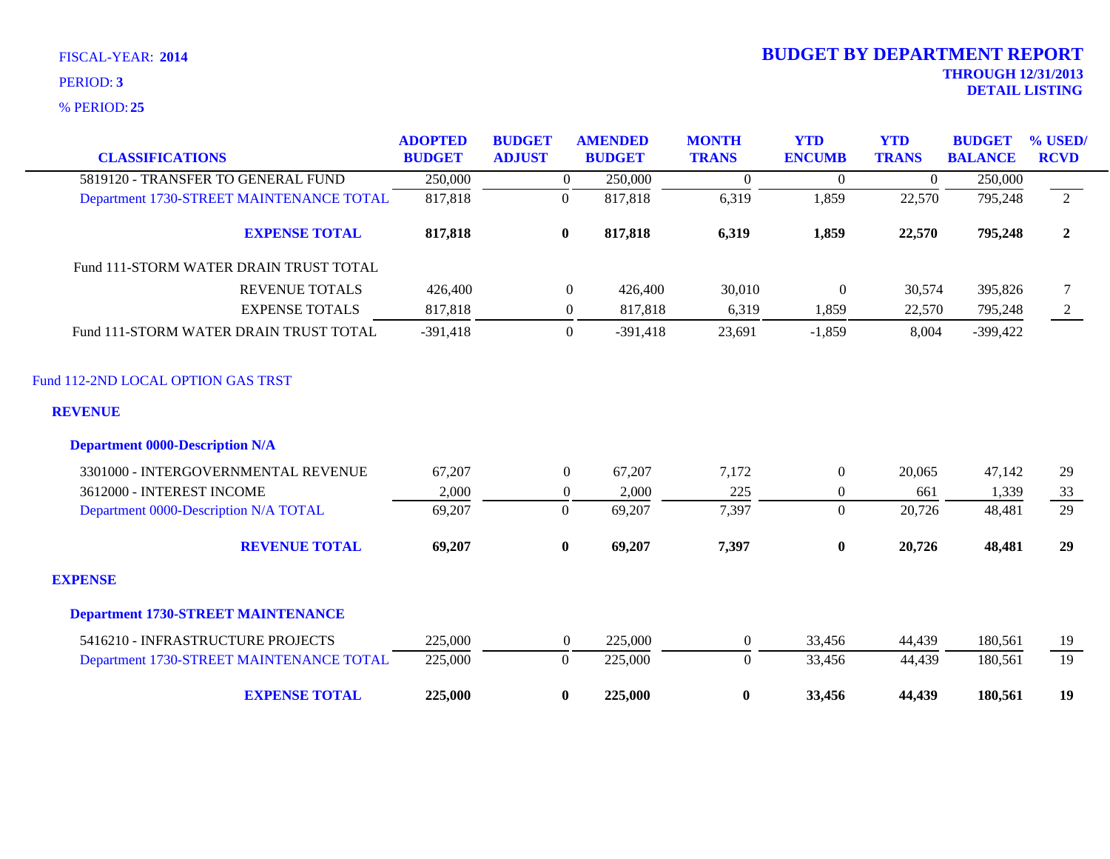**25** % PERIOD:

| <b>CLASSIFICATIONS</b>                    | <b>ADOPTED</b><br><b>BUDGET</b> | <b>BUDGET</b><br><b>ADJUST</b> |                  | <b>AMENDED</b><br><b>BUDGET</b> | <b>MONTH</b><br><b>TRANS</b> | <b>YTD</b><br><b>ENCUMB</b> | <b>YTD</b><br><b>TRANS</b> | <b>BUDGET</b><br><b>BALANCE</b> | % USED/<br><b>RCVD</b> |
|-------------------------------------------|---------------------------------|--------------------------------|------------------|---------------------------------|------------------------------|-----------------------------|----------------------------|---------------------------------|------------------------|
| 5819120 - TRANSFER TO GENERAL FUND        | 250,000                         |                                | $\theta$         | 250,000                         | $\Omega$                     | $\boldsymbol{0}$            | $\theta$                   | 250,000                         |                        |
| Department 1730-STREET MAINTENANCE TOTAL  | 817,818                         |                                | $\mathbf{0}$     | 817,818                         | 6,319                        | 1,859                       | 22,570                     | 795,248                         | 2                      |
| <b>EXPENSE TOTAL</b>                      | 817,818                         |                                | $\bf{0}$         | 817,818                         | 6,319                        | 1,859                       | 22,570                     | 795,248                         | $\boldsymbol{2}$       |
| Fund 111-STORM WATER DRAIN TRUST TOTAL    |                                 |                                |                  |                                 |                              |                             |                            |                                 |                        |
| <b>REVENUE TOTALS</b>                     | 426,400                         |                                | $\mathbf{0}$     | 426,400                         | 30,010                       | $\boldsymbol{0}$            | 30,574                     | 395,826                         | $\tau$                 |
| <b>EXPENSE TOTALS</b>                     | 817,818                         |                                | $\boldsymbol{0}$ | 817,818                         | 6,319                        | 1,859                       | 22,570                     | 795,248                         | 2                      |
| Fund 111-STORM WATER DRAIN TRUST TOTAL    | $-391,418$                      |                                | $\overline{0}$   | $-391,418$                      | 23,691                       | $-1,859$                    | 8,004                      | $-399,422$                      |                        |
| Fund 112-2ND LOCAL OPTION GAS TRST        |                                 |                                |                  |                                 |                              |                             |                            |                                 |                        |
| <b>REVENUE</b>                            |                                 |                                |                  |                                 |                              |                             |                            |                                 |                        |
| <b>Department 0000-Description N/A</b>    |                                 |                                |                  |                                 |                              |                             |                            |                                 |                        |
| 3301000 - INTERGOVERNMENTAL REVENUE       | 67,207                          |                                | $\boldsymbol{0}$ | 67,207                          | 7,172                        | $\boldsymbol{0}$            | 20,065                     | 47,142                          | 29                     |
| 3612000 - INTEREST INCOME                 | 2,000                           |                                | $\overline{0}$   | 2,000                           | 225                          | $\boldsymbol{0}$            | 661                        | 1,339                           | 33                     |
| Department 0000-Description N/A TOTAL     | 69,207                          |                                | $\boldsymbol{0}$ | 69,207                          | 7,397                        | $\mathbf{0}$                | 20,726                     | 48,481                          | 29                     |
| <b>REVENUE TOTAL</b>                      | 69,207                          |                                | $\bf{0}$         | 69,207                          | 7,397                        | $\bf{0}$                    | 20,726                     | 48,481                          | 29                     |
| <b>EXPENSE</b>                            |                                 |                                |                  |                                 |                              |                             |                            |                                 |                        |
| <b>Department 1730-STREET MAINTENANCE</b> |                                 |                                |                  |                                 |                              |                             |                            |                                 |                        |
| 5416210 - INFRASTRUCTURE PROJECTS         | 225,000                         |                                | $\mathbf{0}$     | 225,000                         | $\boldsymbol{0}$             | 33,456                      | 44,439                     | 180,561                         | 19                     |
| Department 1730-STREET MAINTENANCE TOTAL  | 225,000                         |                                | $\mathbf{0}$     | 225,000                         | $\overline{0}$               | 33,456                      | 44,439                     | 180,561                         | 19                     |
| <b>EXPENSE TOTAL</b>                      | 225,000                         |                                | $\bf{0}$         | 225,000                         | $\bf{0}$                     | 33,456                      | 44,439                     | 180,561                         | 19                     |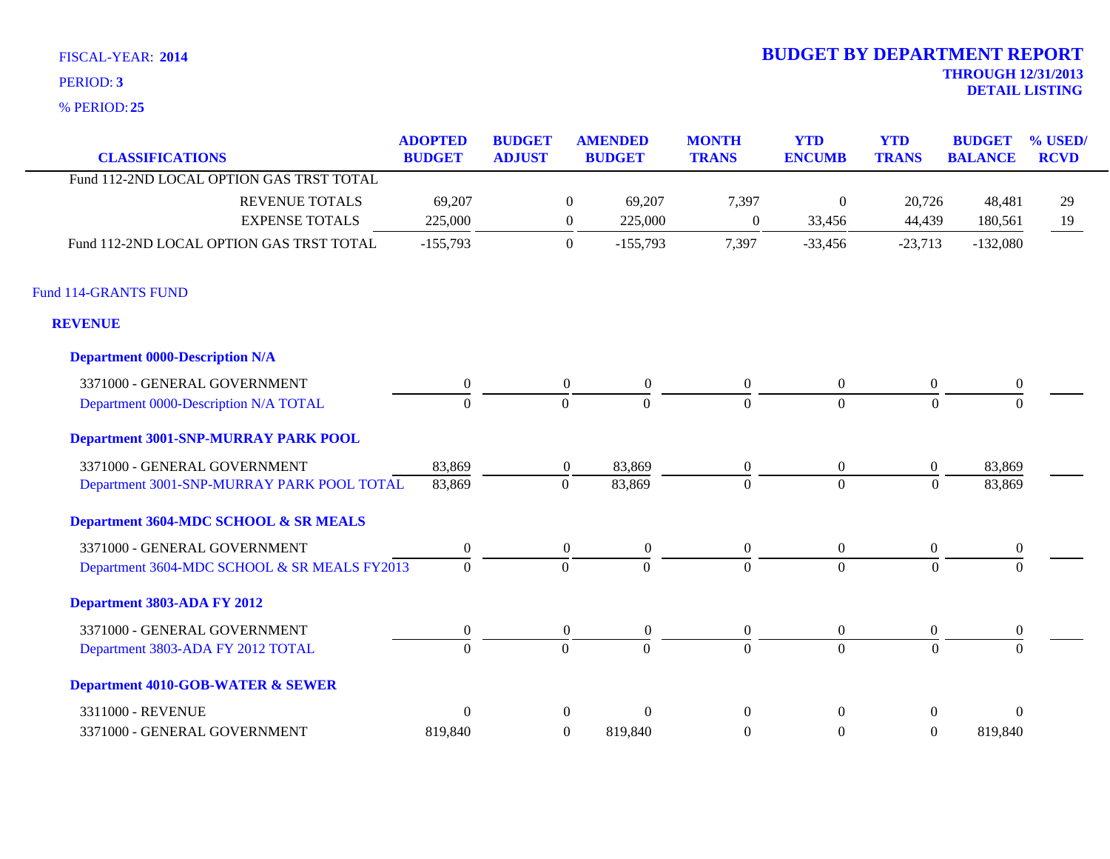**25** % PERIOD:

| <b>CLASSIFICATIONS</b>                       | <b>ADOPTED</b><br><b>BUDGET</b> | <b>BUDGET</b><br><b>ADJUST</b> |                  | <b>AMENDED</b><br><b>BUDGET</b> | <b>MONTH</b><br><b>TRANS</b> | <b>YTD</b><br><b>ENCUMB</b> | <b>YTD</b><br><b>TRANS</b> | <b>BUDGET</b><br><b>BALANCE</b> | % USED/<br><b>RCVD</b> |
|----------------------------------------------|---------------------------------|--------------------------------|------------------|---------------------------------|------------------------------|-----------------------------|----------------------------|---------------------------------|------------------------|
| Fund 112-2ND LOCAL OPTION GAS TRST TOTAL     |                                 |                                |                  |                                 |                              |                             |                            |                                 |                        |
| <b>REVENUE TOTALS</b>                        | 69,207                          |                                | $\mathbf{0}$     | 69,207                          | 7,397                        | $\boldsymbol{0}$            | 20,726                     | 48,481                          | 29                     |
| <b>EXPENSE TOTALS</b>                        | 225,000                         |                                | $\boldsymbol{0}$ | 225,000                         | $\overline{0}$               | 33,456                      | 44,439                     | 180,561                         | 19                     |
| Fund 112-2ND LOCAL OPTION GAS TRST TOTAL     | $-155,793$                      |                                | $\mathbf{0}$     | $-155,793$                      | 7,397                        | $-33,456$                   | $-23,713$                  | $-132,080$                      |                        |
| Fund 114-GRANTS FUND                         |                                 |                                |                  |                                 |                              |                             |                            |                                 |                        |
| <b>REVENUE</b>                               |                                 |                                |                  |                                 |                              |                             |                            |                                 |                        |
| <b>Department 0000-Description N/A</b>       |                                 |                                |                  |                                 |                              |                             |                            |                                 |                        |
| 3371000 - GENERAL GOVERNMENT                 | $\boldsymbol{0}$                |                                | $\overline{0}$   | $\boldsymbol{0}$                | $\overline{0}$               | $\boldsymbol{0}$            | $\overline{0}$             | $\boldsymbol{0}$                |                        |
| Department 0000-Description N/A TOTAL        | $\theta$                        |                                | $\boldsymbol{0}$ | $\mathbf{0}$                    | $\Omega$                     | $\overline{0}$              | $\boldsymbol{0}$           | $\Omega$                        |                        |
| <b>Department 3001-SNP-MURRAY PARK POOL</b>  |                                 |                                |                  |                                 |                              |                             |                            |                                 |                        |
| 3371000 - GENERAL GOVERNMENT                 | 83,869                          |                                | $\overline{0}$   | 83,869                          | $\boldsymbol{0}$             | $\overline{0}$              | $\boldsymbol{0}$           | 83,869                          |                        |
| Department 3001-SNP-MURRAY PARK POOL TOTAL   | 83,869                          |                                | $\boldsymbol{0}$ | 83,869                          | $\Omega$                     | $\overline{0}$              | $\theta$                   | 83,869                          |                        |
| Department 3604-MDC SCHOOL & SR MEALS        |                                 |                                |                  |                                 |                              |                             |                            |                                 |                        |
| 3371000 - GENERAL GOVERNMENT                 | $\boldsymbol{0}$                |                                | $\overline{0}$   | $\boldsymbol{0}$                | $\boldsymbol{0}$             | $\overline{0}$              | $\overline{0}$             | $\mathbf{0}$                    |                        |
| Department 3604-MDC SCHOOL & SR MEALS FY2013 | $\mathbf{0}$                    |                                | $\mathbf{0}$     | $\Omega$                        | $\Omega$                     | $\overline{0}$              | $\theta$                   | $\Omega$                        |                        |
| Department 3803-ADA FY 2012                  |                                 |                                |                  |                                 |                              |                             |                            |                                 |                        |
| 3371000 - GENERAL GOVERNMENT                 | $\boldsymbol{0}$                |                                | $\boldsymbol{0}$ | $\boldsymbol{0}$                | $\boldsymbol{0}$             | $\overline{0}$              | $\boldsymbol{0}$           | $\boldsymbol{0}$                |                        |
| Department 3803-ADA FY 2012 TOTAL            | $\mathbf{0}$                    |                                | $\mathbf{0}$     | $\overline{0}$                  | $\overline{0}$               | $\overline{0}$              | $\mathbf{0}$               | $\Omega$                        |                        |
| <b>Department 4010-GOB-WATER &amp; SEWER</b> |                                 |                                |                  |                                 |                              |                             |                            |                                 |                        |
| 3311000 - REVENUE                            | $\theta$                        |                                | $\overline{0}$   | $\overline{0}$                  | $\Omega$                     | $\overline{0}$              | $\overline{0}$             | $\Omega$                        |                        |
| 3371000 - GENERAL GOVERNMENT                 | 819,840                         |                                | $\overline{0}$   | 819,840                         | $\boldsymbol{0}$             | $\boldsymbol{0}$            | $\overline{0}$             | 819,840                         |                        |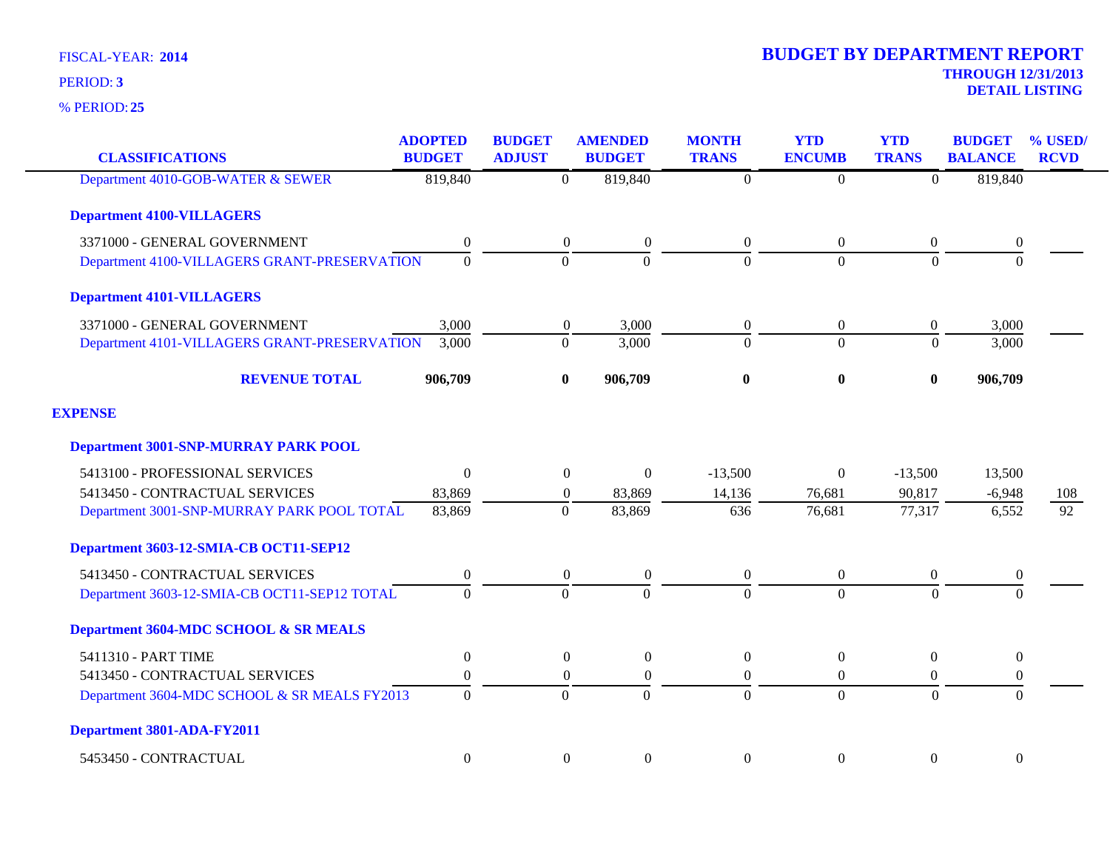**25** % PERIOD:

| <b>CLASSIFICATIONS</b>                       | <b>ADOPTED</b><br><b>BUDGET</b> | <b>BUDGET</b><br><b>ADJUST</b> | <b>AMENDED</b><br><b>BUDGET</b> | <b>MONTH</b><br><b>TRANS</b> | <b>YTD</b><br><b>ENCUMB</b> | <b>YTD</b><br><b>TRANS</b> | <b>BUDGET</b><br><b>BALANCE</b> | % USED/<br><b>RCVD</b> |
|----------------------------------------------|---------------------------------|--------------------------------|---------------------------------|------------------------------|-----------------------------|----------------------------|---------------------------------|------------------------|
| Department 4010-GOB-WATER & SEWER            | 819,840                         | $\overline{0}$                 | 819,840                         | $\boldsymbol{0}$             | $\overline{0}$              | $\Omega$                   | 819,840                         |                        |
| <b>Department 4100-VILLAGERS</b>             |                                 |                                |                                 |                              |                             |                            |                                 |                        |
| 3371000 - GENERAL GOVERNMENT                 | $\boldsymbol{0}$                | $\overline{0}$                 | $\boldsymbol{0}$                | $\boldsymbol{0}$             | $\boldsymbol{0}$            | $\overline{0}$             | $\boldsymbol{0}$                |                        |
| Department 4100-VILLAGERS GRANT-PRESERVATION | $\Omega$                        | $\Omega$                       | $\Omega$                        | $\Omega$                     | $\Omega$                    | $\Omega$                   | $\Omega$                        |                        |
| <b>Department 4101-VILLAGERS</b>             |                                 |                                |                                 |                              |                             |                            |                                 |                        |
| 3371000 - GENERAL GOVERNMENT                 | 3,000                           | $\boldsymbol{0}$               | 3,000                           | $\boldsymbol{0}$             | $\boldsymbol{0}$            | $\overline{0}$             | 3,000                           |                        |
| Department 4101-VILLAGERS GRANT-PRESERVATION | 3,000                           | $\Omega$                       | 3,000                           | $\overline{0}$               | $\overline{0}$              | $\Omega$                   | 3,000                           |                        |
| <b>REVENUE TOTAL</b>                         | 906,709                         | $\bf{0}$                       | 906,709                         | $\bf{0}$                     | $\boldsymbol{0}$            | $\bf{0}$                   | 906,709                         |                        |
| <b>EXPENSE</b>                               |                                 |                                |                                 |                              |                             |                            |                                 |                        |
| <b>Department 3001-SNP-MURRAY PARK POOL</b>  |                                 |                                |                                 |                              |                             |                            |                                 |                        |
| 5413100 - PROFESSIONAL SERVICES              | $\Omega$                        | $\overline{0}$                 | $\overline{0}$                  | $-13,500$                    | $\boldsymbol{0}$            | $-13,500$                  | 13,500                          |                        |
| 5413450 - CONTRACTUAL SERVICES               | 83,869                          | $\overline{0}$                 | 83,869                          | 14,136                       | 76,681                      | 90,817                     | $-6,948$                        | 108                    |
| Department 3001-SNP-MURRAY PARK POOL TOTAL   | 83,869                          | $\Omega$                       | 83,869                          | 636                          | 76,681                      | 77,317                     | 6,552                           | $\overline{92}$        |
| Department 3603-12-SMIA-CB OCT11-SEP12       |                                 |                                |                                 |                              |                             |                            |                                 |                        |
| 5413450 - CONTRACTUAL SERVICES               | $\overline{0}$                  | $\boldsymbol{0}$               | $\boldsymbol{0}$                | $\mathbf{0}$                 | $\boldsymbol{0}$            | $\overline{0}$             | $\boldsymbol{0}$                |                        |
| Department 3603-12-SMIA-CB OCT11-SEP12 TOTAL | $\Omega$                        | $\Omega$                       | $\theta$                        | $\theta$                     | $\theta$                    | $\Omega$                   | $\Omega$                        |                        |
| Department 3604-MDC SCHOOL & SR MEALS        |                                 |                                |                                 |                              |                             |                            |                                 |                        |
| 5411310 - PART TIME                          | $\overline{0}$                  | $\boldsymbol{0}$               | $\boldsymbol{0}$                | $\boldsymbol{0}$             | $\boldsymbol{0}$            | $\boldsymbol{0}$           | $\boldsymbol{0}$                |                        |
| 5413450 - CONTRACTUAL SERVICES               | $\Omega$                        | $\overline{0}$                 | $\boldsymbol{0}$                | $\boldsymbol{0}$             | $\boldsymbol{0}$            | $\overline{0}$             | $\boldsymbol{0}$                |                        |
| Department 3604-MDC SCHOOL & SR MEALS FY2013 | $\Omega$                        | $\Omega$                       | $\mathbf{0}$                    | $\Omega$                     | $\overline{0}$              | $\Omega$                   | $\Omega$                        |                        |
| Department 3801-ADA-FY2011                   |                                 |                                |                                 |                              |                             |                            |                                 |                        |
| 5453450 - CONTRACTUAL                        | $\Omega$                        | $\boldsymbol{0}$               | $\mathbf{0}$                    | $\boldsymbol{0}$             | $\mathbf{0}$                | $\overline{0}$             | $\overline{0}$                  |                        |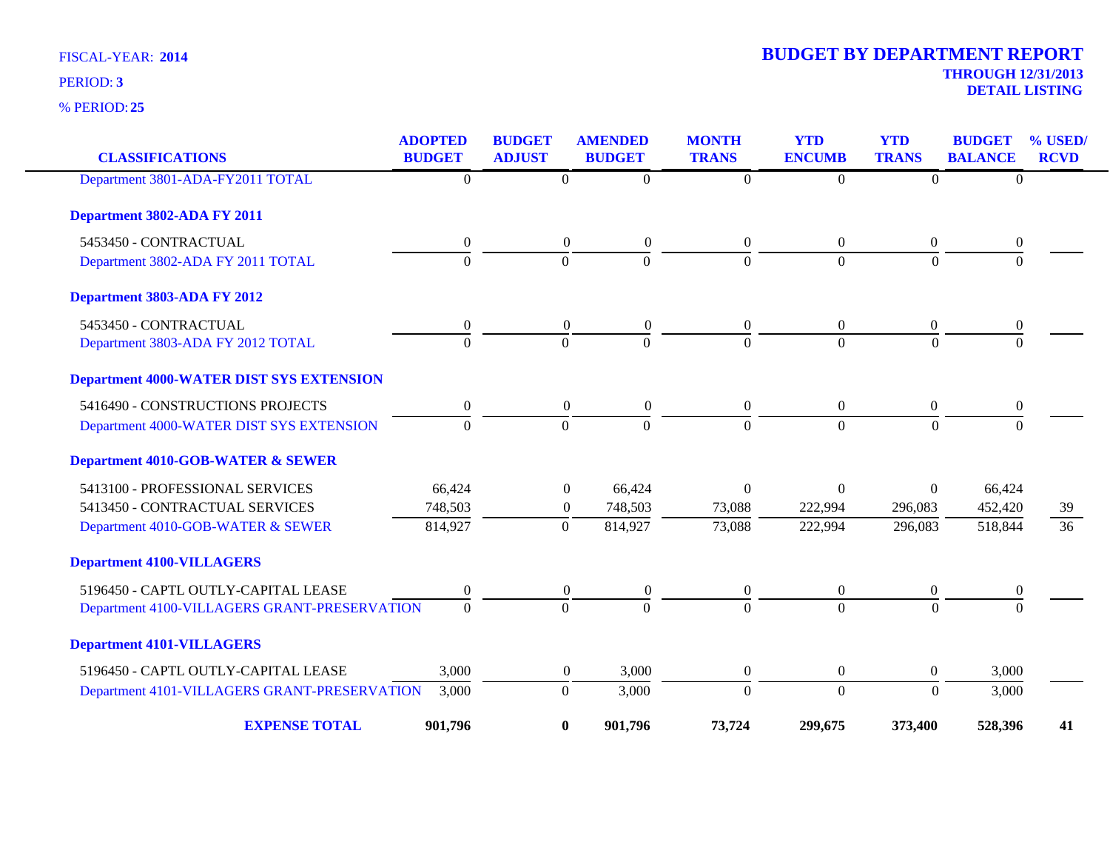**25** % PERIOD:

| <b>CLASSIFICATIONS</b>                          | <b>ADOPTED</b><br><b>BUDGET</b> | <b>BUDGET</b><br><b>ADJUST</b> | <b>AMENDED</b><br><b>BUDGET</b> | <b>MONTH</b><br><b>TRANS</b> | <b>YTD</b><br><b>ENCUMB</b> | <b>YTD</b><br><b>TRANS</b> | <b>BUDGET</b><br><b>BALANCE</b> | % USED/<br><b>RCVD</b> |
|-------------------------------------------------|---------------------------------|--------------------------------|---------------------------------|------------------------------|-----------------------------|----------------------------|---------------------------------|------------------------|
| Department 3801-ADA-FY2011 TOTAL                | $\boldsymbol{0}$                | $\theta$                       | $\overline{0}$                  | $\overline{0}$               | $\Omega$                    | $\overline{0}$             | $\mathbf{0}$                    |                        |
| Department 3802-ADA FY 2011                     |                                 |                                |                                 |                              |                             |                            |                                 |                        |
| 5453450 - CONTRACTUAL                           | $\boldsymbol{0}$                | $\overline{0}$                 | $\overline{0}$                  | $\overline{0}$               | $\overline{0}$              | $\overline{0}$             | $\boldsymbol{0}$                |                        |
| Department 3802-ADA FY 2011 TOTAL               | $\overline{0}$                  | $\overline{0}$                 | $\overline{0}$                  | $\overline{0}$               | $\overline{0}$              | $\Omega$                   | $\Omega$                        |                        |
| Department 3803-ADA FY 2012                     |                                 |                                |                                 |                              |                             |                            |                                 |                        |
| 5453450 - CONTRACTUAL                           | $\boldsymbol{0}$                | $\boldsymbol{0}$               | $\boldsymbol{0}$                | $\overline{0}$               | $\boldsymbol{0}$            | $\boldsymbol{0}$           | $\boldsymbol{0}$                |                        |
| Department 3803-ADA FY 2012 TOTAL               | $\Omega$                        | $\overline{0}$                 | $\Omega$                        | $\theta$                     | $\overline{0}$              | $\Omega$                   | $\Omega$                        |                        |
| <b>Department 4000-WATER DIST SYS EXTENSION</b> |                                 |                                |                                 |                              |                             |                            |                                 |                        |
| 5416490 - CONSTRUCTIONS PROJECTS                | $\boldsymbol{0}$                | $\boldsymbol{0}$               | $\boldsymbol{0}$                | $\overline{0}$               | $\boldsymbol{0}$            | $\boldsymbol{0}$           | $\boldsymbol{0}$                |                        |
| Department 4000-WATER DIST SYS EXTENSION        | $\overline{0}$                  | $\overline{0}$                 | $\Omega$                        | $\Omega$                     | $\overline{0}$              | $\theta$                   | $\Omega$                        |                        |
| <b>Department 4010-GOB-WATER &amp; SEWER</b>    |                                 |                                |                                 |                              |                             |                            |                                 |                        |
| 5413100 - PROFESSIONAL SERVICES                 | 66,424                          | $\theta$                       | 66,424                          | 0                            | $\theta$                    | $\Omega$                   | 66,424                          |                        |
| 5413450 - CONTRACTUAL SERVICES                  | 748,503                         | $\boldsymbol{0}$               | 748,503                         | 73,088                       | 222,994                     | 296,083                    | 452,420                         | 39                     |
| Department 4010-GOB-WATER & SEWER               | 814,927                         | $\boldsymbol{0}$               | 814,927                         | 73,088                       | 222,994                     | 296,083                    | 518,844                         | 36                     |
| <b>Department 4100-VILLAGERS</b>                |                                 |                                |                                 |                              |                             |                            |                                 |                        |
| 5196450 - CAPTL OUTLY-CAPITAL LEASE             | $\boldsymbol{0}$                | $\boldsymbol{0}$               | $\boldsymbol{0}$                | $\mathbf{0}$                 | $\boldsymbol{0}$            | $\boldsymbol{0}$           | $\boldsymbol{0}$                |                        |
| Department 4100-VILLAGERS GRANT-PRESERVATION    | $\Omega$                        | $\Omega$                       | $\Omega$                        | $\Omega$                     | $\Omega$                    | $\Omega$                   | $\Omega$                        |                        |
| <b>Department 4101-VILLAGERS</b>                |                                 |                                |                                 |                              |                             |                            |                                 |                        |
| 5196450 - CAPTL OUTLY-CAPITAL LEASE             | 3,000                           | $\boldsymbol{0}$               | 3,000                           | $\boldsymbol{0}$             | $\overline{0}$              | $\boldsymbol{0}$           | 3,000                           |                        |
| Department 4101-VILLAGERS GRANT-PRESERVATION    | 3,000                           | $\mathbf{0}$                   | 3,000                           | $\boldsymbol{0}$             | $\boldsymbol{0}$            | $\Omega$                   | 3,000                           |                        |
| <b>EXPENSE TOTAL</b>                            | 901,796                         | $\bf{0}$                       | 901,796                         | 73,724                       | 299,675                     | 373,400                    | 528,396                         | 41                     |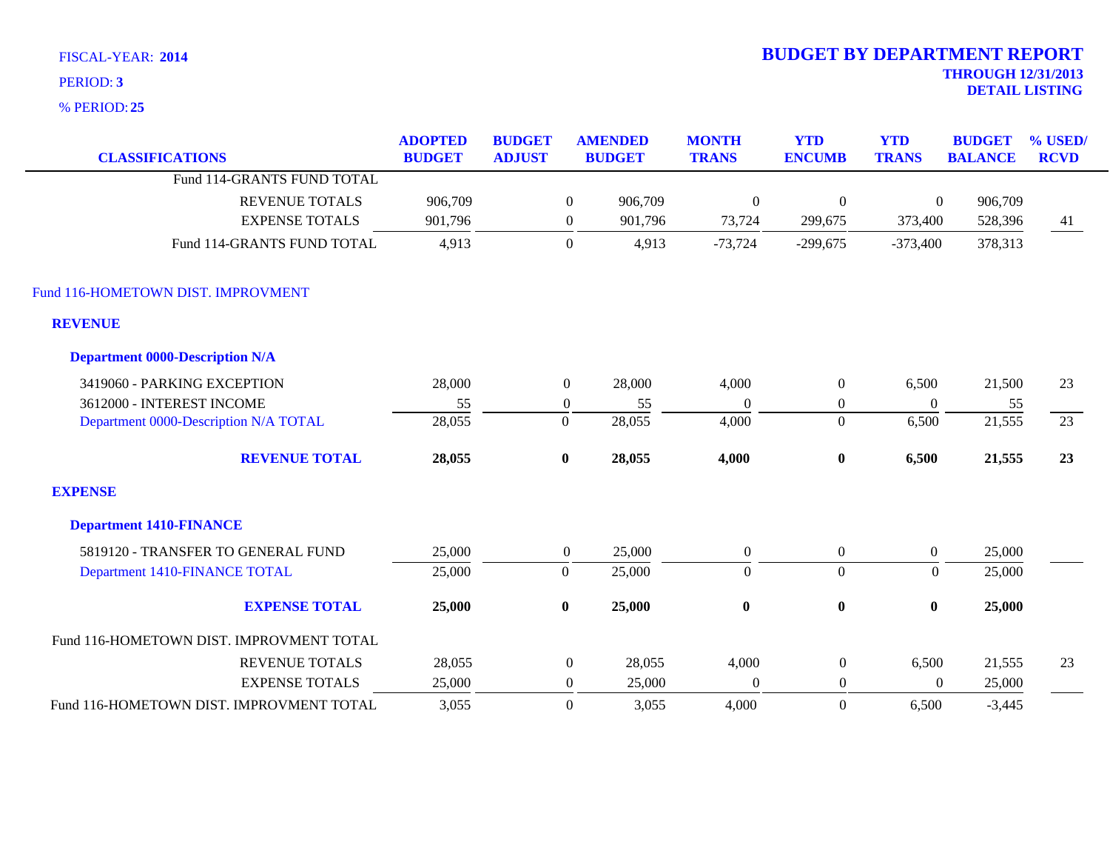**25** % PERIOD:

| <b>CLASSIFICATIONS</b>                   | <b>ADOPTED</b><br><b>BUDGET</b> | <b>BUDGET</b><br><b>ADJUST</b> |                  | <b>AMENDED</b><br><b>BUDGET</b> | <b>MONTH</b><br><b>TRANS</b> | <b>YTD</b><br><b>ENCUMB</b> | <b>YTD</b><br><b>TRANS</b> | <b>BUDGET</b><br><b>BALANCE</b> | % USED/<br><b>RCVD</b> |
|------------------------------------------|---------------------------------|--------------------------------|------------------|---------------------------------|------------------------------|-----------------------------|----------------------------|---------------------------------|------------------------|
| Fund 114-GRANTS FUND TOTAL               |                                 |                                |                  |                                 |                              |                             |                            |                                 |                        |
| <b>REVENUE TOTALS</b>                    | 906,709                         |                                | $\boldsymbol{0}$ | 906,709                         | $\boldsymbol{0}$             | $\boldsymbol{0}$            | $\boldsymbol{0}$           | 906,709                         |                        |
| <b>EXPENSE TOTALS</b>                    | 901,796                         |                                | $\overline{0}$   | 901,796                         | 73,724                       | 299,675                     | 373,400                    | 528,396                         | 41                     |
| Fund 114-GRANTS FUND TOTAL               | 4,913                           |                                | $\mathbf{0}$     | 4,913                           | $-73,724$                    | $-299,675$                  | $-373,400$                 | 378,313                         |                        |
| Fund 116-HOMETOWN DIST. IMPROVMENT       |                                 |                                |                  |                                 |                              |                             |                            |                                 |                        |
| <b>REVENUE</b>                           |                                 |                                |                  |                                 |                              |                             |                            |                                 |                        |
| <b>Department 0000-Description N/A</b>   |                                 |                                |                  |                                 |                              |                             |                            |                                 |                        |
| 3419060 - PARKING EXCEPTION              | 28,000                          |                                | $\overline{0}$   | 28,000                          | 4,000                        | $\boldsymbol{0}$            | 6,500                      | 21,500                          | 23                     |
| 3612000 - INTEREST INCOME                | 55                              |                                | $\boldsymbol{0}$ | 55                              | $\mathbf{0}$                 | $\boldsymbol{0}$            | $\theta$                   | 55                              |                        |
| Department 0000-Description N/A TOTAL    | 28,055                          |                                | $\boldsymbol{0}$ | 28,055                          | 4,000                        | $\boldsymbol{0}$            | 6,500                      | 21,555                          | 23                     |
| <b>REVENUE TOTAL</b>                     | 28,055                          |                                | $\bf{0}$         | 28,055                          | 4,000                        | $\pmb{0}$                   | 6,500                      | 21,555                          | 23                     |
| <b>EXPENSE</b>                           |                                 |                                |                  |                                 |                              |                             |                            |                                 |                        |
| <b>Department 1410-FINANCE</b>           |                                 |                                |                  |                                 |                              |                             |                            |                                 |                        |
| 5819120 - TRANSFER TO GENERAL FUND       | 25,000                          |                                | $\overline{0}$   | 25,000                          | $\boldsymbol{0}$             | $\boldsymbol{0}$            | $\overline{0}$             | 25,000                          |                        |
| Department 1410-FINANCE TOTAL            | 25,000                          |                                | $\Omega$         | 25,000                          | $\Omega$                     | $\Omega$                    | $\theta$                   | 25,000                          |                        |
| <b>EXPENSE TOTAL</b>                     | 25,000                          |                                | $\bf{0}$         | 25,000                          | $\bf{0}$                     | $\bf{0}$                    | $\bf{0}$                   | 25,000                          |                        |
| Fund 116-HOMETOWN DIST. IMPROVMENT TOTAL |                                 |                                |                  |                                 |                              |                             |                            |                                 |                        |
| <b>REVENUE TOTALS</b>                    | 28,055                          |                                | $\boldsymbol{0}$ | 28,055                          | 4,000                        | $\boldsymbol{0}$            | 6,500                      | 21,555                          | 23                     |
| <b>EXPENSE TOTALS</b>                    | 25,000                          |                                | $\boldsymbol{0}$ | 25,000                          | $\mathbf{0}$                 | $\boldsymbol{0}$            | $\mathbf{0}$               | 25,000                          |                        |
| Fund 116-HOMETOWN DIST. IMPROVMENT TOTAL | 3,055                           |                                | $\Omega$         | 3,055                           | 4,000                        | $\Omega$                    | 6,500                      | $-3,445$                        |                        |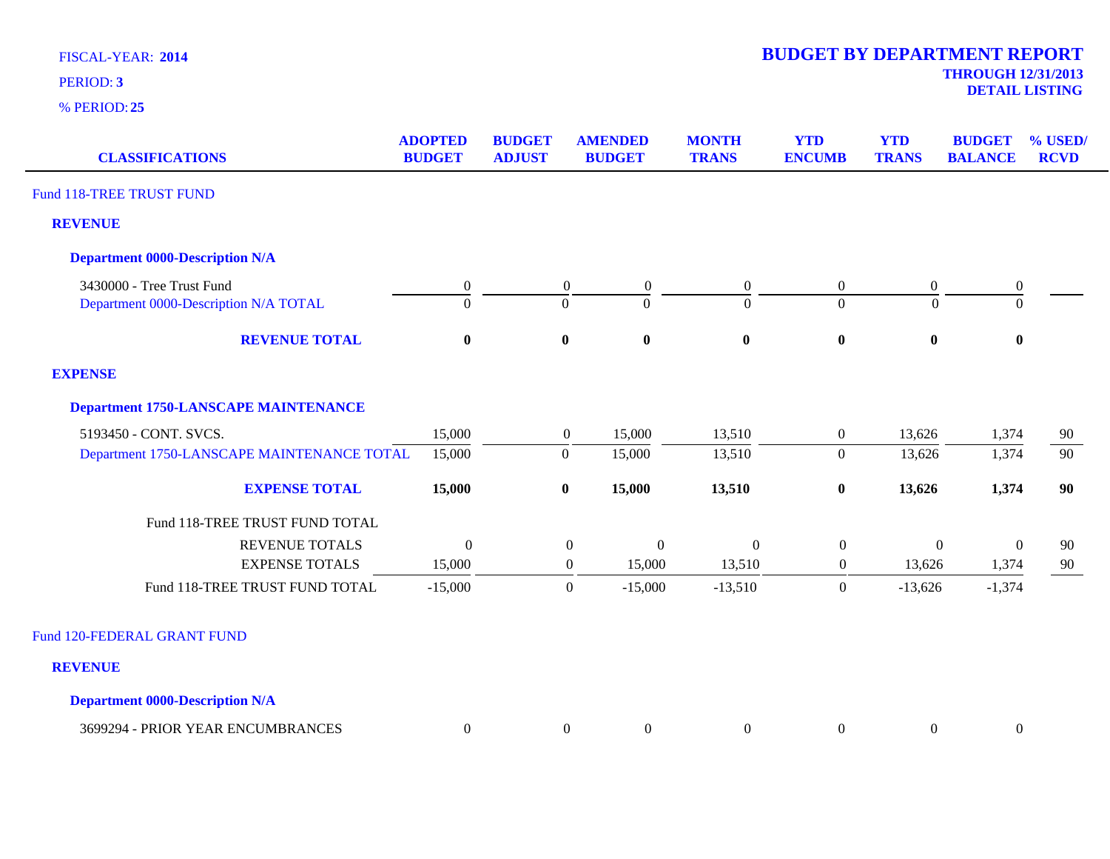**25** % PERIOD:

**DETAIL LISTING** PERIOD: **<sup>3</sup>**

| <b>CLASSIFICATIONS</b>                      | <b>ADOPTED</b><br><b>BUDGET</b> | <b>BUDGET</b><br><b>ADJUST</b> | <b>AMENDED</b><br><b>BUDGET</b>      | <b>MONTH</b><br><b>TRANS</b> | <b>YTD</b><br><b>ENCUMB</b> | <b>YTD</b><br><b>TRANS</b> | <b>BUDGET</b><br><b>BALANCE</b> | % USED/<br><b>RCVD</b> |
|---------------------------------------------|---------------------------------|--------------------------------|--------------------------------------|------------------------------|-----------------------------|----------------------------|---------------------------------|------------------------|
| Fund 118-TREE TRUST FUND                    |                                 |                                |                                      |                              |                             |                            |                                 |                        |
| <b>REVENUE</b>                              |                                 |                                |                                      |                              |                             |                            |                                 |                        |
| <b>Department 0000-Description N/A</b>      |                                 |                                |                                      |                              |                             |                            |                                 |                        |
| 3430000 - Tree Trust Fund                   | $\boldsymbol{0}$                |                                | $\boldsymbol{0}$<br>$\boldsymbol{0}$ | $\overline{0}$               | $\boldsymbol{0}$            | $\overline{0}$             | $\boldsymbol{0}$                |                        |
| Department 0000-Description N/A TOTAL       | $\Omega$                        |                                | $\theta$<br>$\theta$                 | $\Omega$                     | $\overline{0}$              | $\Omega$                   | $\Omega$                        |                        |
| <b>REVENUE TOTAL</b>                        | $\bf{0}$                        |                                | $\bf{0}$<br>$\bf{0}$                 | $\bf{0}$                     | $\boldsymbol{0}$            | $\bf{0}$                   | $\bf{0}$                        |                        |
| <b>EXPENSE</b>                              |                                 |                                |                                      |                              |                             |                            |                                 |                        |
| <b>Department 1750-LANSCAPE MAINTENANCE</b> |                                 |                                |                                      |                              |                             |                            |                                 |                        |
| 5193450 - CONT. SVCS.                       | 15,000                          |                                | 15,000<br>$\overline{0}$             | 13,510                       | $\overline{0}$              | 13,626                     | 1,374                           | 90                     |
| Department 1750-LANSCAPE MAINTENANCE TOTAL  | 15,000                          |                                | 15,000<br>$\overline{0}$             | 13,510                       | $\mathbf{0}$                | 13,626                     | 1,374                           | 90                     |
| <b>EXPENSE TOTAL</b>                        | 15,000                          |                                | $\bf{0}$<br>15,000                   | 13,510                       | $\pmb{0}$                   | 13,626                     | 1,374                           | 90                     |
| Fund 118-TREE TRUST FUND TOTAL              |                                 |                                |                                      |                              |                             |                            |                                 |                        |
| <b>REVENUE TOTALS</b>                       | $\mathbf{0}$                    |                                | $\boldsymbol{0}$<br>$\boldsymbol{0}$ | $\boldsymbol{0}$             | $\boldsymbol{0}$            | $\boldsymbol{0}$           | $\mathbf{0}$                    | 90                     |
| <b>EXPENSE TOTALS</b>                       | 15,000                          |                                | 15,000<br>$\overline{0}$             | 13,510                       | $\overline{0}$              | 13,626                     | 1,374                           | 90                     |
| Fund 118-TREE TRUST FUND TOTAL              | $-15,000$                       |                                | $\mathbf{0}$<br>$-15,000$            | $-13,510$                    | $\boldsymbol{0}$            | $-13,626$                  | $-1,374$                        |                        |
| Fund 120-FEDERAL GRANT FUND                 |                                 |                                |                                      |                              |                             |                            |                                 |                        |
| <b>REVENUE</b>                              |                                 |                                |                                      |                              |                             |                            |                                 |                        |
| <b>Department 0000-Description N/A</b>      |                                 |                                |                                      |                              |                             |                            |                                 |                        |
| 3699294 - PRIOR YEAR ENCUMBRANCES           | $\boldsymbol{0}$                |                                | $\boldsymbol{0}$<br>$\boldsymbol{0}$ | $\overline{0}$               | $\boldsymbol{0}$            | $\overline{0}$             | $\boldsymbol{0}$                |                        |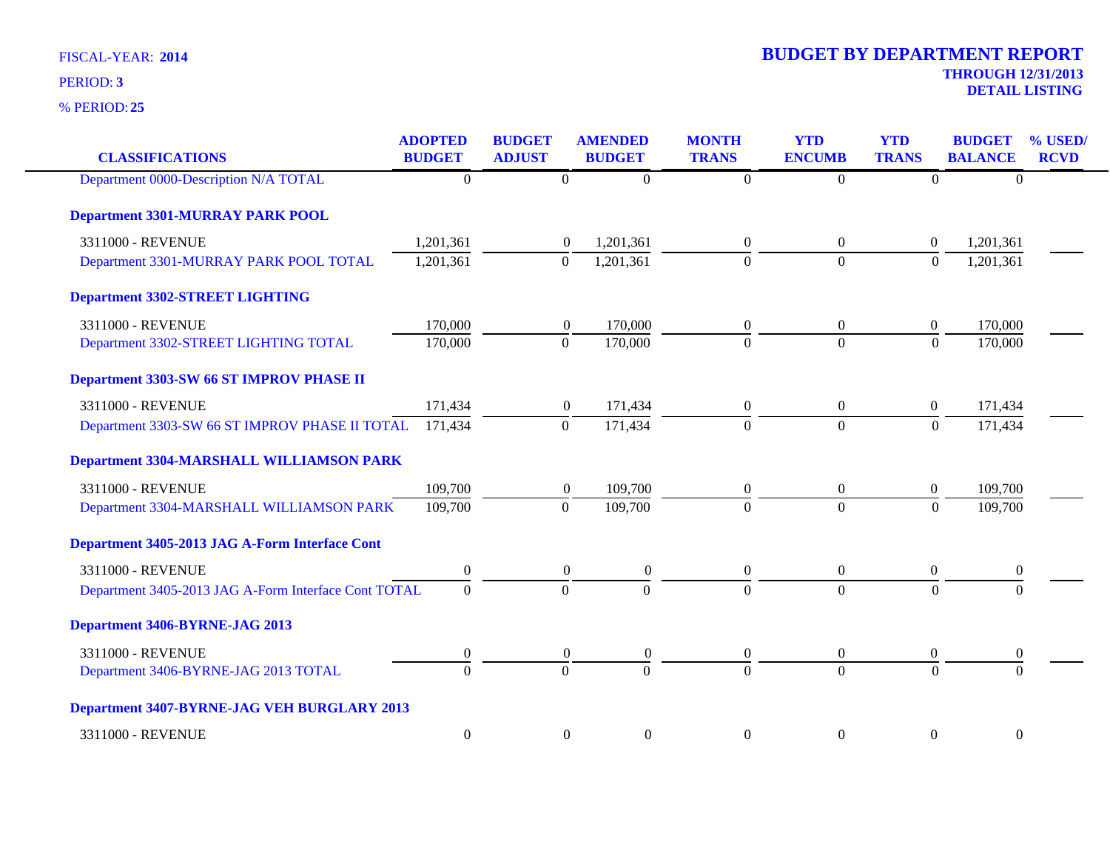**25** % PERIOD:

| <b>CLASSIFICATIONS</b>                               | <b>ADOPTED</b><br><b>BUDGET</b> | <b>BUDGET</b><br><b>ADJUST</b> | <b>AMENDED</b><br><b>BUDGET</b> | <b>MONTH</b><br><b>TRANS</b> | <b>YTD</b><br><b>ENCUMB</b> | <b>YTD</b><br><b>TRANS</b> | <b>BUDGET</b><br><b>BALANCE</b> | % USED/<br><b>RCVD</b> |
|------------------------------------------------------|---------------------------------|--------------------------------|---------------------------------|------------------------------|-----------------------------|----------------------------|---------------------------------|------------------------|
| Department 0000-Description N/A TOTAL                | $\overline{0}$                  | $\overline{0}$                 | $\mathbf{0}$                    | $\overline{0}$               | $\Omega$                    | $\overline{0}$             | $\overline{0}$                  |                        |
| <b>Department 3301-MURRAY PARK POOL</b>              |                                 |                                |                                 |                              |                             |                            |                                 |                        |
| 3311000 - REVENUE                                    | 1,201,361                       | $\theta$                       | 1,201,361                       | $\overline{0}$               | $\overline{0}$              | $\overline{0}$             | 1,201,361                       |                        |
| Department 3301-MURRAY PARK POOL TOTAL               | 1,201,361                       | $\mathbf{0}$                   | 1,201,361                       | $\boldsymbol{0}$             | $\overline{0}$              | $\boldsymbol{0}$           | 1,201,361                       |                        |
| <b>Department 3302-STREET LIGHTING</b>               |                                 |                                |                                 |                              |                             |                            |                                 |                        |
| 3311000 - REVENUE                                    | 170,000                         | $\overline{0}$                 | 170,000                         | $\theta$                     | $\boldsymbol{0}$            | $\boldsymbol{0}$           | 170,000                         |                        |
| Department 3302-STREET LIGHTING TOTAL                | 170,000                         | $\mathbf{0}$                   | 170,000                         | $\Omega$                     | $\overline{0}$              | $\boldsymbol{0}$           | 170,000                         |                        |
| <b>Department 3303-SW 66 ST IMPROV PHASE II</b>      |                                 |                                |                                 |                              |                             |                            |                                 |                        |
| 3311000 - REVENUE                                    | 171,434                         | $\boldsymbol{0}$               | 171,434                         | $\overline{0}$               | $\overline{0}$              | $\overline{0}$             | 171,434                         |                        |
| Department 3303-SW 66 ST IMPROV PHASE II TOTAL       | 171,434                         | $\boldsymbol{0}$               | 171,434                         | $\boldsymbol{0}$             | $\overline{0}$              | $\boldsymbol{0}$           | 171,434                         |                        |
| <b>Department 3304-MARSHALL WILLIAMSON PARK</b>      |                                 |                                |                                 |                              |                             |                            |                                 |                        |
| 3311000 - REVENUE                                    | 109,700                         | $\boldsymbol{0}$               | 109,700                         | $\theta$                     | $\boldsymbol{0}$            | $\boldsymbol{0}$           | 109,700                         |                        |
| Department 3304-MARSHALL WILLIAMSON PARK             | 109,700                         | $\boldsymbol{0}$               | 109,700                         | $\Omega$                     | $\overline{0}$              | $\boldsymbol{0}$           | 109,700                         |                        |
| Department 3405-2013 JAG A-Form Interface Cont       |                                 |                                |                                 |                              |                             |                            |                                 |                        |
| 3311000 - REVENUE                                    | $\theta$                        | $\theta$                       | $\theta$                        | $\overline{0}$               | $\overline{0}$              | $\theta$                   | $\boldsymbol{0}$                |                        |
| Department 3405-2013 JAG A-Form Interface Cont TOTAL | $\Omega$                        | $\overline{0}$                 | $\mathbf{0}$                    | $\Omega$                     | $\overline{0}$              | $\boldsymbol{0}$           | $\Omega$                        |                        |
| Department 3406-BYRNE-JAG 2013                       |                                 |                                |                                 |                              |                             |                            |                                 |                        |
| 3311000 - REVENUE                                    | 0                               | $\boldsymbol{0}$               | $\theta$                        | $\boldsymbol{0}$             | $\overline{0}$              | $\overline{0}$             | $\boldsymbol{0}$                |                        |
| Department 3406-BYRNE-JAG 2013 TOTAL                 | $\Omega$                        | $\overline{0}$                 | $\Omega$                        | $\Omega$                     | $\Omega$                    | $\theta$                   | $\Omega$                        |                        |
| <b>Department 3407-BYRNE-JAG VEH BURGLARY 2013</b>   |                                 |                                |                                 |                              |                             |                            |                                 |                        |
| 3311000 - REVENUE                                    | $\boldsymbol{0}$                | $\boldsymbol{0}$               | $\boldsymbol{0}$                | $\boldsymbol{0}$             | $\mathbf{0}$                | $\boldsymbol{0}$           | $\boldsymbol{0}$                |                        |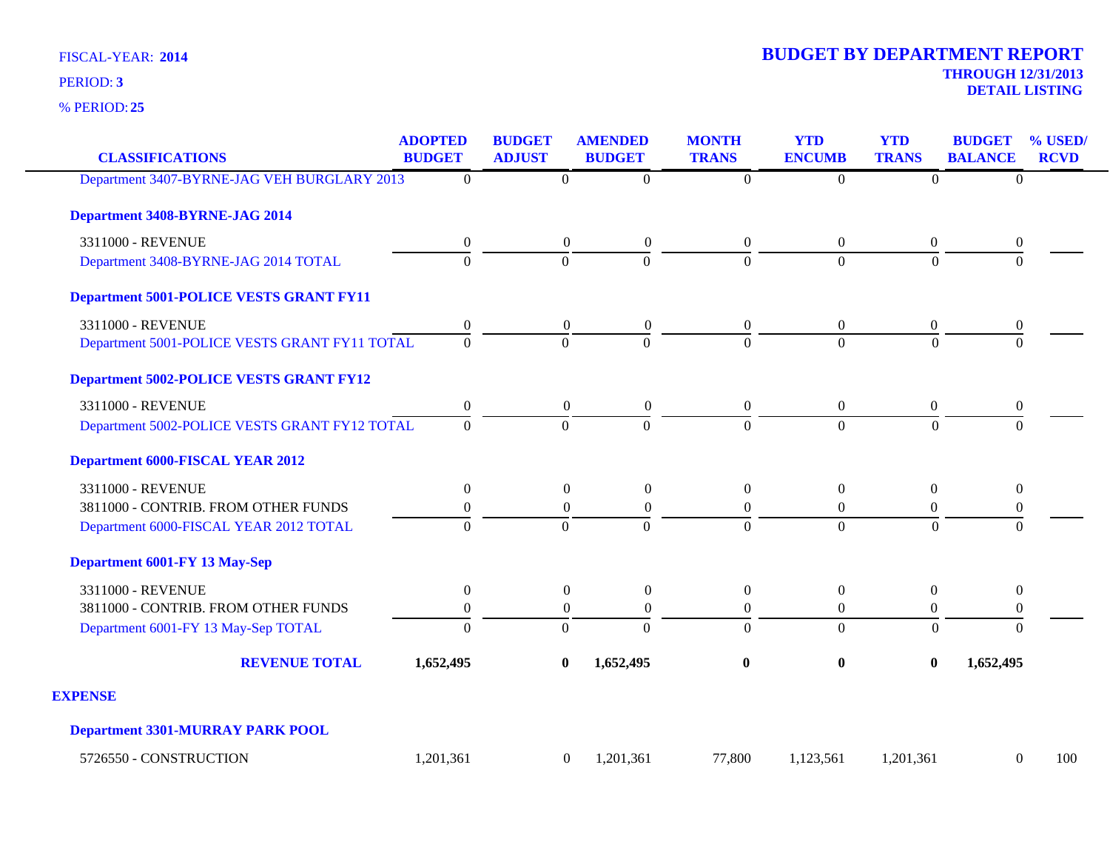**25** % PERIOD:

| <b>CLASSIFICATIONS</b>                         | <b>ADOPTED</b><br><b>BUDGET</b> | <b>BUDGET</b><br><b>ADJUST</b> | <b>AMENDED</b><br><b>BUDGET</b> | <b>MONTH</b><br><b>TRANS</b> |                  | <b>YTD</b><br><b>ENCUMB</b> | <b>YTD</b><br><b>TRANS</b> | <b>BUDGET</b><br><b>BALANCE</b> | % USED/<br><b>RCVD</b> |
|------------------------------------------------|---------------------------------|--------------------------------|---------------------------------|------------------------------|------------------|-----------------------------|----------------------------|---------------------------------|------------------------|
| Department 3407-BYRNE-JAG VEH BURGLARY 2013    | $\Omega$                        |                                | $\overline{0}$                  | $\theta$                     | $\overline{0}$   | $\Omega$                    | $\overline{0}$             | $\overline{0}$                  |                        |
| Department 3408-BYRNE-JAG 2014                 |                                 |                                |                                 |                              |                  |                             |                            |                                 |                        |
| 3311000 - REVENUE                              | 0                               |                                | $\boldsymbol{0}$                | $\overline{0}$               | $\overline{0}$   | $\overline{0}$              | $\boldsymbol{0}$           | $\boldsymbol{0}$                |                        |
| Department 3408-BYRNE-JAG 2014 TOTAL           | $\overline{0}$                  |                                | $\theta$                        | $\Omega$                     | $\Omega$         | $\Omega$                    | $\Omega$                   | $\Omega$                        |                        |
| <b>Department 5001-POLICE VESTS GRANT FY11</b> |                                 |                                |                                 |                              |                  |                             |                            |                                 |                        |
| 3311000 - REVENUE                              | 0                               |                                | $\overline{0}$                  | $\boldsymbol{0}$             | $\boldsymbol{0}$ | $\overline{0}$              | $\mathbf{0}$               | $\boldsymbol{0}$                |                        |
| Department 5001-POLICE VESTS GRANT FY11 TOTAL  | $\Omega$                        |                                | $\Omega$                        | $\Omega$                     | $\Omega$         | $\Omega$                    | $\Omega$                   | $\Omega$                        |                        |
| <b>Department 5002-POLICE VESTS GRANT FY12</b> |                                 |                                |                                 |                              |                  |                             |                            |                                 |                        |
| 3311000 - REVENUE                              | $\boldsymbol{0}$                |                                | $\boldsymbol{0}$                | $\boldsymbol{0}$             | $\boldsymbol{0}$ | $\overline{0}$              | $\boldsymbol{0}$           | $\boldsymbol{0}$                |                        |
| Department 5002-POLICE VESTS GRANT FY12 TOTAL  | $\Omega$                        |                                | $\Omega$                        | $\Omega$                     | $\Omega$         | $\Omega$                    | $\Omega$                   | $\Omega$                        |                        |
| <b>Department 6000-FISCAL YEAR 2012</b>        |                                 |                                |                                 |                              |                  |                             |                            |                                 |                        |
| 3311000 - REVENUE                              | $\theta$                        |                                | $\overline{0}$                  | $\boldsymbol{0}$             | $\boldsymbol{0}$ | $\boldsymbol{0}$            | $\boldsymbol{0}$           | $\boldsymbol{0}$                |                        |
| 3811000 - CONTRIB. FROM OTHER FUNDS            | $\boldsymbol{0}$                |                                | $\mathbf{0}$                    | $\boldsymbol{0}$             | $\overline{0}$   | $\boldsymbol{0}$            | $\overline{0}$             | $\boldsymbol{0}$                |                        |
| Department 6000-FISCAL YEAR 2012 TOTAL         | $\Omega$                        |                                | $\Omega$                        | $\Omega$                     | $\Omega$         | $\Omega$                    | $\Omega$                   | $\Omega$                        |                        |
| <b>Department 6001-FY 13 May-Sep</b>           |                                 |                                |                                 |                              |                  |                             |                            |                                 |                        |
| 3311000 - REVENUE                              | $\overline{0}$                  |                                | $\boldsymbol{0}$                | $\overline{0}$               | $\boldsymbol{0}$ | $\boldsymbol{0}$            | $\mathbf{0}$               | $\boldsymbol{0}$                |                        |
| 3811000 - CONTRIB. FROM OTHER FUNDS            | $\boldsymbol{0}$                |                                | $\overline{0}$                  | $\Omega$                     | $\boldsymbol{0}$ | $\Omega$                    | $\overline{0}$             | $\theta$                        |                        |
| Department 6001-FY 13 May-Sep TOTAL            | $\theta$                        |                                | $\overline{0}$                  | $\Omega$                     | $\overline{0}$   | $\overline{0}$              | $\mathbf{0}$               | $\theta$                        |                        |
| <b>REVENUE TOTAL</b>                           | 1,652,495                       |                                | 1,652,495<br>$\bf{0}$           |                              | $\bf{0}$         | $\mathbf{0}$                | $\mathbf{0}$               | 1,652,495                       |                        |
| <b>EXPENSE</b>                                 |                                 |                                |                                 |                              |                  |                             |                            |                                 |                        |
| <b>Department 3301-MURRAY PARK POOL</b>        |                                 |                                |                                 |                              |                  |                             |                            |                                 |                        |
| 5726550 - CONSTRUCTION                         | 1,201,361                       |                                | 1,201,361<br>$\overline{0}$     |                              | 77,800           | 1,123,561                   | 1,201,361                  | $\Omega$                        | 100                    |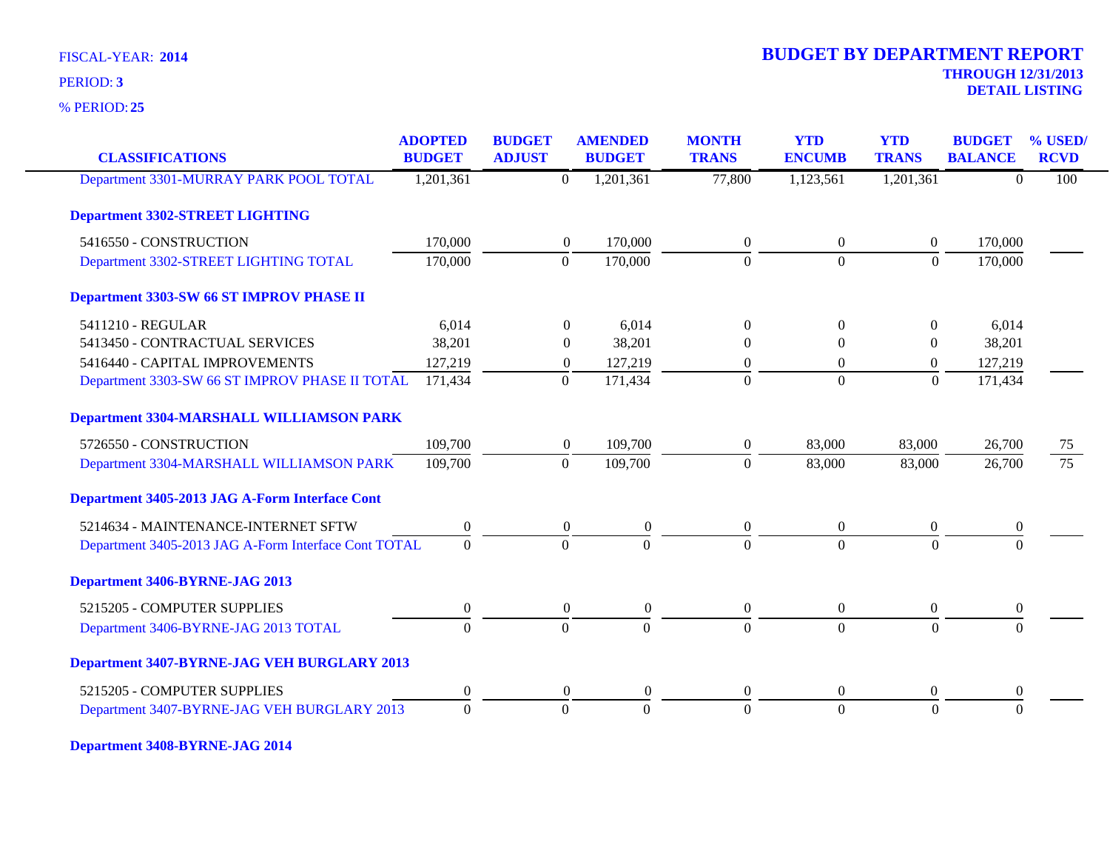**25** % PERIOD:

# **THROUGH 12/31/2013 DETAIL LISTING** PERIOD: **<sup>3</sup> 2014 BUDGET BY DEPARTMENT REPORT**

| <b>CLASSIFICATIONS</b>                               | <b>ADOPTED</b><br><b>BUDGET</b> | <b>BUDGET</b><br><b>ADJUST</b> |                  | <b>AMENDED</b><br><b>BUDGET</b> | <b>MONTH</b><br><b>TRANS</b> | <b>YTD</b><br><b>ENCUMB</b> | <b>YTD</b><br><b>TRANS</b> | <b>BUDGET</b><br><b>BALANCE</b> | % USED/<br><b>RCVD</b> |
|------------------------------------------------------|---------------------------------|--------------------------------|------------------|---------------------------------|------------------------------|-----------------------------|----------------------------|---------------------------------|------------------------|
| Department 3301-MURRAY PARK POOL TOTAL               | 1,201,361                       |                                | $\mathbf{0}$     | 1,201,361                       | 77,800                       | 1,123,561                   | 1,201,361                  | $\Omega$                        | 100                    |
| <b>Department 3302-STREET LIGHTING</b>               |                                 |                                |                  |                                 |                              |                             |                            |                                 |                        |
| 5416550 - CONSTRUCTION                               | 170,000                         |                                | $\overline{0}$   | 170,000                         | $\overline{0}$               | $\overline{0}$              | $\overline{0}$             | 170,000                         |                        |
| Department 3302-STREET LIGHTING TOTAL                | 170,000                         |                                | $\overline{0}$   | 170,000                         | $\Omega$                     | $\overline{0}$              | $\mathbf{0}$               | 170,000                         |                        |
| Department 3303-SW 66 ST IMPROV PHASE II             |                                 |                                |                  |                                 |                              |                             |                            |                                 |                        |
| 5411210 - REGULAR                                    | 6,014                           |                                | $\theta$         | 6,014                           | $\overline{0}$               | $\theta$                    | $\left($                   | 6,014                           |                        |
| 5413450 - CONTRACTUAL SERVICES                       | 38,201                          |                                | $\Omega$         | 38,201                          | $\overline{0}$               | $\Omega$                    | $\Omega$                   | 38,201                          |                        |
| 5416440 - CAPITAL IMPROVEMENTS                       | 127,219                         |                                | $\overline{0}$   | 127,219                         | $\boldsymbol{0}$             | $\overline{0}$              | $\theta$                   | 127,219                         |                        |
| Department 3303-SW 66 ST IMPROV PHASE II TOTAL       | 171,434                         |                                | $\Omega$         | 171,434                         | $\Omega$                     | $\Omega$                    | $\Omega$                   | 171,434                         |                        |
| <b>Department 3304-MARSHALL WILLIAMSON PARK</b>      |                                 |                                |                  |                                 |                              |                             |                            |                                 |                        |
| 5726550 - CONSTRUCTION                               | 109,700                         |                                | $\overline{0}$   | 109,700                         | $\overline{0}$               | 83,000                      | 83,000                     | 26,700                          | 75                     |
| Department 3304-MARSHALL WILLIAMSON PARK             | 109,700                         |                                | $\Omega$         | 109,700                         | $\Omega$                     | 83,000                      | 83,000                     | 26,700                          | $\overline{75}$        |
| Department 3405-2013 JAG A-Form Interface Cont       |                                 |                                |                  |                                 |                              |                             |                            |                                 |                        |
| 5214634 - MAINTENANCE-INTERNET SFTW                  | $\boldsymbol{0}$                |                                | $\overline{0}$   | $\theta$                        | $\boldsymbol{0}$             | $\overline{0}$              | $\overline{0}$             | $\boldsymbol{0}$                |                        |
| Department 3405-2013 JAG A-Form Interface Cont TOTAL | $\overline{0}$                  |                                | $\overline{0}$   | $\overline{0}$                  | $\Omega$                     | $\Omega$                    | $\theta$                   | $\Omega$                        |                        |
| Department 3406-BYRNE-JAG 2013                       |                                 |                                |                  |                                 |                              |                             |                            |                                 |                        |
| 5215205 - COMPUTER SUPPLIES                          | $\mathbf{0}$                    |                                | $\overline{0}$   | $\mathbf{0}$                    | $\overline{0}$               | $\overline{0}$              | $\overline{0}$             | $\mathbf{0}$                    |                        |
| Department 3406-BYRNE-JAG 2013 TOTAL                 | $\Omega$                        |                                | $\Omega$         | $\Omega$                        | $\Omega$                     | $\Omega$                    | $\Omega$                   | $\Omega$                        |                        |
| Department 3407-BYRNE-JAG VEH BURGLARY 2013          |                                 |                                |                  |                                 |                              |                             |                            |                                 |                        |
| 5215205 - COMPUTER SUPPLIES                          | $\boldsymbol{0}$                |                                | $\boldsymbol{0}$ | $\overline{0}$                  | $\boldsymbol{0}$             | $\boldsymbol{0}$            | $\boldsymbol{0}$           | $\bf{0}$                        |                        |
| Department 3407-BYRNE-JAG VEH BURGLARY 2013          | $\Omega$                        |                                | $\overline{0}$   | $\Omega$                        | $\Omega$                     | $\Omega$                    | $\Omega$                   | $\Omega$                        |                        |

**Department 3408-BYRNE-JAG 2014**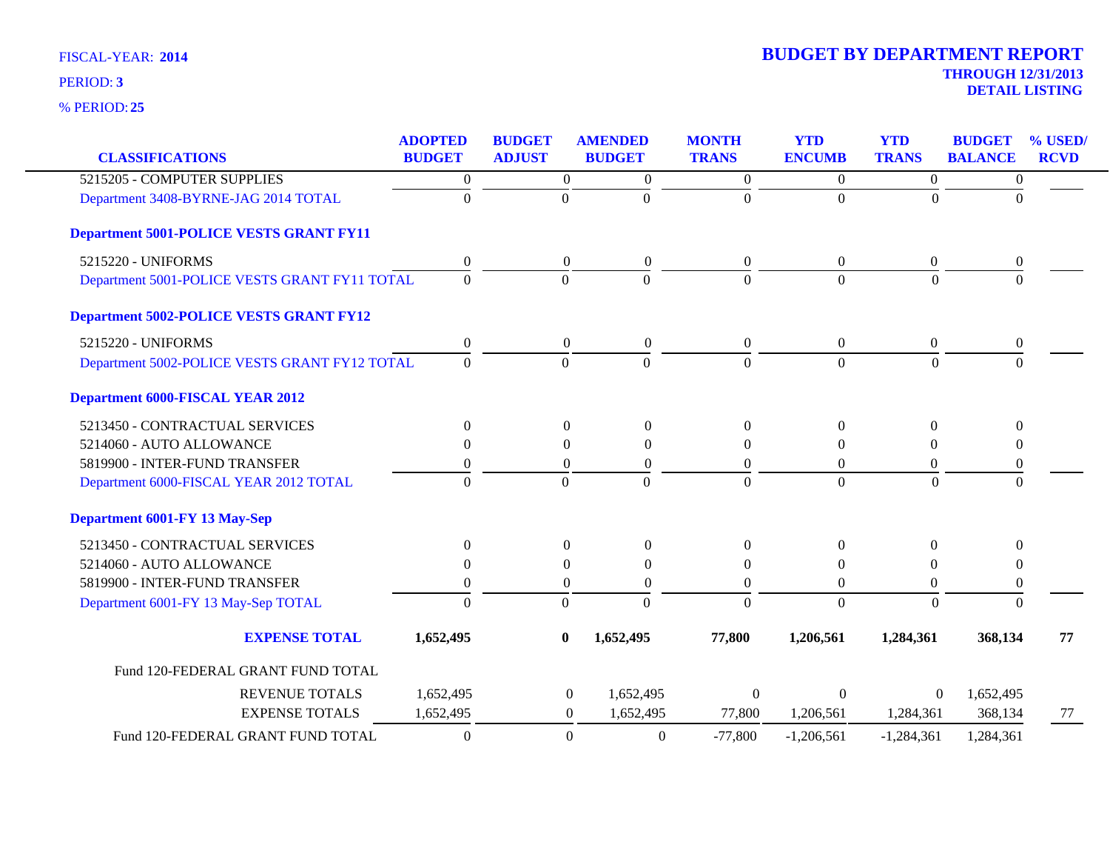**25** % PERIOD:

| <b>CLASSIFICATIONS</b>                         | <b>ADOPTED</b><br><b>BUDGET</b> | <b>BUDGET</b><br><b>ADJUST</b> | <b>AMENDED</b><br><b>BUDGET</b> | <b>MONTH</b><br><b>TRANS</b> | <b>YTD</b><br><b>ENCUMB</b> | <b>YTD</b><br><b>TRANS</b> | <b>BUDGET</b><br><b>BALANCE</b> | % USED/<br><b>RCVD</b> |
|------------------------------------------------|---------------------------------|--------------------------------|---------------------------------|------------------------------|-----------------------------|----------------------------|---------------------------------|------------------------|
| 5215205 - COMPUTER SUPPLIES                    | $\boldsymbol{0}$                | $\boldsymbol{0}$               | $\overline{0}$                  | $\boldsymbol{0}$             | $\boldsymbol{0}$            | $\overline{0}$             | $\boldsymbol{0}$                |                        |
| Department 3408-BYRNE-JAG 2014 TOTAL           | $\Omega$                        | $\boldsymbol{0}$               | $\Omega$                        | $\theta$                     | $\overline{0}$              | $\theta$                   | $\Omega$                        |                        |
| <b>Department 5001-POLICE VESTS GRANT FY11</b> |                                 |                                |                                 |                              |                             |                            |                                 |                        |
| 5215220 - UNIFORMS                             | 0                               | $\boldsymbol{0}$               | $\boldsymbol{0}$                | $\boldsymbol{0}$             | $\boldsymbol{0}$            | $\boldsymbol{0}$           | $\boldsymbol{0}$                |                        |
| Department 5001-POLICE VESTS GRANT FY11 TOTAL  | $\Omega$                        | $\Omega$                       | $\Omega$                        | $\theta$                     | $\Omega$                    | $\Omega$                   | $\Omega$                        |                        |
| <b>Department 5002-POLICE VESTS GRANT FY12</b> |                                 |                                |                                 |                              |                             |                            |                                 |                        |
| 5215220 - UNIFORMS                             | $\boldsymbol{0}$                | $\boldsymbol{0}$               | $\boldsymbol{0}$                | $\overline{0}$               | $\boldsymbol{0}$            | $\overline{0}$             | 0                               |                        |
| Department 5002-POLICE VESTS GRANT FY12 TOTAL  | $\overline{0}$                  | $\boldsymbol{0}$               | $\mathbf{0}$                    | $\boldsymbol{0}$             | $\boldsymbol{0}$            | $\boldsymbol{0}$           | $\Omega$                        |                        |
| <b>Department 6000-FISCAL YEAR 2012</b>        |                                 |                                |                                 |                              |                             |                            |                                 |                        |
| 5213450 - CONTRACTUAL SERVICES                 | $\boldsymbol{0}$                | $\boldsymbol{0}$               | $\boldsymbol{0}$                | $\mathbf{0}$                 | $\boldsymbol{0}$            | $\boldsymbol{0}$           | $\boldsymbol{0}$                |                        |
| 5214060 - AUTO ALLOWANCE                       | $\Omega$                        | $\theta$                       | $\theta$                        | $\theta$                     | $\theta$                    | $\theta$                   | $\Omega$                        |                        |
| 5819900 - INTER-FUND TRANSFER                  | $\theta$                        | $\boldsymbol{0}$               | $\overline{0}$                  | $\boldsymbol{0}$             | $\theta$                    | $\overline{0}$             | $\boldsymbol{0}$                |                        |
| Department 6000-FISCAL YEAR 2012 TOTAL         | $\Omega$                        | $\Omega$                       | $\Omega$                        | $\Omega$                     | $\Omega$                    | $\Omega$                   | $\Omega$                        |                        |
| <b>Department 6001-FY 13 May-Sep</b>           |                                 |                                |                                 |                              |                             |                            |                                 |                        |
| 5213450 - CONTRACTUAL SERVICES                 | $\Omega$                        | $\overline{0}$                 | $\Omega$                        | $\Omega$                     | $\Omega$                    | $\Omega$                   | $\Omega$                        |                        |
| 5214060 - AUTO ALLOWANCE                       | 0                               | $\theta$                       | $\overline{0}$                  | $\theta$                     | $\theta$                    | $\theta$                   | $\theta$                        |                        |
| 5819900 - INTER-FUND TRANSFER                  | 0                               | $\boldsymbol{0}$               | 0                               | $\boldsymbol{0}$             | $\boldsymbol{0}$            | $\overline{0}$             | $\theta$                        |                        |
| Department 6001-FY 13 May-Sep TOTAL            | $\theta$                        | $\boldsymbol{0}$               | $\Omega$                        | $\overline{0}$               | $\overline{0}$              | $\theta$                   | $\Omega$                        |                        |
| <b>EXPENSE TOTAL</b>                           | 1,652,495                       | $\bf{0}$                       | 1,652,495                       | 77,800                       | 1,206,561                   | 1,284,361                  | 368,134                         | 77                     |
| Fund 120-FEDERAL GRANT FUND TOTAL              |                                 |                                |                                 |                              |                             |                            |                                 |                        |
| <b>REVENUE TOTALS</b>                          | 1,652,495                       | $\boldsymbol{0}$               | 1,652,495                       | $\boldsymbol{0}$             | $\Omega$                    | $\overline{0}$             | 1,652,495                       |                        |
| <b>EXPENSE TOTALS</b>                          | 1,652,495                       | $\boldsymbol{0}$               | 1,652,495                       | 77,800                       | 1,206,561                   | 1,284,361                  | 368,134                         | 77                     |
| Fund 120-FEDERAL GRANT FUND TOTAL              | $\boldsymbol{0}$                | $\boldsymbol{0}$               | $\boldsymbol{0}$                | $-77,800$                    | $-1,206,561$                | $-1,284,361$               | 1,284,361                       |                        |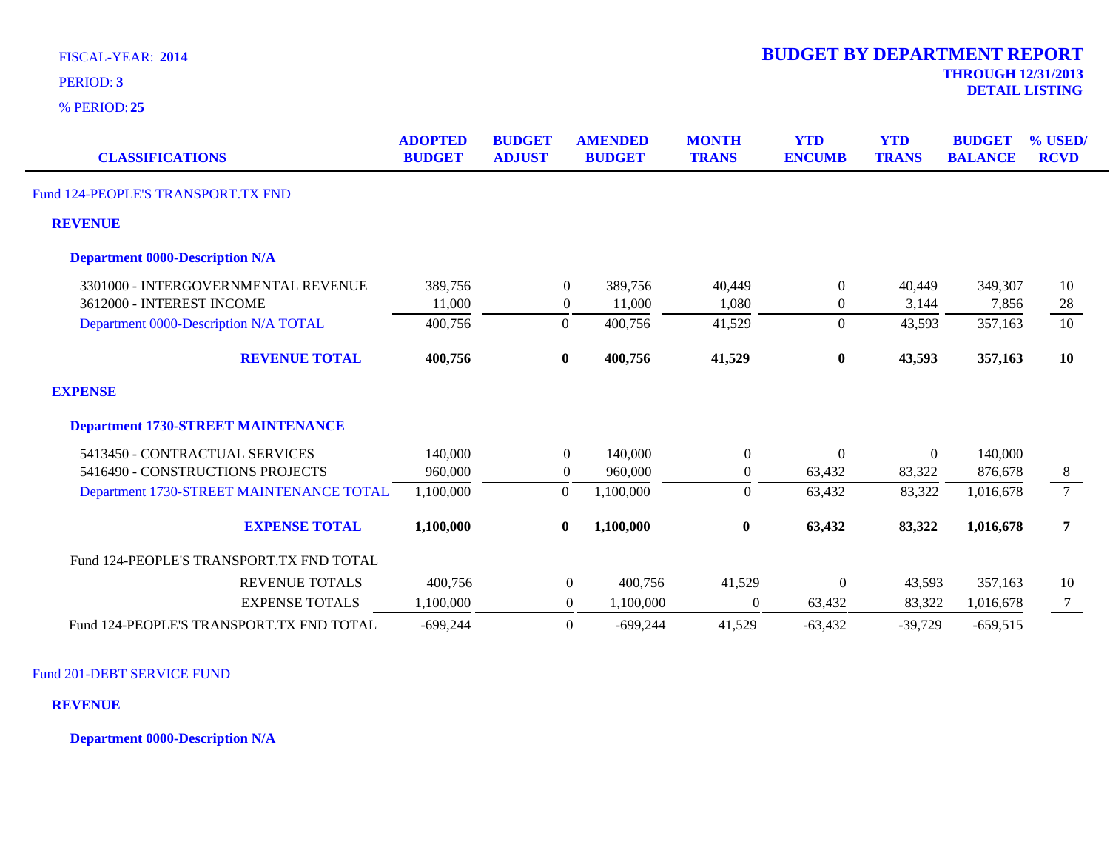**25** % PERIOD:

| <b>CLASSIFICATIONS</b>                    | <b>ADOPTED</b><br><b>BUDGET</b> | <b>BUDGET</b><br><b>ADJUST</b> | <b>AMENDED</b><br><b>BUDGET</b> | <b>MONTH</b><br><b>TRANS</b> | <b>YTD</b><br><b>ENCUMB</b> | <b>YTD</b><br><b>TRANS</b> | <b>BUDGET</b><br><b>BALANCE</b> | % USED/<br><b>RCVD</b> |
|-------------------------------------------|---------------------------------|--------------------------------|---------------------------------|------------------------------|-----------------------------|----------------------------|---------------------------------|------------------------|
| Fund 124-PEOPLE'S TRANSPORT.TX FND        |                                 |                                |                                 |                              |                             |                            |                                 |                        |
| <b>REVENUE</b>                            |                                 |                                |                                 |                              |                             |                            |                                 |                        |
| <b>Department 0000-Description N/A</b>    |                                 |                                |                                 |                              |                             |                            |                                 |                        |
| 3301000 - INTERGOVERNMENTAL REVENUE       | 389,756                         | $\overline{0}$                 | 389,756                         | 40,449                       | $\boldsymbol{0}$            | 40,449                     | 349,307                         | 10                     |
| 3612000 - INTEREST INCOME                 | 11,000                          | $\overline{0}$                 | 11,000                          | 1,080                        | $\overline{0}$              | 3,144                      | 7,856                           | 28                     |
| Department 0000-Description N/A TOTAL     | 400,756                         | $\Omega$                       | 400,756                         | 41,529                       | $\overline{0}$              | 43,593                     | 357,163                         | 10                     |
| <b>REVENUE TOTAL</b>                      | 400,756                         | $\bf{0}$                       | 400,756                         | 41,529                       | $\bf{0}$                    | 43,593                     | 357,163                         | 10                     |
| <b>EXPENSE</b>                            |                                 |                                |                                 |                              |                             |                            |                                 |                        |
| <b>Department 1730-STREET MAINTENANCE</b> |                                 |                                |                                 |                              |                             |                            |                                 |                        |
| 5413450 - CONTRACTUAL SERVICES            | 140,000                         | $\overline{0}$                 | 140,000                         | $\boldsymbol{0}$             | $\boldsymbol{0}$            | $\mathbf{0}$               | 140,000                         |                        |
| 5416490 - CONSTRUCTIONS PROJECTS          | 960,000                         | $\mathbf{0}$                   | 960,000                         | $\boldsymbol{0}$             | 63,432                      | 83,322                     | 876,678                         | 8                      |
| Department 1730-STREET MAINTENANCE TOTAL  | 1,100,000                       | $\overline{0}$                 | 1,100,000                       | $\Omega$                     | 63,432                      | 83,322                     | 1,016,678                       | $7\overline{ }$        |
| <b>EXPENSE TOTAL</b>                      | 1,100,000                       | $\mathbf{0}$                   | 1,100,000                       | $\bf{0}$                     | 63,432                      | 83,322                     | 1,016,678                       | 7                      |
| Fund 124-PEOPLE'S TRANSPORT.TX FND TOTAL  |                                 |                                |                                 |                              |                             |                            |                                 |                        |
| <b>REVENUE TOTALS</b>                     | 400,756                         |                                | $\overline{0}$<br>400,756       | 41,529                       | $\mathbf{0}$                | 43,593                     | 357,163                         | 10                     |
| <b>EXPENSE TOTALS</b>                     | 1,100,000                       |                                | $\overline{0}$<br>1,100,000     | $\boldsymbol{0}$             | 63,432                      | 83,322                     | 1,016,678                       | $7\phantom{.0}$        |
| Fund 124-PEOPLE'S TRANSPORT.TX FND TOTAL  | $-699,244$                      |                                | $\overline{0}$<br>$-699,244$    | 41,529                       | $-63,432$                   | $-39,729$                  | $-659,515$                      |                        |

Fund 201-DEBT SERVICE FUND

**REVENUE**

**Department 0000-Description N/A**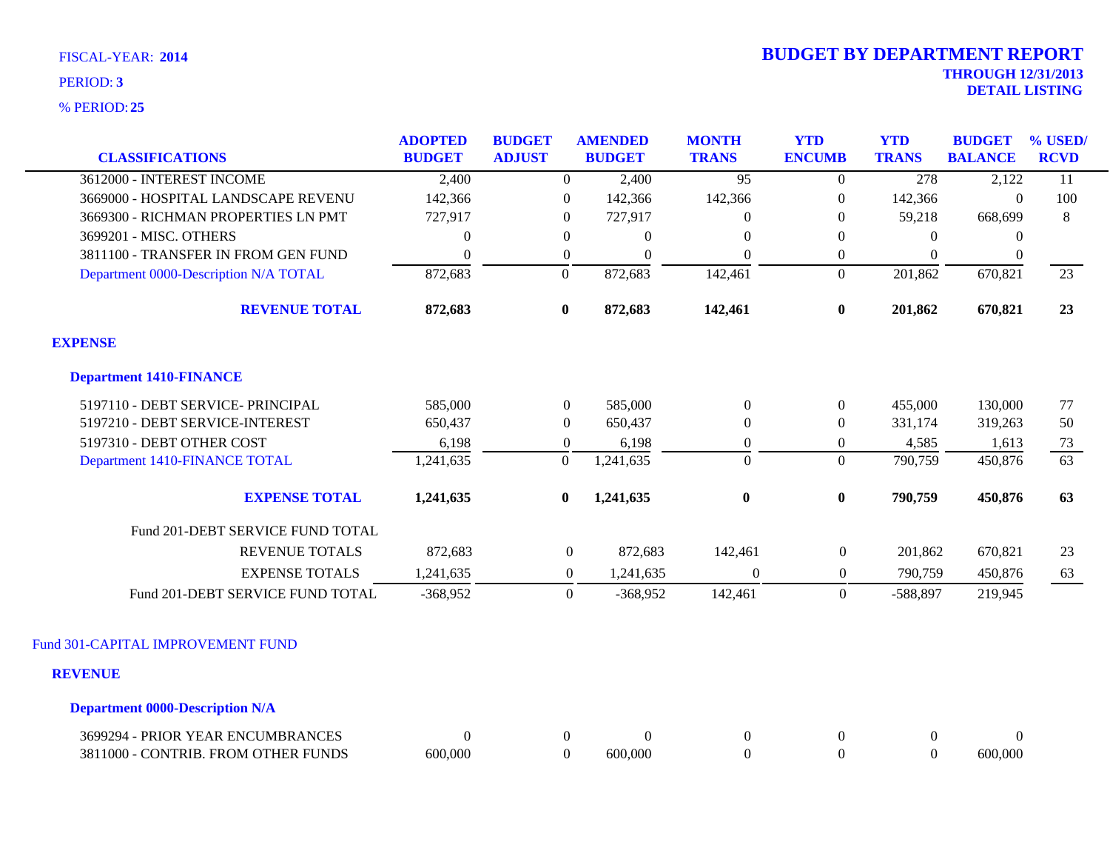**25** % PERIOD:

| <b>CLASSIFICATIONS</b>                 | <b>ADOPTED</b><br><b>BUDGET</b> | <b>BUDGET</b><br><b>ADJUST</b> | <b>AMENDED</b><br><b>BUDGET</b> | <b>MONTH</b><br><b>TRANS</b> | <b>YTD</b><br><b>ENCUMB</b> | <b>YTD</b><br><b>TRANS</b> | <b>BUDGET</b><br><b>BALANCE</b> | % USED/<br><b>RCVD</b> |
|----------------------------------------|---------------------------------|--------------------------------|---------------------------------|------------------------------|-----------------------------|----------------------------|---------------------------------|------------------------|
| 3612000 - INTEREST INCOME              | 2,400                           | $\boldsymbol{0}$               | 2,400                           | $\overline{95}$              | $\overline{0}$              | 278                        | 2,122                           | 11                     |
| 3669000 - HOSPITAL LANDSCAPE REVENU    | 142,366                         | $\overline{0}$                 | 142,366                         | 142,366                      | $\mathbf{0}$                | 142,366                    | $\Omega$                        | 100                    |
| 3669300 - RICHMAN PROPERTIES LN PMT    | 727,917                         | $\overline{0}$                 | 727,917                         | $\Omega$                     | $\theta$                    | 59,218                     | 668,699                         | 8                      |
| 3699201 - MISC. OTHERS                 | $\overline{0}$                  | $\theta$                       | $\overline{0}$                  | $\Omega$                     | $\theta$                    | $\Omega$                   | $\theta$                        |                        |
| 3811100 - TRANSFER IN FROM GEN FUND    | $\boldsymbol{0}$                | $\overline{0}$                 | $\Omega$                        | $\Omega$                     | $\overline{0}$              | $\Omega$                   | $\mathbf{0}$                    |                        |
| Department 0000-Description N/A TOTAL  | 872,683                         | $\boldsymbol{0}$               | 872,683                         | 142,461                      | $\mathbf{0}$                | 201,862                    | 670,821                         | 23                     |
| <b>REVENUE TOTAL</b>                   | 872,683                         | $\bf{0}$                       | 872,683                         | 142,461                      | $\bf{0}$                    | 201,862                    | 670,821                         | 23                     |
| <b>EXPENSE</b>                         |                                 |                                |                                 |                              |                             |                            |                                 |                        |
| <b>Department 1410-FINANCE</b>         |                                 |                                |                                 |                              |                             |                            |                                 |                        |
| 5197110 - DEBT SERVICE- PRINCIPAL      | 585,000                         | $\mathbf{0}$                   | 585,000                         | $\mathbf{0}$                 | $\boldsymbol{0}$            | 455,000                    | 130,000                         | 77                     |
| 5197210 - DEBT SERVICE-INTEREST        | 650,437                         | $\boldsymbol{0}$               | 650,437                         | $\boldsymbol{0}$             | $\boldsymbol{0}$            | 331,174                    | 319,263                         | 50                     |
| 5197310 - DEBT OTHER COST              | 6,198                           | $\mathbf{0}$                   | 6,198                           | $\boldsymbol{0}$             | $\boldsymbol{0}$            | 4,585                      | 1,613                           | 73                     |
| Department 1410-FINANCE TOTAL          | 1,241,635                       | $\mathbf{0}$                   | 1,241,635                       | $\Omega$                     | $\Omega$                    | 790,759                    | 450,876                         | 63                     |
| <b>EXPENSE TOTAL</b>                   | 1,241,635                       | $\bf{0}$                       | 1,241,635                       | $\bf{0}$                     | $\bf{0}$                    | 790,759                    | 450,876                         | 63                     |
| Fund 201-DEBT SERVICE FUND TOTAL       |                                 |                                |                                 |                              |                             |                            |                                 |                        |
| <b>REVENUE TOTALS</b>                  | 872,683                         | $\boldsymbol{0}$               | 872,683                         | 142,461                      | $\boldsymbol{0}$            | 201,862                    | 670,821                         | 23                     |
| <b>EXPENSE TOTALS</b>                  | 1,241,635                       | $\boldsymbol{0}$               | 1,241,635                       | $\mathbf{0}$                 | $\mathbf{0}$                | 790,759                    | 450,876                         | 63                     |
| Fund 201-DEBT SERVICE FUND TOTAL       | $-368,952$                      | $\Omega$                       | $-368,952$                      | 142,461                      | $\Omega$                    | $-588,897$                 | 219,945                         |                        |
| Fund 301-CAPITAL IMPROVEMENT FUND      |                                 |                                |                                 |                              |                             |                            |                                 |                        |
|                                        |                                 |                                |                                 |                              |                             |                            |                                 |                        |
| <b>REVENUE</b>                         |                                 |                                |                                 |                              |                             |                            |                                 |                        |
| <b>Department 0000-Description N/A</b> |                                 |                                |                                 |                              |                             |                            |                                 |                        |
| 3699294 - PRIOR YEAR ENCUMBRANCES      | $\boldsymbol{0}$                | $\overline{0}$                 | $\overline{0}$                  | $\boldsymbol{0}$             | $\boldsymbol{0}$            | $\overline{0}$             | $\boldsymbol{0}$                |                        |

3811000 - CONTRIB. FROM OTHER FUNDS 600,000 0 600,000 0 600,000 0 0 600,000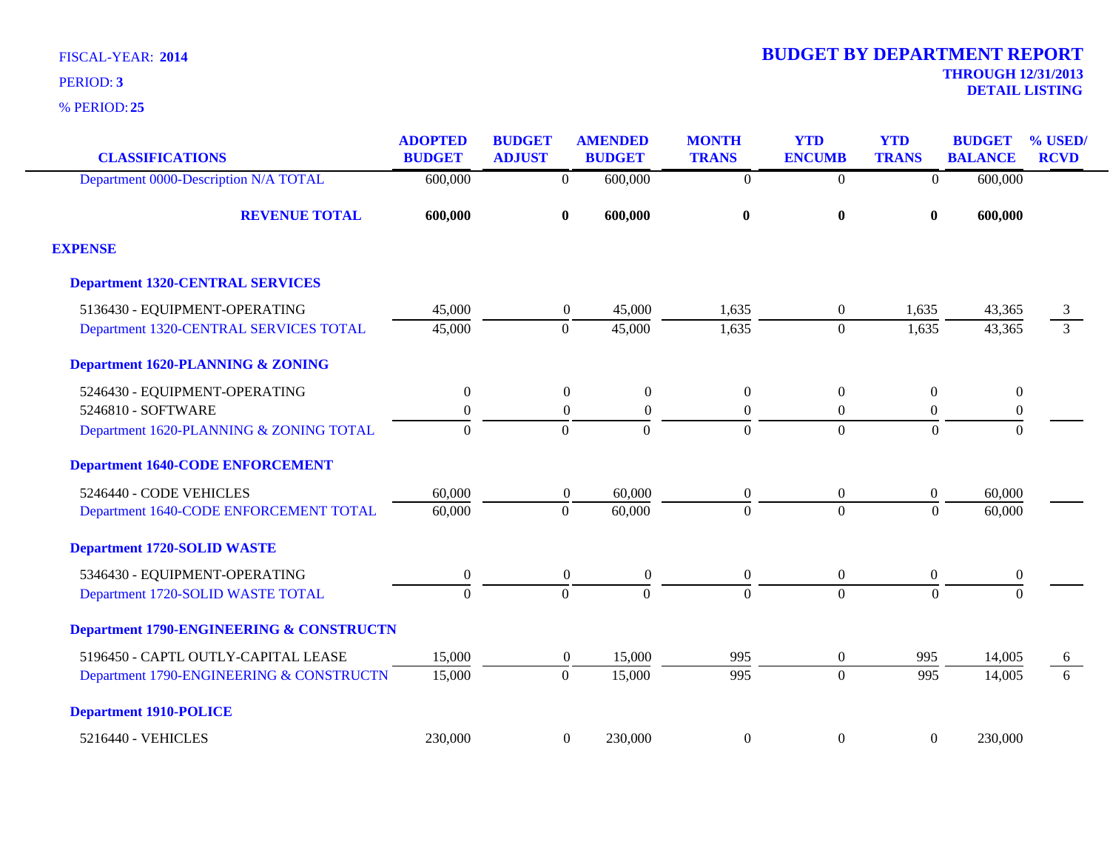| <b>CLASSIFICATIONS</b>                              | <b>ADOPTED</b><br><b>BUDGET</b> | <b>BUDGET</b><br><b>ADJUST</b> | <b>AMENDED</b><br><b>BUDGET</b> | <b>MONTH</b><br><b>TRANS</b> | <b>YTD</b><br><b>ENCUMB</b> | <b>YTD</b><br><b>TRANS</b> | <b>BUDGET</b><br><b>BALANCE</b> | % USED/<br><b>RCVD</b> |
|-----------------------------------------------------|---------------------------------|--------------------------------|---------------------------------|------------------------------|-----------------------------|----------------------------|---------------------------------|------------------------|
| Department 0000-Description N/A TOTAL               | 600,000                         | $\overline{0}$                 | 600,000                         | $\overline{0}$               | $\overline{0}$              | $\overline{0}$             | 600,000                         |                        |
| <b>REVENUE TOTAL</b>                                | 600,000                         | $\bf{0}$                       | 600,000                         | $\bf{0}$                     | $\bf{0}$                    | $\bf{0}$                   | 600,000                         |                        |
| <b>EXPENSE</b>                                      |                                 |                                |                                 |                              |                             |                            |                                 |                        |
| <b>Department 1320-CENTRAL SERVICES</b>             |                                 |                                |                                 |                              |                             |                            |                                 |                        |
| 5136430 - EQUIPMENT-OPERATING                       | 45,000                          | $\boldsymbol{0}$               | 45,000                          | 1,635                        | 0                           | 1,635                      | 43,365                          | 3                      |
| Department 1320-CENTRAL SERVICES TOTAL              | 45,000                          | $\mathbf{0}$                   | 45,000                          | 1,635                        | $\overline{0}$              | 1,635                      | 43,365                          | $\overline{3}$         |
| <b>Department 1620-PLANNING &amp; ZONING</b>        |                                 |                                |                                 |                              |                             |                            |                                 |                        |
| 5246430 - EQUIPMENT-OPERATING                       | $\boldsymbol{0}$                | $\boldsymbol{0}$               | $\boldsymbol{0}$                | $\boldsymbol{0}$             | $\boldsymbol{0}$            | $\boldsymbol{0}$           | $\boldsymbol{0}$                |                        |
| 5246810 - SOFTWARE                                  | $\boldsymbol{0}$                | $\boldsymbol{0}$               | $\boldsymbol{0}$                | $\boldsymbol{0}$             | $\overline{0}$              | $\boldsymbol{0}$           | $\boldsymbol{0}$                |                        |
| Department 1620-PLANNING & ZONING TOTAL             | $\theta$                        | $\theta$                       | $\Omega$                        | $\boldsymbol{0}$             | $\overline{0}$              | $\Omega$                   | $\theta$                        |                        |
| <b>Department 1640-CODE ENFORCEMENT</b>             |                                 |                                |                                 |                              |                             |                            |                                 |                        |
| 5246440 - CODE VEHICLES                             | 60,000                          | $\boldsymbol{0}$               | 60,000                          | $\boldsymbol{0}$             | $\boldsymbol{0}$            | $\boldsymbol{0}$           | 60,000                          |                        |
| Department 1640-CODE ENFORCEMENT TOTAL              | 60,000                          | $\Omega$                       | 60,000                          | $\mathbf{0}$                 | $\overline{0}$              | $\Omega$                   | 60,000                          |                        |
| <b>Department 1720-SOLID WASTE</b>                  |                                 |                                |                                 |                              |                             |                            |                                 |                        |
| 5346430 - EQUIPMENT-OPERATING                       | $\boldsymbol{0}$                | $\boldsymbol{0}$               | $\boldsymbol{0}$                | $\boldsymbol{0}$             | $\boldsymbol{0}$            | $\boldsymbol{0}$           | $\boldsymbol{0}$                |                        |
| Department 1720-SOLID WASTE TOTAL                   | $\overline{0}$                  | $\mathbf{0}$                   | $\Omega$                        | $\overline{0}$               | $\overline{0}$              | $\overline{0}$             | $\Omega$                        |                        |
| <b>Department 1790-ENGINEERING &amp; CONSTRUCTN</b> |                                 |                                |                                 |                              |                             |                            |                                 |                        |
| 5196450 - CAPTL OUTLY-CAPITAL LEASE                 | 15,000                          | $\boldsymbol{0}$               | 15,000                          | 995                          | $\boldsymbol{0}$            | 995                        | 14,005                          | 6                      |
| Department 1790-ENGINEERING & CONSTRUCTN            | 15,000                          | $\theta$                       | 15,000                          | 995                          | $\Omega$                    | 995                        | 14,005                          | 6                      |
| <b>Department 1910-POLICE</b>                       |                                 |                                |                                 |                              |                             |                            |                                 |                        |
| 5216440 - VEHICLES                                  | 230,000                         | $\boldsymbol{0}$               | 230,000                         | $\boldsymbol{0}$             | 0                           | $\boldsymbol{0}$           | 230,000                         |                        |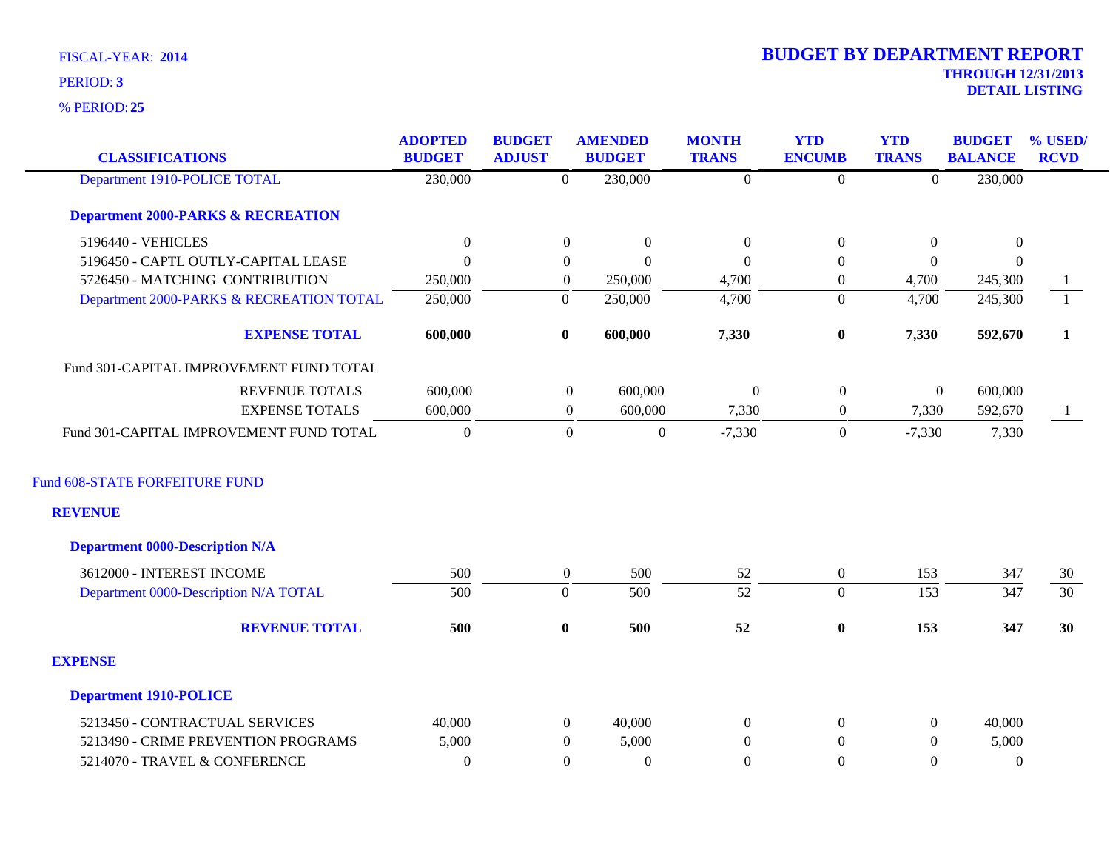**25** % PERIOD:

| <b>CLASSIFICATIONS</b>                        | <b>ADOPTED</b><br><b>BUDGET</b> | <b>BUDGET</b><br><b>ADJUST</b> | <b>AMENDED</b><br><b>BUDGET</b> | <b>MONTH</b><br><b>TRANS</b> | <b>YTD</b><br><b>ENCUMB</b> | <b>YTD</b><br><b>TRANS</b> | <b>BUDGET</b><br><b>BALANCE</b> | % USED/<br><b>RCVD</b> |
|-----------------------------------------------|---------------------------------|--------------------------------|---------------------------------|------------------------------|-----------------------------|----------------------------|---------------------------------|------------------------|
| Department 1910-POLICE TOTAL                  | 230,000                         | $\theta$                       | 230,000                         | $\Omega$                     | $\overline{0}$              | $\Omega$                   | 230,000                         |                        |
| <b>Department 2000-PARKS &amp; RECREATION</b> |                                 |                                |                                 |                              |                             |                            |                                 |                        |
| 5196440 - VEHICLES                            | $\boldsymbol{0}$                | $\boldsymbol{0}$               | $\Omega$                        | $\boldsymbol{0}$             | $\boldsymbol{0}$            | $\mathbf{0}$               | $\boldsymbol{0}$                |                        |
| 5196450 - CAPTL OUTLY-CAPITAL LEASE           | $\Omega$                        | $\overline{0}$                 | $\Omega$                        | $\Omega$                     | $\mathbf{0}$                | $\Omega$                   | $\Omega$                        |                        |
| 5726450 - MATCHING CONTRIBUTION               | 250,000                         | $\overline{0}$                 | 250,000                         | 4,700                        | $\overline{0}$              | 4,700                      | 245,300                         | $\mathbf{1}$           |
| Department 2000-PARKS & RECREATION TOTAL      | 250,000                         | $\overline{0}$                 | 250,000                         | 4,700                        | $\mathbf{0}$                | 4,700                      | 245,300                         | $\mathbf{1}$           |
| <b>EXPENSE TOTAL</b>                          | 600,000                         | $\bf{0}$                       | 600,000                         | 7,330                        | $\pmb{0}$                   | 7,330                      | 592,670                         | $\mathbf{1}$           |
| Fund 301-CAPITAL IMPROVEMENT FUND TOTAL       |                                 |                                |                                 |                              |                             |                            |                                 |                        |
| <b>REVENUE TOTALS</b>                         | 600,000                         | $\boldsymbol{0}$               | 600,000                         | $\boldsymbol{0}$             | $\boldsymbol{0}$            |                            | $\boldsymbol{0}$<br>600,000     |                        |
| <b>EXPENSE TOTALS</b>                         | 600,000                         | $\overline{0}$                 | 600,000                         | 7,330                        | $\boldsymbol{0}$            | 7,330                      | 592,670                         | -1                     |
| Fund 301-CAPITAL IMPROVEMENT FUND TOTAL       | $\Omega$                        | $\boldsymbol{0}$               | $\boldsymbol{0}$                | $-7,330$                     | $\boldsymbol{0}$            | $-7,330$                   | 7,330                           |                        |
| Fund 608-STATE FORFEITURE FUND                |                                 |                                |                                 |                              |                             |                            |                                 |                        |
| <b>REVENUE</b>                                |                                 |                                |                                 |                              |                             |                            |                                 |                        |
| <b>Department 0000-Description N/A</b>        |                                 |                                |                                 |                              |                             |                            |                                 |                        |
| 3612000 - INTEREST INCOME                     | 500                             | $\boldsymbol{0}$               | 500                             | 52                           | $\boldsymbol{0}$            | 153                        | 347                             | 30                     |
| Department 0000-Description N/A TOTAL         | 500                             | $\overline{0}$                 | 500                             | $\overline{52}$              | $\boldsymbol{0}$            | 153                        | 347                             | $\overline{30}$        |
| <b>REVENUE TOTAL</b>                          | 500                             | $\bf{0}$                       | 500                             | 52                           | $\boldsymbol{0}$            | 153                        | 347                             | 30                     |
| <b>EXPENSE</b>                                |                                 |                                |                                 |                              |                             |                            |                                 |                        |
| <b>Department 1910-POLICE</b>                 |                                 |                                |                                 |                              |                             |                            |                                 |                        |
| 5213450 - CONTRACTUAL SERVICES                | 40,000                          | $\overline{0}$                 | 40,000                          | $\Omega$                     | $\boldsymbol{0}$            | $\overline{0}$             | 40,000                          |                        |
| 5213490 - CRIME PREVENTION PROGRAMS           | 5,000                           | $\theta$                       | 5,000                           | $\Omega$                     | $\mathbf{0}$                | $\overline{0}$             | 5,000                           |                        |
| 5214070 - TRAVEL & CONFERENCE                 | $\Omega$                        | $\Omega$                       | $\Omega$                        | $\Omega$                     | $\theta$                    | $\Omega$                   | $\Omega$                        |                        |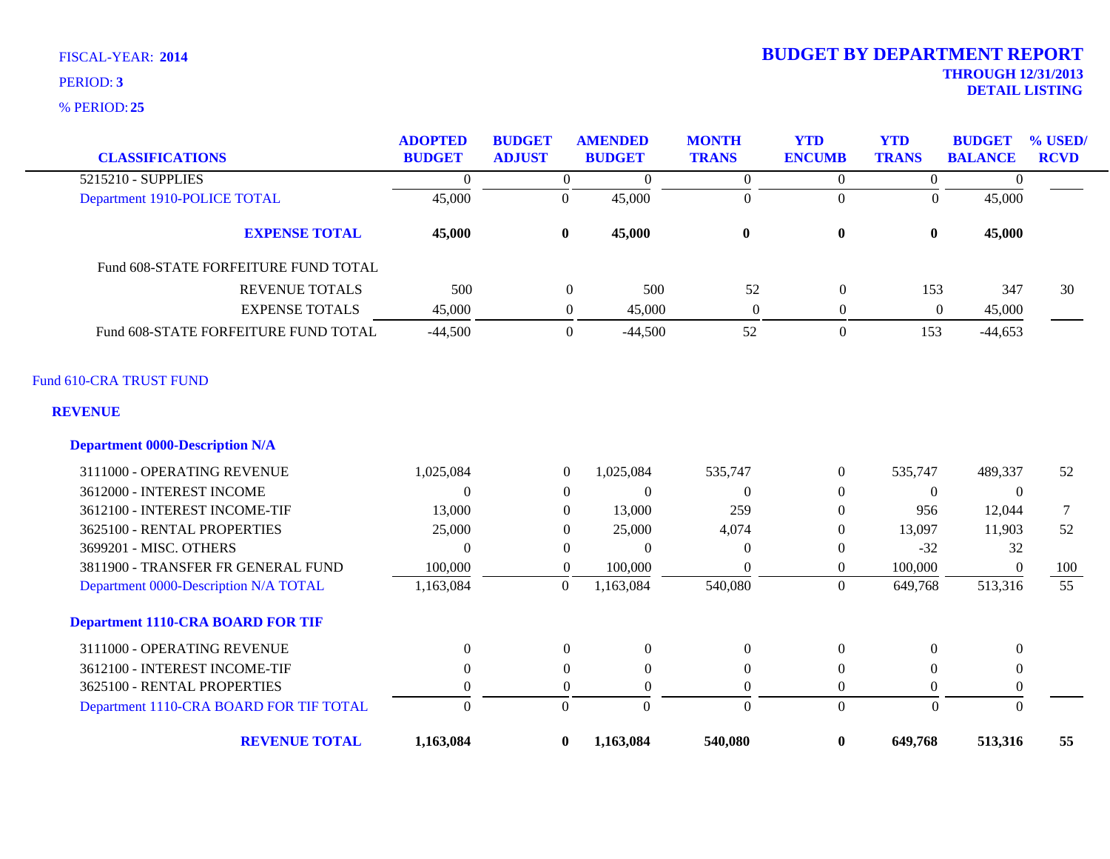| <b>CLASSIFICATIONS</b>                   | <b>ADOPTED</b><br><b>BUDGET</b> | <b>BUDGET</b><br><b>ADJUST</b> | <b>AMENDED</b><br><b>BUDGET</b> | <b>MONTH</b><br><b>TRANS</b> | <b>YTD</b><br><b>ENCUMB</b> | <b>YTD</b><br><b>TRANS</b> | <b>BUDGET</b><br><b>BALANCE</b> | % USED/<br><b>RCVD</b> |
|------------------------------------------|---------------------------------|--------------------------------|---------------------------------|------------------------------|-----------------------------|----------------------------|---------------------------------|------------------------|
| 5215210 - SUPPLIES                       | $\mathbf{0}$                    | $\overline{0}$                 | $\overline{0}$                  | $\boldsymbol{0}$             | $\overline{0}$              | $\boldsymbol{0}$           | $\mathbf{0}$                    |                        |
| Department 1910-POLICE TOTAL             | 45,000                          | $\boldsymbol{0}$               | 45,000                          | $\mathbf{0}$                 | $\overline{0}$              | $\Omega$                   | 45,000                          |                        |
| <b>EXPENSE TOTAL</b>                     | 45,000                          | $\bf{0}$                       | 45,000                          | $\bf{0}$                     | $\bf{0}$                    | $\bf{0}$                   | 45,000                          |                        |
| Fund 608-STATE FORFEITURE FUND TOTAL     |                                 |                                |                                 |                              |                             |                            |                                 |                        |
| REVENUE TOTALS                           | 500                             | $\boldsymbol{0}$               | 500                             | 52                           | $\boldsymbol{0}$            | 153                        | 347                             | 30                     |
| <b>EXPENSE TOTALS</b>                    | 45,000                          | $\overline{0}$                 | 45,000                          | $\boldsymbol{0}$             | $\boldsymbol{0}$            | $\boldsymbol{0}$           | 45,000                          |                        |
| Fund 608-STATE FORFEITURE FUND TOTAL     | $-44,500$                       | $\overline{0}$                 | $-44,500$                       | 52                           | $\boldsymbol{0}$            | 153                        | $-44,653$                       |                        |
| Fund 610-CRA TRUST FUND                  |                                 |                                |                                 |                              |                             |                            |                                 |                        |
| <b>REVENUE</b>                           |                                 |                                |                                 |                              |                             |                            |                                 |                        |
| <b>Department 0000-Description N/A</b>   |                                 |                                |                                 |                              |                             |                            |                                 |                        |
| 3111000 - OPERATING REVENUE              | 1,025,084                       | $\theta$                       | 1,025,084                       | 535,747                      | $\overline{0}$              | 535,747                    | 489,337                         | 52                     |
| 3612000 - INTEREST INCOME                | $\Omega$                        | $\overline{0}$                 | $\theta$                        | $\Omega$                     | $\overline{0}$              | $\theta$                   | $\theta$                        |                        |
| 3612100 - INTEREST INCOME-TIF            | 13,000                          | $\overline{0}$                 | 13,000                          | 259                          | $\boldsymbol{0}$            | 956                        | 12,044                          | 7                      |
| 3625100 - RENTAL PROPERTIES              | 25,000                          | $\Omega$                       | 25,000                          | 4,074                        | $\overline{0}$              | 13,097                     | 11,903                          | 52                     |
| 3699201 - MISC. OTHERS                   | $\Omega$                        | $\Omega$                       | $\theta$                        | $\Omega$                     | $\overline{0}$              | $-32$                      | 32                              |                        |
| 3811900 - TRANSFER FR GENERAL FUND       | 100,000                         | $\overline{0}$                 | 100,000                         | $\theta$                     | $\boldsymbol{0}$            | 100,000                    | $\Omega$                        | 100                    |
| Department 0000-Description N/A TOTAL    | 1,163,084                       | $\boldsymbol{0}$               | 1,163,084                       | 540,080                      | $\overline{0}$              | 649,768                    | 513,316                         | $\overline{55}$        |
| <b>Department 1110-CRA BOARD FOR TIF</b> |                                 |                                |                                 |                              |                             |                            |                                 |                        |
| 3111000 - OPERATING REVENUE              | $\Omega$                        | $\overline{0}$                 | $\mathbf{0}$                    | $\theta$                     | $\boldsymbol{0}$            | $\Omega$                   | $\theta$                        |                        |
| 3612100 - INTEREST INCOME-TIF            | $\theta$                        | $\mathbf{0}$                   | $\overline{0}$                  | $\theta$                     | $\mathbf{0}$                | $\theta$                   | $\theta$                        |                        |
| 3625100 - RENTAL PROPERTIES              | $\Omega$                        | $\overline{0}$                 | $\boldsymbol{0}$                | $\theta$                     | $\overline{0}$              | $\overline{0}$             | $\overline{0}$                  |                        |
| Department 1110-CRA BOARD FOR TIF TOTAL  | $\Omega$                        | $\Omega$                       | $\overline{0}$                  | $\mathbf{0}$                 | $\overline{0}$              | $\boldsymbol{0}$           | $\theta$                        |                        |
| <b>REVENUE TOTAL</b>                     | 1,163,084                       | $\bf{0}$                       | 1,163,084                       | 540,080                      | $\bf{0}$                    | 649,768                    | 513,316                         | 55                     |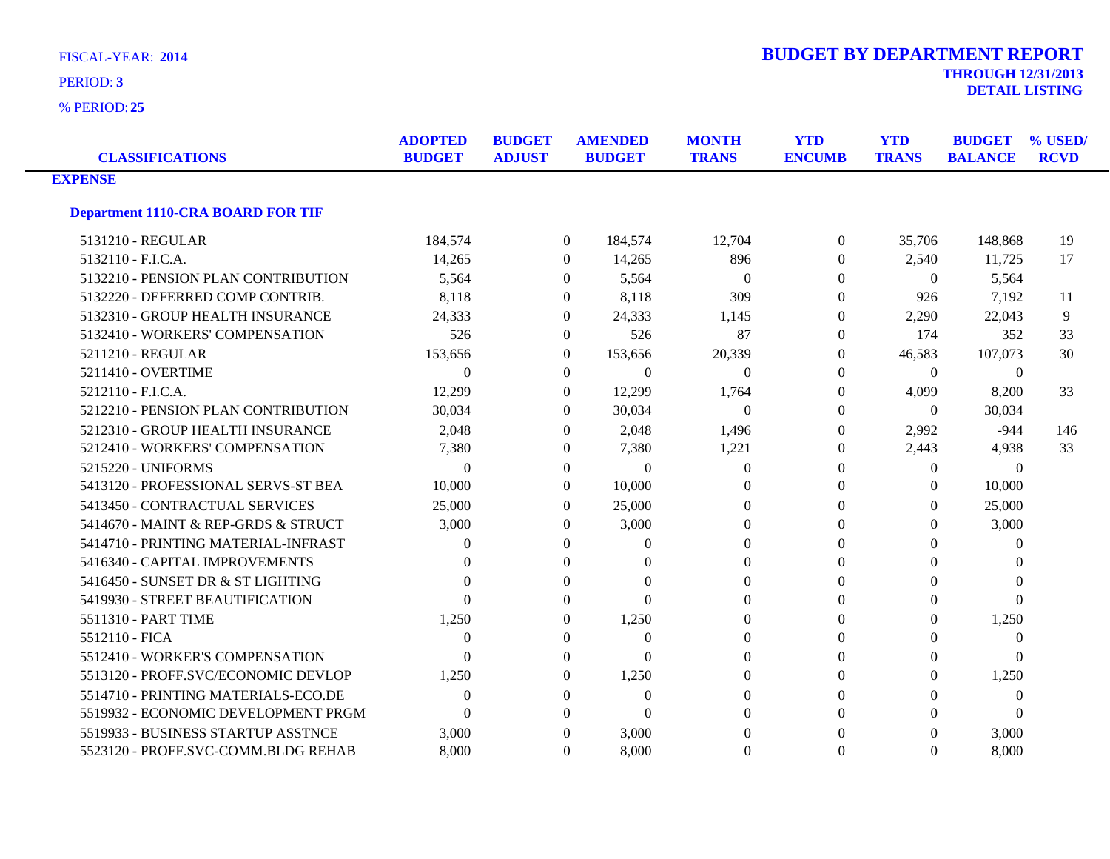**25** % PERIOD:

| <b>CLASSIFICATIONS</b>                   | <b>ADOPTED</b><br><b>BUDGET</b> | <b>BUDGET</b><br><b>ADJUST</b> | <b>AMENDED</b><br><b>BUDGET</b> | <b>MONTH</b><br><b>TRANS</b> | <b>YTD</b><br><b>ENCUMB</b> | <b>YTD</b><br><b>TRANS</b> | <b>BUDGET</b><br><b>BALANCE</b> | % USED/<br><b>RCVD</b> |
|------------------------------------------|---------------------------------|--------------------------------|---------------------------------|------------------------------|-----------------------------|----------------------------|---------------------------------|------------------------|
| <b>EXPENSE</b>                           |                                 |                                |                                 |                              |                             |                            |                                 |                        |
| <b>Department 1110-CRA BOARD FOR TIF</b> |                                 |                                |                                 |                              |                             |                            |                                 |                        |
| 5131210 - REGULAR                        | 184,574                         |                                | $\overline{0}$<br>184,574       | 12,704                       | $\overline{0}$              | 35,706                     | 148,868                         | 19                     |
| 5132110 - F.I.C.A.                       | 14,265                          |                                | 14,265<br>$\Omega$              | 896                          | $\theta$                    | 2,540                      | 11,725                          | 17                     |
| 5132210 - PENSION PLAN CONTRIBUTION      | 5,564                           |                                | 5,564<br>$\theta$               | $\Omega$                     | $\Omega$                    | $\Omega$                   | 5,564                           |                        |
| 5132220 - DEFERRED COMP CONTRIB.         | 8,118                           |                                | 8,118<br>$\overline{0}$         | 309                          | $\Omega$                    | 926                        | 7,192                           | -11                    |
| 5132310 - GROUP HEALTH INSURANCE         | 24,333                          |                                | 24,333<br>$\mathbf{0}$          | 1,145                        | $\theta$                    | 2,290                      | 22,043                          | 9                      |
| 5132410 - WORKERS' COMPENSATION          | 526                             |                                | 526<br>$\overline{0}$           | 87                           | $\Omega$                    | 174                        | 352                             | 33                     |
| 5211210 - REGULAR                        | 153,656                         |                                | 153,656<br>$\Omega$             | 20,339                       | $\Omega$                    | 46,583                     | 107,073                         | 30                     |
| 5211410 - OVERTIME                       | $\Omega$                        |                                | $\Omega$<br>$\Omega$            | $\Omega$                     | $\Omega$                    | $\Omega$                   | $\theta$                        |                        |
| 5212110 - F.I.C.A.                       | 12,299                          |                                | 12,299<br>$\Omega$              | 1,764                        | $\Omega$                    | 4,099                      | 8,200                           | 33                     |
| 5212210 - PENSION PLAN CONTRIBUTION      | 30,034                          |                                | 30,034<br>$\Omega$              | $\Omega$                     | $\Omega$                    | $\Omega$                   | 30,034                          |                        |
| 5212310 - GROUP HEALTH INSURANCE         | 2,048                           |                                | 2,048<br>$\Omega$               | 1,496                        | $\Omega$                    | 2,992                      | $-944$                          | 146                    |
| 5212410 - WORKERS' COMPENSATION          | 7,380                           |                                | 7,380<br>$\Omega$               | 1,221                        | $\Omega$                    | 2,443                      | 4,938                           | 33                     |
| 5215220 - UNIFORMS                       | $\Omega$                        |                                | $\mathbf{0}$<br>$\theta$        | $\theta$                     | $\Omega$                    | $\boldsymbol{0}$           | $\theta$                        |                        |
| 5413120 - PROFESSIONAL SERVS-ST BEA      | 10,000                          |                                | 10,000<br>$\Omega$              | $\Omega$                     | $\Omega$                    | $\Omega$                   | 10,000                          |                        |
| 5413450 - CONTRACTUAL SERVICES           | 25,000                          |                                | 25,000<br>$\Omega$              | $\Omega$                     | 0                           | $\Omega$                   | 25,000                          |                        |
| 5414670 - MAINT & REP-GRDS & STRUCT      | 3,000                           |                                | 3,000<br>$\theta$               | $\Omega$                     | $\Omega$                    | $\Omega$                   | 3,000                           |                        |
| 5414710 - PRINTING MATERIAL-INFRAST      | $\Omega$                        |                                | $\theta$<br>$\theta$            | $\theta$                     | $\Omega$                    | $\mathbf{0}$               | $\theta$                        |                        |
| 5416340 - CAPITAL IMPROVEMENTS           | $\Omega$                        |                                | $\Omega$<br>$\Omega$            | $\Omega$                     | $\Omega$                    | $\Omega$                   | $\Omega$                        |                        |
| 5416450 - SUNSET DR & ST LIGHTING        | $\Omega$                        |                                | $\Omega$<br>0                   | $\Omega$                     | $\Omega$                    | $\Omega$                   | $\Omega$                        |                        |
| 5419930 - STREET BEAUTIFICATION          | $\Omega$                        |                                | $\Omega$<br>0                   | $\Omega$                     | $\Omega$                    | $\Omega$                   | $\Omega$                        |                        |
| 5511310 - PART TIME                      | 1,250                           |                                | 1,250<br>0                      | $\Omega$                     | $\Omega$                    | $\mathbf{0}$               | 1,250                           |                        |
| 5512110 - FICA                           | $\Omega$                        |                                | $\Omega$<br>$\Omega$            | $\Omega$                     | $\Omega$                    | $\Omega$                   | $\theta$                        |                        |
| 5512410 - WORKER'S COMPENSATION          | $\Omega$                        |                                | 0<br>$\Omega$                   | $\Omega$                     | 0                           | $\mathbf{0}$               | $\Omega$                        |                        |
| 5513120 - PROFF.SVC/ECONOMIC DEVLOP      | 1,250                           |                                | 1,250<br>$\Omega$               | $\Omega$                     | $\Omega$                    | $\Omega$                   | 1,250                           |                        |
| 5514710 - PRINTING MATERIALS-ECO.DE      | $\Omega$                        |                                | $\overline{0}$<br>$\theta$      | $\Omega$                     | $\Omega$                    | $\mathbf{0}$               | $\theta$                        |                        |
| 5519932 - ECONOMIC DEVELOPMENT PRGM      | $\Omega$                        |                                | $\Omega$<br>$\Omega$            | $\Omega$                     | $\Omega$                    | $\Omega$                   | $\theta$                        |                        |
| 5519933 - BUSINESS STARTUP ASSTNCE       | 3,000                           |                                | 3,000<br>0                      | $\Omega$                     | 0                           | $\Omega$                   | 3,000                           |                        |
| 5523120 - PROFF.SVC-COMM.BLDG REHAB      | 8,000                           |                                | 8,000<br>$\Omega$               | $\Omega$                     | $\Omega$                    | $\Omega$                   | 8,000                           |                        |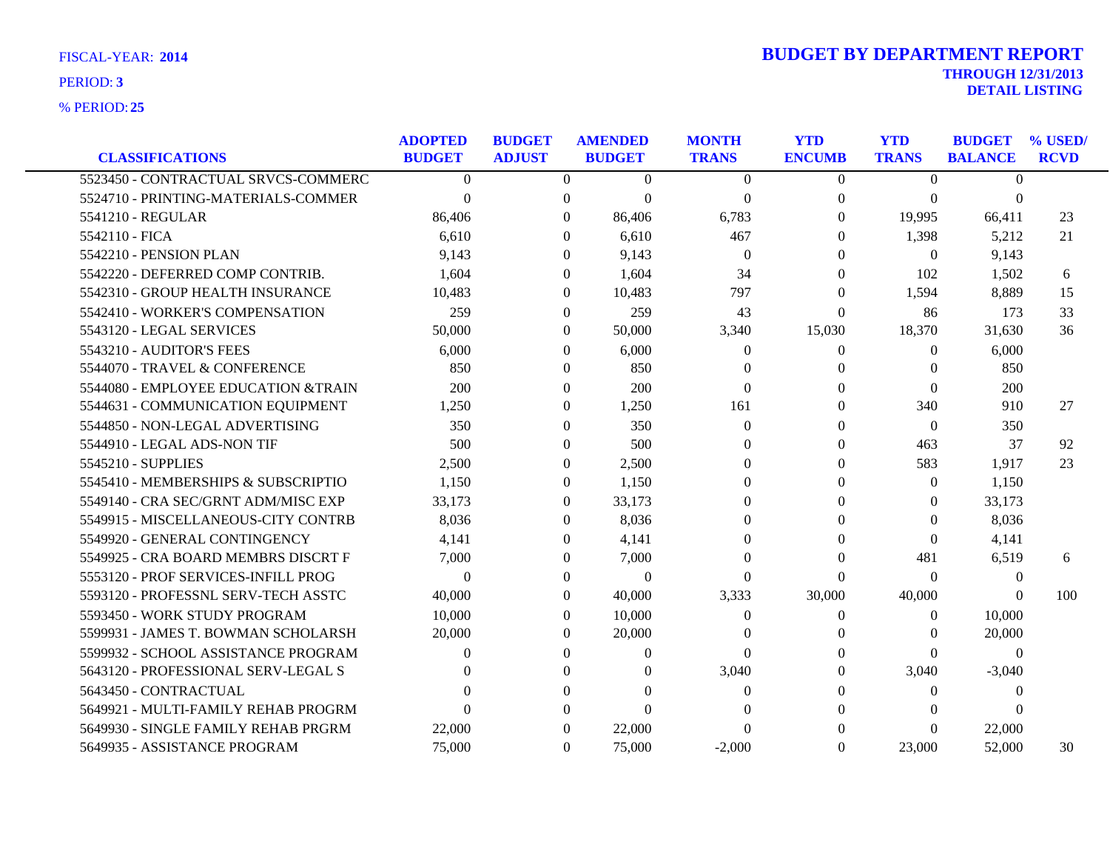| <b>CLASSIFICATIONS</b>              | <b>ADOPTED</b><br><b>BUDGET</b> | <b>BUDGET</b><br><b>ADJUST</b> | <b>AMENDED</b><br><b>BUDGET</b> | <b>MONTH</b><br><b>TRANS</b> | <b>YTD</b><br><b>ENCUMB</b> | <b>YTD</b><br><b>TRANS</b> | <b>BUDGET</b><br><b>BALANCE</b> | % USED/<br><b>RCVD</b> |
|-------------------------------------|---------------------------------|--------------------------------|---------------------------------|------------------------------|-----------------------------|----------------------------|---------------------------------|------------------------|
| 5523450 - CONTRACTUAL SRVCS-COMMERC | $\Omega$                        | $\Omega$                       | $\Omega$                        | $\Omega$                     | $\Omega$                    | $\Omega$                   | $\Omega$                        |                        |
| 5524710 - PRINTING-MATERIALS-COMMER | $\Omega$                        | $\theta$                       | $\Omega$                        | $\overline{0}$               | $\theta$                    | $\mathbf{0}$               | $\theta$                        |                        |
| 5541210 - REGULAR                   | 86,406                          | $\Omega$                       | 86,406                          | 6,783                        | $\Omega$                    | 19,995                     | 66,411                          | 23                     |
| 5542110 - FICA                      | 6,610                           | $\Omega$                       | 6,610                           | 467                          | $\Omega$                    | 1,398                      | 5,212                           | 21                     |
| 5542210 - PENSION PLAN              | 9,143                           | $\Omega$                       | 9,143                           | $\overline{0}$               | $\Omega$                    | $\overline{0}$             | 9,143                           |                        |
| 5542220 - DEFERRED COMP CONTRIB.    | 1,604                           | $\Omega$                       | 1,604                           | 34                           | $\Omega$                    | 102                        | 1,502                           | 6                      |
| 5542310 - GROUP HEALTH INSURANCE    | 10,483                          | $\Omega$                       | 10,483                          | 797                          | $\Omega$                    | 1,594                      | 8,889                           | 15                     |
| 5542410 - WORKER'S COMPENSATION     | 259                             | $\Omega$                       | 259                             | 43                           | $\Omega$                    | 86                         | 173                             | 33                     |
| 5543120 - LEGAL SERVICES            | 50,000                          | $\overline{0}$                 | 50,000                          | 3,340                        | 15,030                      | 18,370                     | 31,630                          | 36                     |
| 5543210 - AUDITOR'S FEES            | 6,000                           | $\Omega$                       | 6,000                           | $\theta$                     | $\Omega$                    | $\Omega$                   | 6,000                           |                        |
| 5544070 - TRAVEL & CONFERENCE       | 850                             | $\Omega$                       | 850                             | $\Omega$                     | 0                           | $\Omega$                   | 850                             |                        |
| 5544080 - EMPLOYEE EDUCATION &TRAIN | 200                             | $\overline{0}$                 | 200                             | $\Omega$                     | $\Omega$                    | $\overline{0}$             | 200                             |                        |
| 5544631 - COMMUNICATION EQUIPMENT   | 1,250                           | $\theta$                       | 1,250                           | 161                          | $\Omega$                    | 340                        | 910                             | 27                     |
| 5544850 - NON-LEGAL ADVERTISING     | 350                             | $\theta$                       | 350                             | $\Omega$                     | 0                           | $\Omega$                   | 350                             |                        |
| 5544910 - LEGAL ADS-NON TIF         | 500                             | $\Omega$                       | 500                             | $\Omega$                     | $\Omega$                    | 463                        | 37                              | 92                     |
| 5545210 - SUPPLIES                  | 2,500                           | $\Omega$                       | 2,500                           | $\Omega$                     | $\Omega$                    | 583                        | 1.917                           | 23                     |
| 5545410 - MEMBERSHIPS & SUBSCRIPTIO | 1,150                           | $\Omega$                       | 1,150                           | $\Omega$                     | $\Omega$                    | $\theta$                   | 1,150                           |                        |
| 5549140 - CRA SEC/GRNT ADM/MISC EXP | 33,173                          | $\Omega$                       | 33,173                          | $\Omega$                     | $\Omega$                    | $\Omega$                   | 33,173                          |                        |
| 5549915 - MISCELLANEOUS-CITY CONTRB | 8.036                           | $\Omega$                       | 8,036                           | $\Omega$                     | 0                           | $\Omega$                   | 8,036                           |                        |
| 5549920 - GENERAL CONTINGENCY       | 4,141                           | $\Omega$                       | 4,141                           | $\Omega$                     | 0                           | $\mathbf{0}$               | 4,141                           |                        |
| 5549925 - CRA BOARD MEMBRS DISCRT F | 7,000                           | $\Omega$                       | 7,000                           | $\Omega$                     | $\Omega$                    | 481                        | 6,519                           | 6                      |
| 5553120 - PROF SERVICES-INFILL PROG | $\Omega$                        | $\Omega$                       | $\Omega$                        | $\Omega$                     | $\Omega$                    | $\Omega$                   | $\Omega$                        |                        |
| 5593120 - PROFESSNL SERV-TECH ASSTC | 40,000                          | $\Omega$                       | 40,000                          | 3,333                        | 30,000                      | 40,000                     | $\Omega$                        | 100                    |
| 5593450 - WORK STUDY PROGRAM        | 10,000                          | $\Omega$                       | 10,000                          | $\theta$                     | $\Omega$                    | $\Omega$                   | 10,000                          |                        |
| 5599931 - JAMES T. BOWMAN SCHOLARSH | 20,000                          | $\Omega$                       | 20,000                          | $\Omega$                     | $\Omega$                    | $\Omega$                   | 20,000                          |                        |
| 5599932 - SCHOOL ASSISTANCE PROGRAM | $\Omega$                        | $\theta$                       | $\Omega$                        | $\Omega$                     | $\Omega$                    | $\Omega$                   | $\overline{0}$                  |                        |
| 5643120 - PROFESSIONAL SERV-LEGAL S |                                 | $\Omega$                       |                                 | 3,040                        | $\Omega$                    | 3,040                      | $-3,040$                        |                        |
| 5643450 - CONTRACTUAL               |                                 | 0                              | $\cup$                          | $\theta$                     | $\Omega$                    | $\Omega$                   | $\theta$                        |                        |
| 5649921 - MULTI-FAMILY REHAB PROGRM | $\Omega$                        | 0                              | $\Omega$                        | $\Omega$                     |                             | $\theta$                   | 0                               |                        |
| 5649930 - SINGLE FAMILY REHAB PRGRM | 22,000                          | $\Omega$                       | 22,000                          | $\theta$                     |                             | $\Omega$                   | 22,000                          |                        |
| 5649935 - ASSISTANCE PROGRAM        | 75,000                          | $\Omega$                       | 75,000                          | $-2.000$                     | $\Omega$                    | 23,000                     | 52,000                          | 30                     |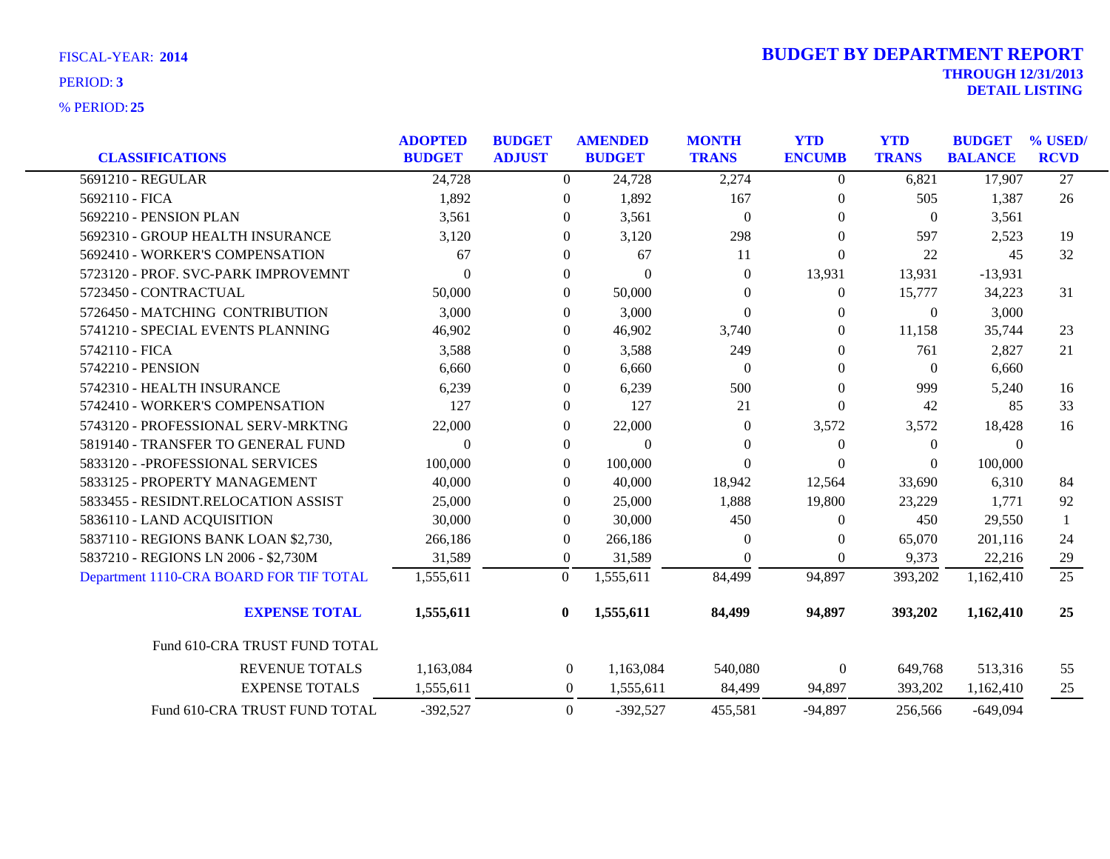|                                         | <b>ADOPTED</b> | <b>BUDGET</b> |                  |               | <b>AMENDED</b>   |                  | <b>MONTH</b>   | <b>YTD</b>     | <b>YTD</b>   | <b>BUDGET</b> | % USED/ |
|-----------------------------------------|----------------|---------------|------------------|---------------|------------------|------------------|----------------|----------------|--------------|---------------|---------|
| <b>CLASSIFICATIONS</b>                  | <b>BUDGET</b>  | <b>ADJUST</b> |                  | <b>BUDGET</b> | <b>TRANS</b>     | <b>ENCUMB</b>    | <b>TRANS</b>   | <b>BALANCE</b> | <b>RCVD</b>  |               |         |
| 5691210 - REGULAR                       | 24,728         |               | $\Omega$         | 24,728        | 2,274            | $\overline{0}$   | 6,821          | 17,907         | 27           |               |         |
| 5692110 - FICA                          | 1,892          |               | 0                | 1,892         | 167              | $\theta$         | 505            | 1,387          | 26           |               |         |
| 5692210 - PENSION PLAN                  | 3,561          |               | $\mathbf{0}$     | 3,561         | $\boldsymbol{0}$ | $\overline{0}$   | $\theta$       | 3,561          |              |               |         |
| 5692310 - GROUP HEALTH INSURANCE        | 3,120          |               | $\Omega$         | 3,120         | 298              | $\overline{0}$   | 597            | 2,523          | 19           |               |         |
| 5692410 - WORKER'S COMPENSATION         | 67             |               | 0                | 67            | 11               | $\boldsymbol{0}$ | 22             | 45             | 32           |               |         |
| 5723120 - PROF. SVC-PARK IMPROVEMNT     | $\theta$       |               | $\mathbf{0}$     | $\theta$      | $\theta$         | 13,931           | 13,931         | $-13,931$      |              |               |         |
| 5723450 - CONTRACTUAL                   | 50,000         |               | $\Omega$         | 50,000        | $\Omega$         | $\overline{0}$   | 15,777         | 34,223         | 31           |               |         |
| 5726450 - MATCHING CONTRIBUTION         | 3,000          |               | 0                | 3,000         | $\boldsymbol{0}$ | $\overline{0}$   | $\overline{0}$ | 3,000          |              |               |         |
| 5741210 - SPECIAL EVENTS PLANNING       | 46,902         |               | 0                | 46,902        | 3,740            | $\theta$         | 11,158         | 35,744         | 23           |               |         |
| 5742110 - FICA                          | 3,588          |               | 0                | 3,588         | 249              | $\overline{0}$   | 761            | 2,827          | 21           |               |         |
| 5742210 - PENSION                       | 6,660          |               | $\Omega$         | 6,660         | $\theta$         | $\theta$         | $\theta$       | 6,660          |              |               |         |
| 5742310 - HEALTH INSURANCE              | 6,239          |               | $\Omega$         | 6,239         | 500              | $\theta$         | 999            | 5,240          | 16           |               |         |
| 5742410 - WORKER'S COMPENSATION         | 127            |               | $\mathbf{0}$     | 127           | 21               | $\theta$         | 42             | 85             | 33           |               |         |
| 5743120 - PROFESSIONAL SERV-MRKTNG      | 22,000         |               | $\mathbf{0}$     | 22,000        | $\Omega$         | 3,572            | 3,572          | 18,428         | 16           |               |         |
| 5819140 - TRANSFER TO GENERAL FUND      | $\theta$       |               | $\mathbf{0}$     | $\mathbf{0}$  | $\theta$         | $\boldsymbol{0}$ | $\theta$       | $\overline{0}$ |              |               |         |
| 5833120 - - PROFESSIONAL SERVICES       | 100,000        |               | $\Omega$         | 100,000       | $\theta$         | $\theta$         | $\Omega$       | 100,000        |              |               |         |
| 5833125 - PROPERTY MANAGEMENT           | 40,000         |               | $\Omega$         | 40,000        | 18,942           | 12,564           | 33,690         | 6,310          | 84           |               |         |
| 5833455 - RESIDNT.RELOCATION ASSIST     | 25,000         |               | $\Omega$         | 25,000        | 1,888            | 19,800           | 23,229         | 1,771          | 92           |               |         |
| 5836110 - LAND ACQUISITION              | 30,000         |               | $\Omega$         | 30,000        | 450              | $\overline{0}$   | 450            | 29,550         | $\mathbf{1}$ |               |         |
| 5837110 - REGIONS BANK LOAN \$2,730,    | 266,186        |               | $\Omega$         | 266,186       | $\theta$         | $\overline{0}$   | 65,070         | 201,116        | 24           |               |         |
| 5837210 - REGIONS LN 2006 - \$2,730M    | 31,589         |               | $\overline{0}$   | 31,589        | $\Omega$         | $\overline{0}$   | 9,373          | 22,216         | 29           |               |         |
| Department 1110-CRA BOARD FOR TIF TOTAL | 1,555,611      |               | $\Omega$         | 1,555,611     | 84,499           | 94,897           | 393,202        | 1,162,410      | 25           |               |         |
| <b>EXPENSE TOTAL</b>                    | 1,555,611      |               | $\mathbf{0}$     | 1,555,611     | 84,499           | 94,897           | 393,202        | 1,162,410      | 25           |               |         |
| Fund 610-CRA TRUST FUND TOTAL           |                |               |                  |               |                  |                  |                |                |              |               |         |
| <b>REVENUE TOTALS</b>                   | 1,163,084      |               | $\boldsymbol{0}$ | 1,163,084     | 540,080          | $\boldsymbol{0}$ | 649,768        | 513,316        | 55           |               |         |
| <b>EXPENSE TOTALS</b>                   | 1,555,611      |               | $\mathbf{0}$     | 1,555,611     | 84,499           | 94,897           | 393,202        | 1,162,410      | 25           |               |         |
| Fund 610-CRA TRUST FUND TOTAL           | $-392,527$     |               | $\mathbf{0}$     | $-392,527$    | 455,581          | $-94,897$        | 256,566        | $-649,094$     |              |               |         |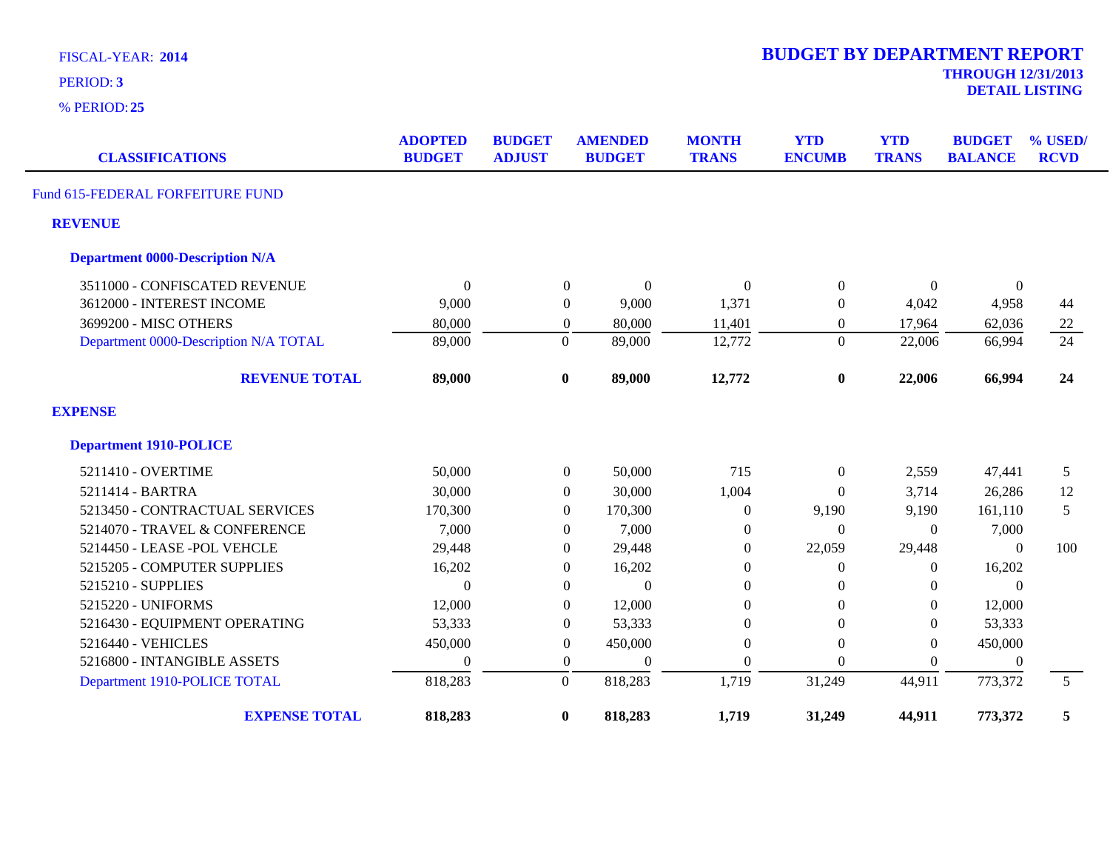| <b>FISCAL-YEAR: 2014</b> |  |  |
|--------------------------|--|--|
|--------------------------|--|--|

| <b>CLASSIFICATIONS</b>                 | <b>ADOPTED</b><br><b>BUDGET</b> | <b>BUDGET</b><br><b>ADJUST</b> | <b>AMENDED</b><br><b>BUDGET</b> | <b>MONTH</b><br><b>TRANS</b> |                  | <b>YTD</b><br><b>TRANS</b> | <b>BUDGET</b><br><b>BALANCE</b> | % USED/<br><b>RCVD</b> |
|----------------------------------------|---------------------------------|--------------------------------|---------------------------------|------------------------------|------------------|----------------------------|---------------------------------|------------------------|
| Fund 615-FEDERAL FORFEITURE FUND       |                                 |                                |                                 |                              |                  |                            |                                 |                        |
| <b>REVENUE</b>                         |                                 |                                |                                 |                              |                  |                            |                                 |                        |
| <b>Department 0000-Description N/A</b> |                                 |                                |                                 |                              |                  |                            |                                 |                        |
| 3511000 - CONFISCATED REVENUE          | $\Omega$                        |                                | $\mathbf{0}$<br>$\theta$        | $\Omega$                     | $\mathbf{0}$     | $\Omega$                   | $\mathbf{0}$                    |                        |
| 3612000 - INTEREST INCOME              | 9,000                           |                                | 9,000<br>$\overline{0}$         | 1,371                        | $\boldsymbol{0}$ | 4,042                      | 4,958                           | 44                     |
| 3699200 - MISC OTHERS                  | 80,000                          |                                | 80,000<br>$\overline{0}$        | 11,401                       | $\overline{0}$   | 17,964                     | 62,036                          | 22                     |
| Department 0000-Description N/A TOTAL  | 89,000                          | $\boldsymbol{0}$               | 89,000                          | 12,772                       | $\overline{0}$   | 22,006                     | 66,994                          | 24                     |
| <b>REVENUE TOTAL</b>                   | 89,000                          | $\bf{0}$                       | 89,000                          | 12,772                       | $\boldsymbol{0}$ | 22,006                     | 66,994                          | 24                     |
| <b>EXPENSE</b>                         |                                 |                                |                                 |                              |                  |                            |                                 |                        |
| <b>Department 1910-POLICE</b>          |                                 |                                |                                 |                              |                  |                            |                                 |                        |
| 5211410 - OVERTIME                     | 50,000                          |                                | $\overline{0}$<br>50,000        | 715                          | $\boldsymbol{0}$ | 2,559                      | 47,441                          | 5                      |
| 5211414 - BARTRA                       | 30,000                          |                                | 30,000<br>$\overline{0}$        | 1,004                        | $\overline{0}$   | 3,714                      | 26,286                          | 12                     |
| 5213450 - CONTRACTUAL SERVICES         | 170,300                         |                                | $\overline{0}$<br>170,300       | $\boldsymbol{0}$             | 9,190            | 9,190                      | 161,110                         | 5                      |
| 5214070 - TRAVEL & CONFERENCE          | 7,000                           |                                | 7,000<br>$\Omega$               | $\mathbf{0}$                 | $\theta$         | $\Omega$                   | 7,000                           |                        |
| 5214450 - LEASE - POL VEHCLE           | 29,448                          |                                | $\Omega$<br>29,448              | $\Omega$                     | 22,059           | 29,448                     | $\Omega$                        | 100                    |
| 5215205 - COMPUTER SUPPLIES            | 16,202                          |                                | 16,202<br>$\overline{0}$        | $\mathbf{0}$                 | $\boldsymbol{0}$ | $\Omega$                   | 16,202                          |                        |
| 5215210 - SUPPLIES                     | $\Omega$                        |                                | $\Omega$<br>$\Omega$            | $\Omega$                     | $\theta$         | $\Omega$                   | $\Omega$                        |                        |
| 5215220 - UNIFORMS                     | 12,000                          |                                | $\overline{0}$<br>12,000        | $\theta$                     | $\theta$         | $\Omega$                   | 12,000                          |                        |
| 5216430 - EQUIPMENT OPERATING          | 53,333                          |                                | $\overline{0}$<br>53,333        | $\boldsymbol{0}$             | $\boldsymbol{0}$ | $\overline{0}$             | 53,333                          |                        |
| 5216440 - VEHICLES                     | 450,000                         |                                | $\Omega$<br>450,000             | $\Omega$                     | $\Omega$         | $\Omega$                   | 450,000                         |                        |
| 5216800 - INTANGIBLE ASSETS            | $\Omega$                        |                                | $\mathbf{0}$<br>$\theta$        | $\Omega$                     | $\boldsymbol{0}$ | $\Omega$                   | $\Omega$                        |                        |
| Department 1910-POLICE TOTAL           | 818,283                         | $\boldsymbol{0}$               | 818,283                         | 1,719                        | 31,249           | 44,911                     | 773,372                         | 5 <sup>5</sup>         |
| <b>EXPENSE TOTAL</b>                   | 818,283                         | $\bf{0}$                       | 818,283                         | 1,719                        | 31,249           | 44,911                     | 773,372                         | 5                      |